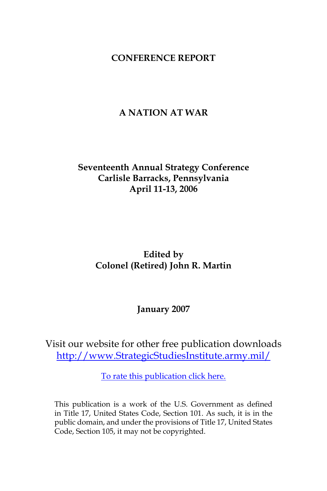## **CONFERENCE REPORT**

# **A NATION AT WAR**

# **Seventeenth Annual Strategy Conference Carlisle Barracks, Pennsylvania April 11-13, 2006**

# **Edited by Colonel (Retired) John R. Martin**

## **January 2007**

Visit our website for other free publication downloads [http://www.StrategicStudiesInstitute.army.mil/](http://www.StrategicStudiesInstitute.army.mil)

[To rate this publication click here.](http://www.strategicstudiesinstitute.army.mil/pubs/display.cfm?pubID=750)

This publication is a work of the U.S. Government as defined in Title 17, United States Code, Section 101. As such, it is in the public domain, and under the provisions of Title 17, United States Code, Section 105, it may not be copyrighted.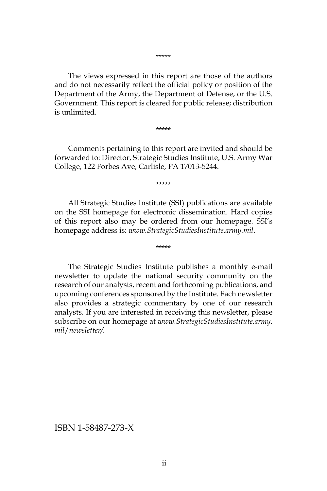\*\*\*\*\*

The views expressed in this report are those of the authors and do not necessarily reflect the official policy or position of the Department of the Army, the Department of Defense, or the U.S. Government. This report is cleared for public release; distribution is unlimited.

\*\*\*\*\*

Comments pertaining to this report are invited and should be forwarded to: Director, Strategic Studies Institute, U.S. Army War College, 122 Forbes Ave, Carlisle, PA 17013-5244.

\*\*\*\*\*

All Strategic Studies Institute (SSI) publications are available on the SSI homepage for electronic dissemination. Hard copies of this report also may be ordered from our homepage. SSI's homepage address is: *www.StrategicStudiesInstitute.army.mil*.

\*\*\*\*\*

The Strategic Studies Institute publishes a monthly e-mail newsletter to update the national security community on the research of our analysts, recent and forthcoming publications, and upcoming conferences sponsored by the Institute. Each newsletter also provides a strategic commentary by one of our research analysts. If you are interested in receiving this newsletter, please subscribe on our homepage at *www.StrategicStudiesInstitute.army. mil*/*newsletter/.*

ISBN 1-58487-273-X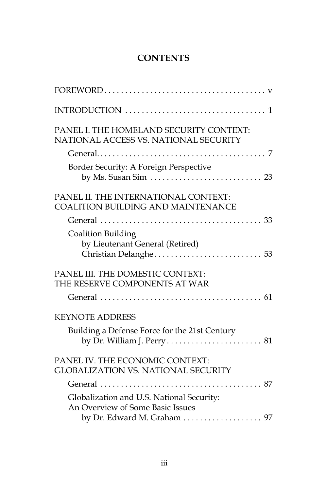# **CONTENTS**

| PANEL I. THE HOMELAND SECURITY CONTEXT:<br>NATIONAL ACCESS VS. NATIONAL SECURITY  |
|-----------------------------------------------------------------------------------|
|                                                                                   |
| Border Security: A Foreign Perspective                                            |
| PANEL II. THE INTERNATIONAL CONTEXT:<br><b>COALITION BUILDING AND MAINTENANCE</b> |
|                                                                                   |
| Coalition Building<br>by Lieutenant General (Retired)                             |
| PANEL III. THE DOMESTIC CONTEXT:<br>THE RESERVE COMPONENTS AT WAR                 |
|                                                                                   |
| <b>KEYNOTE ADDRESS</b>                                                            |
| Building a Defense Force for the 21st Century                                     |
| PANEL IV. THE ECONOMIC CONTEXT:<br><b>GLOBALIZATION VS. NATIONAL SECURITY</b>     |
|                                                                                   |
| Globalization and U.S. National Security:<br>An Overview of Some Basic Issues     |
| by Dr. Edward M. Graham 97                                                        |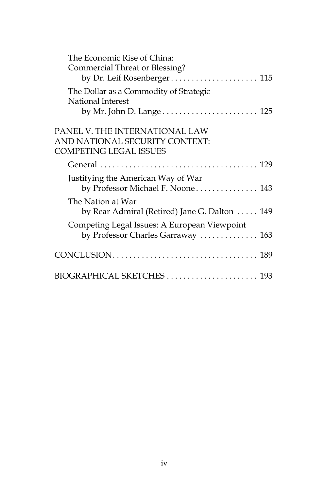| The Economic Rise of China:<br>Commercial Threat or Blessing?<br>by Dr. Leif Rosenberger 115      |  |
|---------------------------------------------------------------------------------------------------|--|
| The Dollar as a Commodity of Strategic<br>National Interest                                       |  |
| PANEL V. THE INTERNATIONAL LAW<br>AND NATIONAL SECURITY CONTEXT:<br><b>COMPETING LEGAL ISSUES</b> |  |
|                                                                                                   |  |
| Justifying the American Way of War<br>by Professor Michael F. Noone 143                           |  |
| The Nation at War<br>by Rear Admiral (Retired) Jane G. Dalton  149                                |  |
| Competing Legal Issues: A European Viewpoint<br>by Professor Charles Garraway  163                |  |
|                                                                                                   |  |
| BIOGRAPHICAL SKETCHES  193                                                                        |  |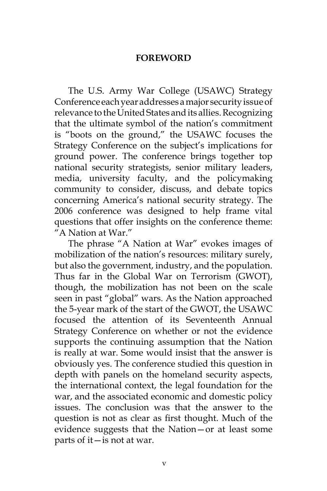## **FOREWORD**

The U.S. Army War College (USAWC) Strategy Conference each year addresses a major security issue of relevance to the United States and its allies. Recognizing that the ultimate symbol of the nation's commitment is "boots on the ground," the USAWC focuses the Strategy Conference on the subject's implications for ground power. The conference brings together top national security strategists, senior military leaders, media, university faculty, and the policymaking community to consider, discuss, and debate topics concerning America's national security strategy. The 2006 conference was designed to help frame vital questions that offer insights on the conference theme: "A Nation at War."

The phrase "A Nation at War" evokes images of mobilization of the nation's resources: military surely, but also the government, industry, and the population. Thus far in the Global War on Terrorism (GWOT), though, the mobilization has not been on the scale seen in past "global" wars. As the Nation approached the 5-year mark of the start of the GWOT, the USAWC focused the attention of its Seventeenth Annual Strategy Conference on whether or not the evidence supports the continuing assumption that the Nation is really at war. Some would insist that the answer is obviously yes. The conference studied this question in depth with panels on the homeland security aspects, the international context, the legal foundation for the war, and the associated economic and domestic policy issues. The conclusion was that the answer to the question is not as clear as first thought. Much of the evidence suggests that the Nation—or at least some parts of it—is not at war.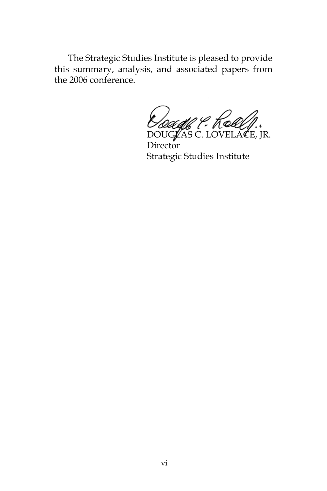The Strategic Studies Institute is pleased to provide this summary, analysis, and associated papers from the 2006 conference.

*Dougle P. Kolley.* 

**Director** Strategic Studies Institute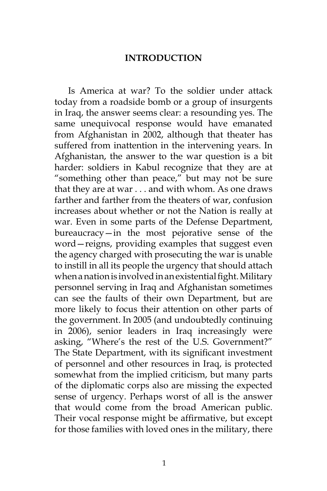#### **INTRODUCTION**

Is America at war? To the soldier under attack today from a roadside bomb or a group of insurgents in Iraq, the answer seems clear: a resounding yes. The same unequivocal response would have emanated from Afghanistan in 2002, although that theater has suffered from inattention in the intervening years. In Afghanistan, the answer to the war question is a bit harder: soldiers in Kabul recognize that they are at "something other than peace," but may not be sure that they are at war . . . and with whom. As one draws farther and farther from the theaters of war, confusion increases about whether or not the Nation is really at war. Even in some parts of the Defense Department, bureaucracy—in the most pejorative sense of the word—reigns, providing examples that suggest even the agency charged with prosecuting the war is unable to instill in all its people the urgency that should attach when a nation is involved in an existential fight. Military personnel serving in Iraq and Afghanistan sometimes can see the faults of their own Department, but are more likely to focus their attention on other parts of the government. In 2005 (and undoubtedly continuing in 2006), senior leaders in Iraq increasingly were asking, "Where's the rest of the U.S. Government?" The State Department, with its significant investment of personnel and other resources in Iraq, is protected somewhat from the implied criticism, but many parts of the diplomatic corps also are missing the expected sense of urgency. Perhaps worst of all is the answer that would come from the broad American public. Their vocal response might be affirmative, but except for those families with loved ones in the military, there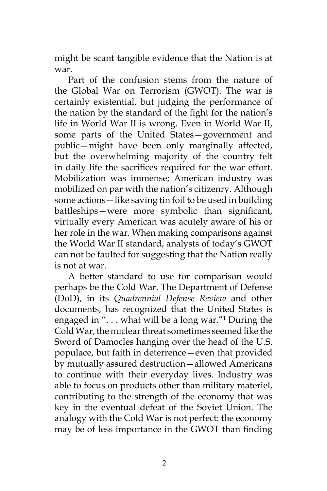might be scant tangible evidence that the Nation is at war.

Part of the confusion stems from the nature of the Global War on Terrorism (GWOT). The war is certainly existential, but judging the performance of the nation by the standard of the fight for the nation's life in World War II is wrong. Even in World War II, some parts of the United States—government and public—might have been only marginally affected, but the overwhelming majority of the country felt in daily life the sacrifices required for the war effort. Mobilization was immense; American industry was mobilized on par with the nation's citizenry. Although some actions—like saving tin foil to be used in building battleships—were more symbolic than significant, virtually every American was acutely aware of his or her role in the war. When making comparisons against the World War II standard, analysts of today's GWOT can not be faulted for suggesting that the Nation really is not at war.

A better standard to use for comparison would perhaps be the Cold War. The Department of Defense (DoD), in its *Quadrennial Defense Review* and other documents, has recognized that the United States is engaged in ". . . what will be a long war."1 During the Cold War, the nuclear threat sometimes seemed like the Sword of Damocles hanging over the head of the U.S. populace, but faith in deterrence—even that provided by mutually assured destruction—allowed Americans to continue with their everyday lives. Industry was able to focus on products other than military materiel, contributing to the strength of the economy that was key in the eventual defeat of the Soviet Union. The analogy with the Cold War is not perfect: the economy may be of less importance in the GWOT than finding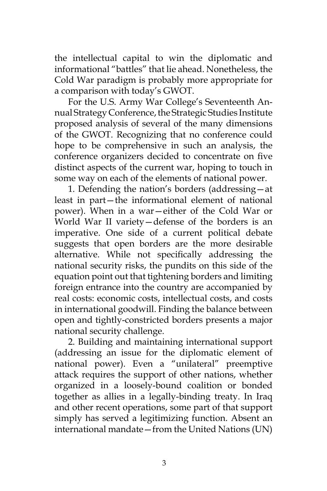the intellectual capital to win the diplomatic and informational "battles" that lie ahead. Nonetheless, the Cold War paradigm is probably more appropriate for a comparison with today's GWOT.

For the U.S. Army War College's Seventeenth Annual Strategy Conference, the Strategic Studies Institute proposed analysis of several of the many dimensions of the GWOT. Recognizing that no conference could hope to be comprehensive in such an analysis, the conference organizers decided to concentrate on five distinct aspects of the current war, hoping to touch in some way on each of the elements of national power.

1. Defending the nation's borders (addressing—at least in part—the informational element of national power). When in a war—either of the Cold War or World War II variety—defense of the borders is an imperative. One side of a current political debate suggests that open borders are the more desirable alternative. While not specifically addressing the national security risks, the pundits on this side of the equation point out that tightening borders and limiting foreign entrance into the country are accompanied by real costs: economic costs, intellectual costs, and costs in international goodwill. Finding the balance between open and tightly-constricted borders presents a major national security challenge.

2. Building and maintaining international support (addressing an issue for the diplomatic element of national power). Even a "unilateral" preemptive attack requires the support of other nations, whether organized in a loosely-bound coalition or bonded together as allies in a legally-binding treaty. In Iraq and other recent operations, some part of that support simply has served a legitimizing function. Absent an international mandate—from the United Nations (UN)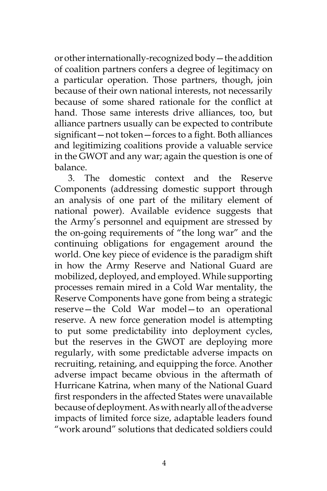or other internationally-recognized body—the addition of coalition partners confers a degree of legitimacy on a particular operation. Those partners, though, join because of their own national interests, not necessarily because of some shared rationale for the conflict at hand. Those same interests drive alliances, too, but alliance partners usually can be expected to contribute significant—not token—forces to a fight. Both alliances and legitimizing coalitions provide a valuable service in the GWOT and any war; again the question is one of balance.

3. The domestic context and the Reserve Components (addressing domestic support through an analysis of one part of the military element of national power). Available evidence suggests that the Army's personnel and equipment are stressed by the on-going requirements of "the long war" and the continuing obligations for engagement around the world. One key piece of evidence is the paradigm shift in how the Army Reserve and National Guard are mobilized, deployed, and employed. While supporting processes remain mired in a Cold War mentality, the Reserve Components have gone from being a strategic reserve—the Cold War model—to an operational reserve. A new force generation model is attempting to put some predictability into deployment cycles, but the reserves in the GWOT are deploying more regularly, with some predictable adverse impacts on recruiting, retaining, and equipping the force. Another adverse impact became obvious in the aftermath of Hurricane Katrina, when many of the National Guard first responders in the affected States were unavailable because of deployment. As with nearly all of the adverse impacts of limited force size, adaptable leaders found "work around" solutions that dedicated soldiers could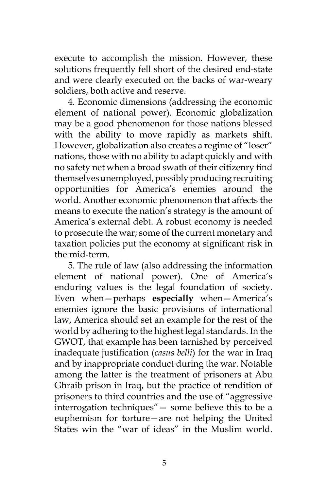execute to accomplish the mission. However, these solutions frequently fell short of the desired end-state and were clearly executed on the backs of war-weary soldiers, both active and reserve.

4. Economic dimensions (addressing the economic element of national power). Economic globalization may be a good phenomenon for those nations blessed with the ability to move rapidly as markets shift. However, globalization also creates a regime of "loser" nations, those with no ability to adapt quickly and with no safety net when a broad swath of their citizenry find themselves unemployed, possibly producing recruiting opportunities for America's enemies around the world. Another economic phenomenon that affects the means to execute the nation's strategy is the amount of America's external debt. A robust economy is needed to prosecute the war; some of the current monetary and taxation policies put the economy at significant risk in the mid-term.

5. The rule of law (also addressing the information element of national power). One of America's enduring values is the legal foundation of society. Even when—perhaps **especially** when—America's enemies ignore the basic provisions of international law, America should set an example for the rest of the world by adhering to the highest legal standards. In the GWOT, that example has been tarnished by perceived inadequate justification (*casus belli*) for the war in Iraq and by inappropriate conduct during the war. Notable among the latter is the treatment of prisoners at Abu Ghraib prison in Iraq, but the practice of rendition of prisoners to third countries and the use of "aggressive interrogation techniques"— some believe this to be a euphemism for torture—are not helping the United States win the "war of ideas" in the Muslim world.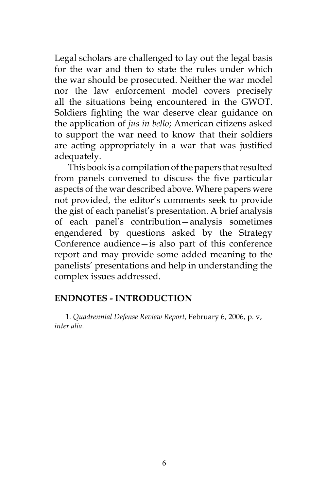Legal scholars are challenged to lay out the legal basis for the war and then to state the rules under which the war should be prosecuted. Neither the war model nor the law enforcement model covers precisely all the situations being encountered in the GWOT. Soldiers fighting the war deserve clear guidance on the application of *jus in bello*; American citizens asked to support the war need to know that their soldiers are acting appropriately in a war that was justified adequately.

This book is a compilation of the papers that resulted from panels convened to discuss the five particular aspects of the war described above. Where papers were not provided, the editor's comments seek to provide the gist of each panelist's presentation. A brief analysis of each panel's contribution—analysis sometimes engendered by questions asked by the Strategy Conference audience—is also part of this conference report and may provide some added meaning to the panelists' presentations and help in understanding the complex issues addressed.

## **ENDNOTES - INTRODUCTION**

1. *Quadrennial Defense Review Report*, February 6, 2006, p. v, *inter alia*.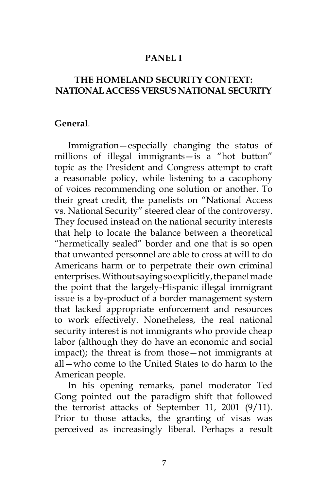## **PANEL I**

# **THE HOMELAND SECURITY CONTEXT: NATIONAL ACCESS VERSUS NATIONAL SECURITY**

#### **General**.

Immigration—especially changing the status of millions of illegal immigrants—is a "hot button" topic as the President and Congress attempt to craft a reasonable policy, while listening to a cacophony of voices recommending one solution or another. To their great credit, the panelists on "National Access vs. National Security" steered clear of the controversy. They focused instead on the national security interests that help to locate the balance between a theoretical "hermetically sealed" border and one that is so open that unwanted personnel are able to cross at will to do Americans harm or to perpetrate their own criminal enterprises. Without saying so explicitly, the panel made the point that the largely-Hispanic illegal immigrant issue is a by-product of a border management system that lacked appropriate enforcement and resources to work effectively. Nonetheless, the real national security interest is not immigrants who provide cheap labor (although they do have an economic and social impact); the threat is from those—not immigrants at all—who come to the United States to do harm to the American people.

In his opening remarks, panel moderator Ted Gong pointed out the paradigm shift that followed the terrorist attacks of September 11, 2001 (9/11). Prior to those attacks, the granting of visas was perceived as increasingly liberal. Perhaps a result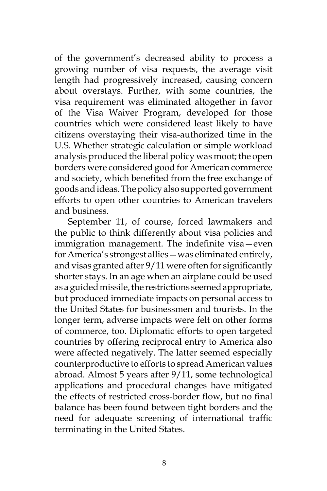of the government's decreased ability to process a growing number of visa requests, the average visit length had progressively increased, causing concern about overstays. Further, with some countries, the visa requirement was eliminated altogether in favor of the Visa Waiver Program, developed for those countries which were considered least likely to have citizens overstaying their visa-authorized time in the U.S. Whether strategic calculation or simple workload analysis produced the liberal policy was moot; the open borders were considered good for American commerce and society, which benefited from the free exchange of goods and ideas. The policy also supported government efforts to open other countries to American travelers and business.

September 11, of course, forced lawmakers and the public to think differently about visa policies and immigration management. The indefinite visa—even for America's strongest allies—was eliminated entirely, and visas granted after 9/11 were often for significantly shorter stays. In an age when an airplane could be used as a guided missile, the restrictions seemed appropriate, but produced immediate impacts on personal access to the United States for businessmen and tourists. In the longer term, adverse impacts were felt on other forms of commerce, too. Diplomatic efforts to open targeted countries by offering reciprocal entry to America also were affected negatively. The latter seemed especially counterproductive to efforts to spread American values abroad. Almost 5 years after 9/11, some technological applications and procedural changes have mitigated the effects of restricted cross-border flow, but no final balance has been found between tight borders and the need for adequate screening of international traffic terminating in the United States.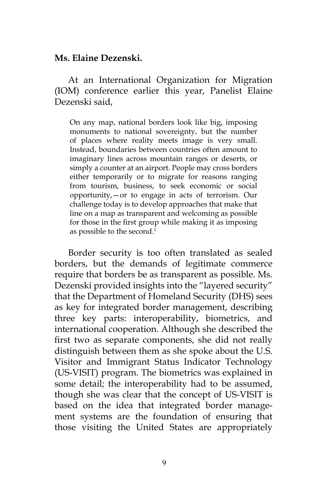#### **Ms. Elaine Dezenski.**

At an International Organization for Migration (IOM) conference earlier this year, Panelist Elaine Dezenski said,

On any map, national borders look like big, imposing monuments to national sovereignty, but the number of places where reality meets image is very small. Instead, boundaries between countries often amount to imaginary lines across mountain ranges or deserts, or simply a counter at an airport. People may cross borders either temporarily or to migrate for reasons ranging from tourism, business, to seek economic or social opportunity,—or to engage in acts of terrorism. Our challenge today is to develop approaches that make that line on a map as transparent and welcoming as possible for those in the first group while making it as imposing as possible to the second.<sup>1</sup>

Border security is too often translated as sealed borders, but the demands of legitimate commerce require that borders be as transparent as possible. Ms. Dezenski provided insights into the "layered security" that the Department of Homeland Security (DHS) sees as key for integrated border management, describing three key parts: interoperability, biometrics, and international cooperation. Although she described the first two as separate components, she did not really distinguish between them as she spoke about the U.S. Visitor and Immigrant Status Indicator Technology (US-VISIT) program. The biometrics was explained in some detail; the interoperability had to be assumed, though she was clear that the concept of US-VISIT is based on the idea that integrated border management systems are the foundation of ensuring that those visiting the United States are appropriately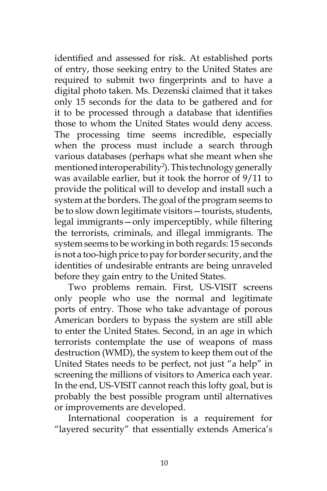identified and assessed for risk. At established ports of entry, those seeking entry to the United States are required to submit two fingerprints and to have a digital photo taken. Ms. Dezenski claimed that it takes only 15 seconds for the data to be gathered and for it to be processed through a database that identifies those to whom the United States would deny access. The processing time seems incredible, especially when the process must include a search through various databases (perhaps what she meant when she mentioned interoperability2 ). This technology generally was available earlier, but it took the horror of 9/11 to provide the political will to develop and install such a system at the borders. The goal of the program seems to be to slow down legitimate visitors—tourists, students, legal immigrants—only imperceptibly, while filtering the terrorists, criminals, and illegal immigrants. The system seems to be working in both regards: 15 seconds is not a too-high price to pay for border security, and the identities of undesirable entrants are being unraveled before they gain entry to the United States.

Two problems remain. First, US-VISIT screens only people who use the normal and legitimate ports of entry. Those who take advantage of porous American borders to bypass the system are still able to enter the United States. Second, in an age in which terrorists contemplate the use of weapons of mass destruction (WMD), the system to keep them out of the United States needs to be perfect, not just "a help" in screening the millions of visitors to America each year. In the end, US-VISIT cannot reach this lofty goal, but is probably the best possible program until alternatives or improvements are developed.

International cooperation is a requirement for "layered security" that essentially extends America's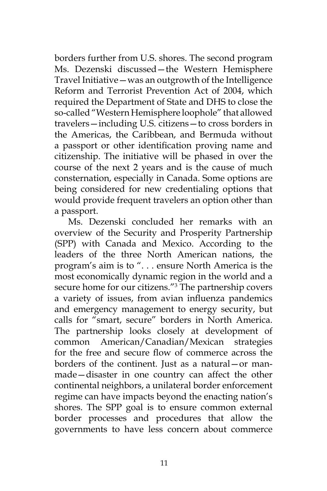borders further from U.S. shores. The second program Ms. Dezenski discussed—the Western Hemisphere Travel Initiative—was an outgrowth of the Intelligence Reform and Terrorist Prevention Act of 2004, which required the Department of State and DHS to close the so-called "Western Hemisphere loophole" that allowed travelers—including U.S. citizens—to cross borders in the Americas, the Caribbean, and Bermuda without a passport or other identification proving name and citizenship. The initiative will be phased in over the course of the next 2 years and is the cause of much consternation, especially in Canada. Some options are being considered for new credentialing options that would provide frequent travelers an option other than a passport.

Ms. Dezenski concluded her remarks with an overview of the Security and Prosperity Partnership (SPP) with Canada and Mexico. According to the leaders of the three North American nations, the program's aim is to ". . . ensure North America is the most economically dynamic region in the world and a secure home for our citizens."3 The partnership covers a variety of issues, from avian influenza pandemics and emergency management to energy security, but calls for "smart, secure" borders in North America. The partnership looks closely at development of common American/Canadian/Mexican strategies for the free and secure flow of commerce across the borders of the continent. Just as a natural—or manmade—disaster in one country can affect the other continental neighbors, a unilateral border enforcement regime can have impacts beyond the enacting nation's shores. The SPP goal is to ensure common external border processes and procedures that allow the governments to have less concern about commerce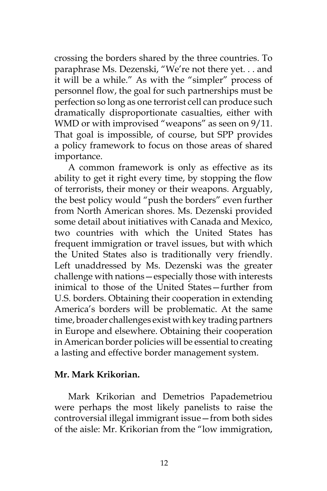crossing the borders shared by the three countries. To paraphrase Ms. Dezenski, "We're not there yet. . . and it will be a while." As with the "simpler" process of personnel flow, the goal for such partnerships must be perfection so long as one terrorist cell can produce such dramatically disproportionate casualties, either with WMD or with improvised "weapons" as seen on 9/11. That goal is impossible, of course, but SPP provides a policy framework to focus on those areas of shared importance.

A common framework is only as effective as its ability to get it right every time, by stopping the flow of terrorists, their money or their weapons. Arguably, the best policy would "push the borders" even further from North American shores. Ms. Dezenski provided some detail about initiatives with Canada and Mexico, two countries with which the United States has frequent immigration or travel issues, but with which the United States also is traditionally very friendly. Left unaddressed by Ms. Dezenski was the greater challenge with nations—especially those with interests inimical to those of the United States—further from U.S. borders. Obtaining their cooperation in extending America's borders will be problematic. At the same time, broader challenges exist with key trading partners in Europe and elsewhere. Obtaining their cooperation in American border policies will be essential to creating a lasting and effective border management system.

## **Mr. Mark Krikorian.**

Mark Krikorian and Demetrios Papademetriou were perhaps the most likely panelists to raise the controversial illegal immigrant issue—from both sides of the aisle: Mr. Krikorian from the "low immigration,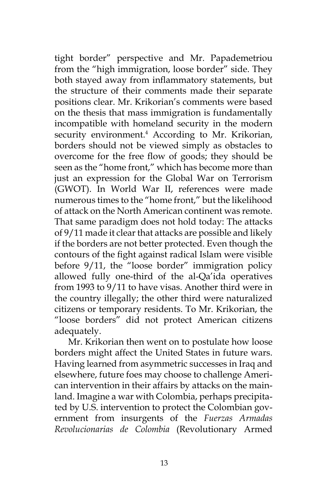tight border" perspective and Mr. Papademetriou from the "high immigration, loose border" side. They both stayed away from inflammatory statements, but the structure of their comments made their separate positions clear. Mr. Krikorian's comments were based on the thesis that mass immigration is fundamentally incompatible with homeland security in the modern security environment.<sup>4</sup> According to Mr. Krikorian, borders should not be viewed simply as obstacles to overcome for the free flow of goods; they should be seen as the "home front," which has become more than just an expression for the Global War on Terrorism (GWOT). In World War II, references were made numerous times to the "home front," but the likelihood of attack on the North American continent was remote. That same paradigm does not hold today: The attacks of 9/11 made it clear that attacks are possible and likely if the borders are not better protected. Even though the contours of the fight against radical Islam were visible before 9/11, the "loose border" immigration policy allowed fully one-third of the al-Qa'ida operatives from 1993 to 9/11 to have visas. Another third were in the country illegally; the other third were naturalized citizens or temporary residents. To Mr. Krikorian, the "loose borders" did not protect American citizens adequately.

Mr. Krikorian then went on to postulate how loose borders might affect the United States in future wars. Having learned from asymmetric successes in Iraq and elsewhere, future foes may choose to challenge American intervention in their affairs by attacks on the mainland. Imagine a war with Colombia, perhaps precipitated by U.S. intervention to protect the Colombian government from insurgents of the *Fuerzas Armadas Revolucionarias de Colombia* (Revolutionary Armed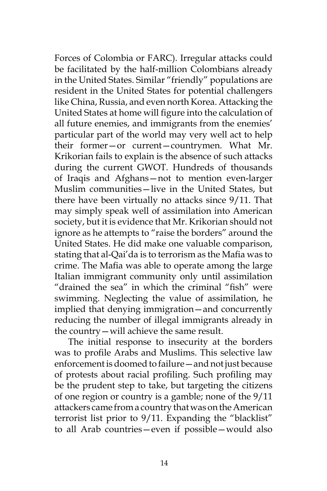Forces of Colombia or FARC). Irregular attacks could be facilitated by the half-million Colombians already in the United States. Similar "friendly" populations are resident in the United States for potential challengers like China, Russia, and even north Korea. Attacking the United States at home will figure into the calculation of all future enemies, and immigrants from the enemies' particular part of the world may very well act to help their former—or current—countrymen. What Mr. Krikorian fails to explain is the absence of such attacks during the current GWOT. Hundreds of thousands of Iraqis and Afghans—not to mention even-larger Muslim communities—live in the United States, but there have been virtually no attacks since 9/11. That may simply speak well of assimilation into American society, but it is evidence that Mr. Krikorian should not ignore as he attempts to "raise the borders" around the United States. He did make one valuable comparison, stating that al-Qai'da is to terrorism as the Mafia was to crime. The Mafia was able to operate among the large Italian immigrant community only until assimilation "drained the sea" in which the criminal "fish" were swimming. Neglecting the value of assimilation, he implied that denying immigration—and concurrently reducing the number of illegal immigrants already in the country—will achieve the same result.

The initial response to insecurity at the borders was to profile Arabs and Muslims. This selective law enforcement is doomed to failure—and not just because of protests about racial profiling. Such profiling may be the prudent step to take, but targeting the citizens of one region or country is a gamble; none of the 9/11 attackers came from a country that was on the American terrorist list prior to 9/11. Expanding the "blacklist" to all Arab countries—even if possible—would also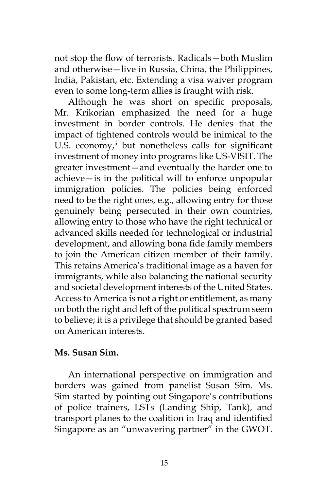not stop the flow of terrorists. Radicals—both Muslim and otherwise—live in Russia, China, the Philippines, India, Pakistan, etc. Extending a visa waiver program even to some long-term allies is fraught with risk.

Although he was short on specific proposals, Mr. Krikorian emphasized the need for a huge investment in border controls. He denies that the impact of tightened controls would be inimical to the U.S. economy,<sup>5</sup> but nonetheless calls for significant investment of money into programs like US-VISIT. The greater investment—and eventually the harder one to achieve—is in the political will to enforce unpopular immigration policies. The policies being enforced need to be the right ones, e.g., allowing entry for those genuinely being persecuted in their own countries, allowing entry to those who have the right technical or advanced skills needed for technological or industrial development, and allowing bona fide family members to join the American citizen member of their family. This retains America's traditional image as a haven for immigrants, while also balancing the national security and societal development interests of the United States. Access to America is not a right or entitlement, as many on both the right and left of the political spectrum seem to believe; it is a privilege that should be granted based on American interests.

## **Ms. Susan Sim.**

An international perspective on immigration and borders was gained from panelist Susan Sim. Ms. Sim started by pointing out Singapore's contributions of police trainers, LSTs (Landing Ship, Tank), and transport planes to the coalition in Iraq and identified Singapore as an "unwavering partner" in the GWOT.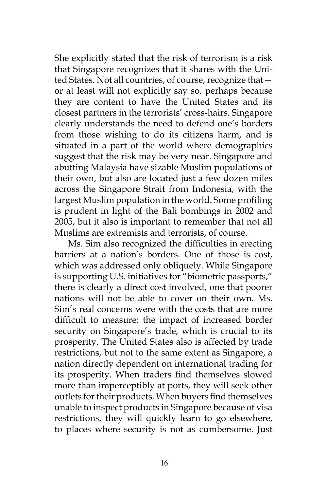She explicitly stated that the risk of terrorism is a risk that Singapore recognizes that it shares with the United States. Not all countries, of course, recognize that or at least will not explicitly say so, perhaps because they are content to have the United States and its closest partners in the terrorists' cross-hairs. Singapore clearly understands the need to defend one's borders from those wishing to do its citizens harm, and is situated in a part of the world where demographics suggest that the risk may be very near. Singapore and abutting Malaysia have sizable Muslim populations of their own, but also are located just a few dozen miles across the Singapore Strait from Indonesia, with the largest Muslim population in the world. Some profiling is prudent in light of the Bali bombings in 2002 and 2005, but it also is important to remember that not all Muslims are extremists and terrorists, of course.

Ms. Sim also recognized the difficulties in erecting barriers at a nation's borders. One of those is cost, which was addressed only obliquely. While Singapore is supporting U.S. initiatives for "biometric passports," there is clearly a direct cost involved, one that poorer nations will not be able to cover on their own. Ms. Sim's real concerns were with the costs that are more difficult to measure: the impact of increased border security on Singapore's trade, which is crucial to its prosperity. The United States also is affected by trade restrictions, but not to the same extent as Singapore, a nation directly dependent on international trading for its prosperity. When traders find themselves slowed more than imperceptibly at ports, they will seek other outlets for their products. When buyers find themselves unable to inspect products in Singapore because of visa restrictions, they will quickly learn to go elsewhere, to places where security is not as cumbersome. Just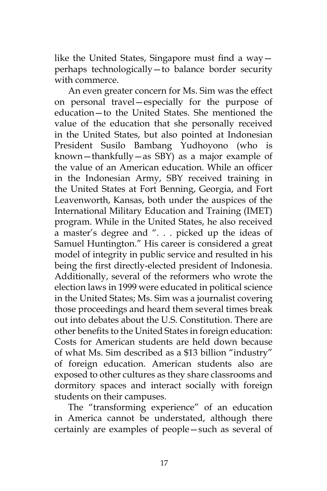like the United States, Singapore must find a way perhaps technologically—to balance border security with commerce.

An even greater concern for Ms. Sim was the effect on personal travel—especially for the purpose of education—to the United States. She mentioned the value of the education that she personally received in the United States, but also pointed at Indonesian President Susilo Bambang Yudhoyono (who is known—thankfully—as SBY) as a major example of the value of an American education. While an officer in the Indonesian Army, SBY received training in the United States at Fort Benning, Georgia, and Fort Leavenworth, Kansas, both under the auspices of the International Military Education and Training (IMET) program. While in the United States, he also received a master's degree and ". . . picked up the ideas of Samuel Huntington." His career is considered a great model of integrity in public service and resulted in his being the first directly-elected president of Indonesia. Additionally, several of the reformers who wrote the election laws in 1999 were educated in political science in the United States; Ms. Sim was a journalist covering those proceedings and heard them several times break out into debates about the U.S. Constitution. There are other benefits to the United States in foreign education: Costs for American students are held down because of what Ms. Sim described as a \$13 billion "industry" of foreign education. American students also are exposed to other cultures as they share classrooms and dormitory spaces and interact socially with foreign students on their campuses.

The "transforming experience" of an education in America cannot be understated, although there certainly are examples of people—such as several of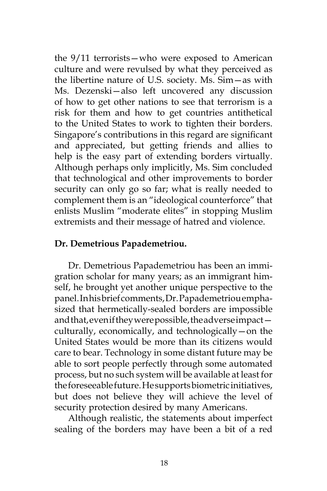the 9/11 terrorists—who were exposed to American culture and were revulsed by what they perceived as the libertine nature of U.S. society. Ms. Sim—as with Ms. Dezenski—also left uncovered any discussion of how to get other nations to see that terrorism is a risk for them and how to get countries antithetical to the United States to work to tighten their borders. Singapore's contributions in this regard are significant and appreciated, but getting friends and allies to help is the easy part of extending borders virtually. Although perhaps only implicitly, Ms. Sim concluded that technological and other improvements to border security can only go so far; what is really needed to complement them is an "ideological counterforce" that enlists Muslim "moderate elites" in stopping Muslim extremists and their message of hatred and violence.

## **Dr. Demetrious Papademetriou.**

Dr. Demetrious Papademetriou has been an immigration scholar for many years; as an immigrant himself, he brought yet another unique perspective to the panel. In his brief comments, Dr. Papademetriou emphasized that hermetically-sealed borders are impossible and that, even if they were possible, the adverse impact culturally, economically, and technologically—on the United States would be more than its citizens would care to bear. Technology in some distant future may be able to sort people perfectly through some automated process, but no such system will be available at least for the foreseeable future. He supports biometric initiatives, but does not believe they will achieve the level of security protection desired by many Americans.

Although realistic, the statements about imperfect sealing of the borders may have been a bit of a red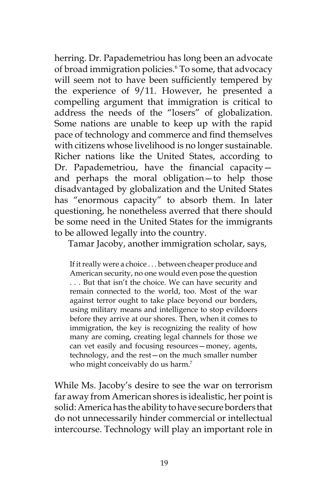herring. Dr. Papademetriou has long been an advocate of broad immigration policies.<sup>6</sup> To some, that advocacy will seem not to have been sufficiently tempered by the experience of 9/11. However, he presented a compelling argument that immigration is critical to address the needs of the "losers" of globalization. Some nations are unable to keep up with the rapid pace of technology and commerce and find themselves with citizens whose livelihood is no longer sustainable. Richer nations like the United States, according to Dr. Papademetriou, have the financial capacity and perhaps the moral obligation—to help those disadvantaged by globalization and the United States has "enormous capacity" to absorb them. In later questioning, he nonetheless averred that there should be some need in the United States for the immigrants to be allowed legally into the country.

Tamar Jacoby, another immigration scholar, says,

If it really were a choice . . . between cheaper produce and American security, no one would even pose the question . . . But that isn't the choice. We can have security and remain connected to the world, too. Most of the war against terror ought to take place beyond our borders, using military means and intelligence to stop evildoers before they arrive at our shores. Then, when it comes to immigration, the key is recognizing the reality of how many are coming, creating legal channels for those we can vet easily and focusing resources—money, agents, technology, and the rest—on the much smaller number who might conceivably do us harm.<sup>7</sup>

While Ms. Jacoby's desire to see the war on terrorism far away from American shores is idealistic, her point is solid: America has the ability to have secure borders that do not unnecessarily hinder commercial or intellectual intercourse. Technology will play an important role in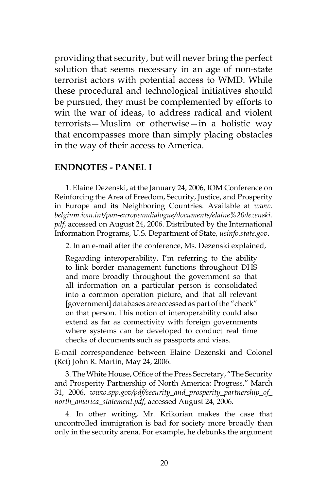providing that security, but will never bring the perfect solution that seems necessary in an age of non-state terrorist actors with potential access to WMD. While these procedural and technological initiatives should be pursued, they must be complemented by efforts to win the war of ideas, to address radical and violent terrorists—Muslim or otherwise—in a holistic way that encompasses more than simply placing obstacles in the way of their access to America.

#### **ENDNOTES - PANEL I**

1. Elaine Dezenski, at the January 24, 2006, IOM Conference on Reinforcing the Area of Freedom, Security, Justice, and Prosperity in Europe and its Neighboring Countries. Available at *www. belgium.iom.int/pan-europeandialogue/documents/elaine%20dezenski. pdf*, accessed on August 24, 2006. Distributed by the International Information Programs, U.S. Department of State, *usinfo.state.gov*.

2. In an e-mail after the conference, Ms. Dezenski explained,

Regarding interoperability, I'm referring to the ability to link border management functions throughout DHS and more broadly throughout the government so that all information on a particular person is consolidated into a common operation picture, and that all relevant [government] databases are accessed as part of the "check" on that person. This notion of interoperability could also extend as far as connectivity with foreign governments where systems can be developed to conduct real time checks of documents such as passports and visas.

E-mail correspondence between Elaine Dezenski and Colonel (Ret) John R. Martin, May 24, 2006.

3. The White House, Office of the Press Secretary, "The Security and Prosperity Partnership of North America: Progress," March 31, 2006, *www.spp.gov/pdf/security\_and\_prosperity\_partnership\_of\_ north\_america\_statement.pdf*, accessed August 24, 2006.

4. In other writing, Mr. Krikorian makes the case that uncontrolled immigration is bad for society more broadly than only in the security arena. For example, he debunks the argument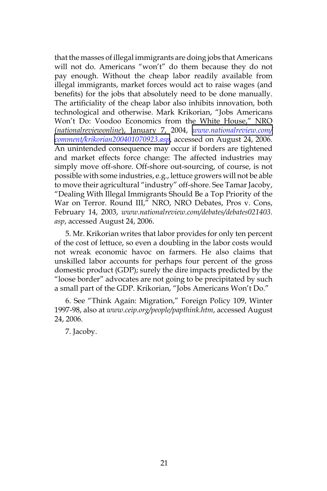that the masses of illegal immigrants are doing jobs that Americans will not do. Americans "won't" do them because they do not pay enough. Without the cheap labor readily available from illegal immigrants, market forces would act to raise wages (and benefits) for the jobs that absolutely need to be done manually. The artificiality of the cheap labor also inhibits innovation, both technological and otherwise. Mark Krikorian, "Jobs Americans Won't Do: Voodoo Economics from the White House," NRO (*nationalreviewonline*), January 7, 2004, *[www.nationalreview.com/](http://www.nationalreview.com/comment/krikorian200401070923.asp) [comment/krikorian200401070923.asp](http://www.nationalreview.com/comment/krikorian200401070923.asp)*, accessed on August 24, 2006. An unintended consequence may occur if borders are tightened and market effects force change: The affected industries may simply move off-shore. Off-shore out-sourcing, of course, is not possible with some industries, e.g., lettuce growers will not be able to move their agricultural "industry" off-shore. See Tamar Jacoby, "Dealing With Illegal Immigrants Should Be a Top Priority of the War on Terror. Round III," NRO, NRO Debates, Pros v. Cons, February 14, 2003, *www.nationalreview.com/debates/debates021403. asp*, accessed August 24, 2006.

5. Mr. Krikorian writes that labor provides for only ten percent of the cost of lettuce, so even a doubling in the labor costs would not wreak economic havoc on farmers. He also claims that unskilled labor accounts for perhaps four percent of the gross domestic product (GDP); surely the dire impacts predicted by the "loose border" advocates are not going to be precipitated by such a small part of the GDP. Krikorian, "Jobs Americans Won't Do."

6. See "Think Again: Migration," Foreign Policy 109, Winter 1997-98, also at *www.ceip.org/people/papthink.htm*, accessed August 24, 2006.

7. Jacoby.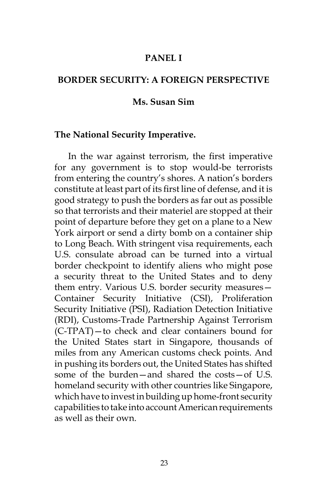## **PANEL I**

## **BORDER SECURITY: A FOREIGN PERSPECTIVE**

#### **Ms. Susan Sim**

#### **The National Security Imperative.**

In the war against terrorism, the first imperative for any government is to stop would-be terrorists from entering the country's shores. A nation's borders constitute at least part of its first line of defense, and it is good strategy to push the borders as far out as possible so that terrorists and their materiel are stopped at their point of departure before they get on a plane to a New York airport or send a dirty bomb on a container ship to Long Beach. With stringent visa requirements, each U.S. consulate abroad can be turned into a virtual border checkpoint to identify aliens who might pose a security threat to the United States and to deny them entry. Various U.S. border security measures— Container Security Initiative (CSI), Proliferation Security Initiative (PSI), Radiation Detection Initiative (RDI), Customs-Trade Partnership Against Terrorism (C-TPAT)—to check and clear containers bound for the United States start in Singapore, thousands of miles from any American customs check points. And in pushing its borders out, the United States has shifted some of the burden—and shared the costs—of U.S. homeland security with other countries like Singapore, which have to invest in building up home-front security capabilities to take into account American requirements as well as their own.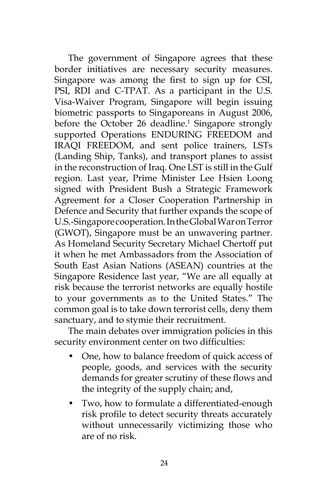The government of Singapore agrees that these border initiatives are necessary security measures. Singapore was among the first to sign up for CSI, PSI, RDI and C-TPAT. As a participant in the U.S. Visa-Waiver Program, Singapore will begin issuing biometric passports to Singaporeans in August 2006, before the October 26 deadline.<sup>1</sup> Singapore strongly supported Operations ENDURING FREEDOM and IRAQI FREEDOM, and sent police trainers, LSTs (Landing Ship, Tanks), and transport planes to assist in the reconstruction of Iraq. One LST is still in the Gulf region. Last year, Prime Minister Lee Hsien Loong signed with President Bush a Strategic Framework Agreement for a Closer Cooperation Partnership in Defence and Security that further expands the scope of U.S.-Singapore cooperation. In the Global War on Terror (GWOT), Singapore must be an unwavering partner. As Homeland Security Secretary Michael Chertoff put it when he met Ambassadors from the Association of South East Asian Nations (ASEAN) countries at the Singapore Residence last year, "We are all equally at risk because the terrorist networks are equally hostile to your governments as to the United States." The common goal is to take down terrorist cells, deny them sanctuary, and to stymie their recruitment.

The main debates over immigration policies in this security environment center on two difficulties:

- One, how to balance freedom of quick access of people, goods, and services with the security demands for greater scrutiny of these flows and the integrity of the supply chain; and,
- Two, how to formulate a differentiated-enough risk profile to detect security threats accurately without unnecessarily victimizing those who are of no risk.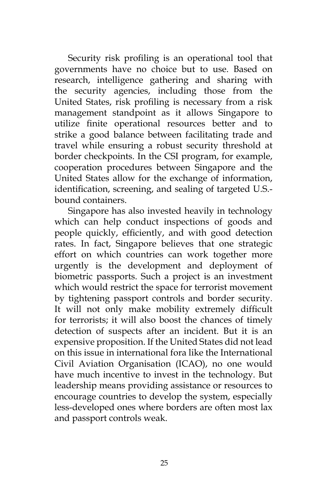Security risk profiling is an operational tool that governments have no choice but to use. Based on research, intelligence gathering and sharing with the security agencies, including those from the United States, risk profiling is necessary from a risk management standpoint as it allows Singapore to utilize finite operational resources better and to strike a good balance between facilitating trade and travel while ensuring a robust security threshold at border checkpoints. In the CSI program, for example, cooperation procedures between Singapore and the United States allow for the exchange of information, identification, screening, and sealing of targeted U.S. bound containers.

Singapore has also invested heavily in technology which can help conduct inspections of goods and people quickly, efficiently, and with good detection rates. In fact, Singapore believes that one strategic effort on which countries can work together more urgently is the development and deployment of biometric passports. Such a project is an investment which would restrict the space for terrorist movement by tightening passport controls and border security. It will not only make mobility extremely difficult for terrorists; it will also boost the chances of timely detection of suspects after an incident. But it is an expensive proposition. If the United States did not lead on this issue in international fora like the International Civil Aviation Organisation (ICAO), no one would have much incentive to invest in the technology. But leadership means providing assistance or resources to encourage countries to develop the system, especially less-developed ones where borders are often most lax and passport controls weak.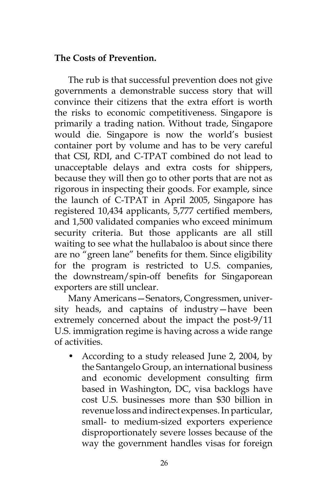# **The Costs of Prevention.**

The rub is that successful prevention does not give governments a demonstrable success story that will convince their citizens that the extra effort is worth the risks to economic competitiveness. Singapore is primarily a trading nation. Without trade, Singapore would die. Singapore is now the world's busiest container port by volume and has to be very careful that CSI, RDI, and C-TPAT combined do not lead to unacceptable delays and extra costs for shippers, because they will then go to other ports that are not as rigorous in inspecting their goods. For example, since the launch of C-TPAT in April 2005, Singapore has registered 10,434 applicants, 5,777 certified members, and 1,500 validated companies who exceed minimum security criteria. But those applicants are all still waiting to see what the hullabaloo is about since there are no "green lane" benefits for them. Since eligibility for the program is restricted to U.S. companies, the downstream/spin-off benefits for Singaporean exporters are still unclear.

Many Americans—Senators, Congressmen, university heads, and captains of industry—have been extremely concerned about the impact the post-9/11 U.S. immigration regime is having across a wide range of activities.

• According to a study released June 2, 2004, by the Santangelo Group, an international business and economic development consulting firm based in Washington, DC, visa backlogs have cost U.S. businesses more than \$30 billion in revenue loss and indirect expenses. In particular, small- to medium-sized exporters experience disproportionately severe losses because of the way the government handles visas for foreign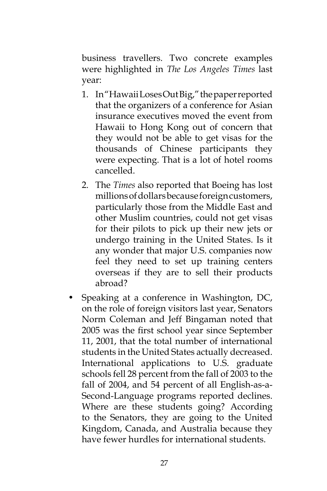business travellers. Two concrete examples were highlighted in *The Los Angeles Times* last year:

- 1. In "Hawaii Loses Out Big," the paper reported that the organizers of a conference for Asian insurance executives moved the event from Hawaii to Hong Kong out of concern that they would not be able to get visas for the thousands of Chinese participants they were expecting. That is a lot of hotel rooms cancelled.
- 2. The *Times* also reported that Boeing has lost millions of dollars because foreign customers, particularly those from the Middle East and other Muslim countries, could not get visas for their pilots to pick up their new jets or undergo training in the United States. Is it any wonder that major U.S. companies now feel they need to set up training centers overseas if they are to sell their products abroad?
- Speaking at a conference in Washington, DC, on the role of foreign visitors last year, Senators Norm Coleman and Jeff Bingaman noted that 2005 was the first school year since September 11, 2001, that the total number of international students in the United States actually decreased. International applications to U.S. graduate schools fell 28 percent from the fall of 2003 to the fall of 2004, and 54 percent of all English-as-a-Second-Language programs reported declines. Where are these students going? According to the Senators, they are going to the United Kingdom, Canada, and Australia because they have fewer hurdles for international students.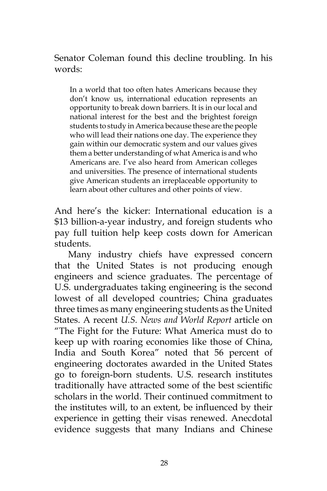# Senator Coleman found this decline troubling. In his words:

In a world that too often hates Americans because they don't know us, international education represents an opportunity to break down barriers. It is in our local and national interest for the best and the brightest foreign students to study in America because these are the people who will lead their nations one day. The experience they gain within our democratic system and our values gives them a better understanding of what America is and who Americans are. I've also heard from American colleges and universities. The presence of international students give American students an irreplaceable opportunity to learn about other cultures and other points of view.

And here's the kicker: International education is a \$13 billion-a-year industry, and foreign students who pay full tuition help keep costs down for American students.

Many industry chiefs have expressed concern that the United States is not producing enough engineers and science graduates. The percentage of U.S. undergraduates taking engineering is the second lowest of all developed countries; China graduates three times as many engineering students as the United States. A recent *U.S. News and World Report* article on "The Fight for the Future: What America must do to keep up with roaring economies like those of China, India and South Korea" noted that 56 percent of engineering doctorates awarded in the United States go to foreign-born students. U.S. research institutes traditionally have attracted some of the best scientific scholars in the world. Their continued commitment to the institutes will, to an extent, be influenced by their experience in getting their visas renewed. Anecdotal evidence suggests that many Indians and Chinese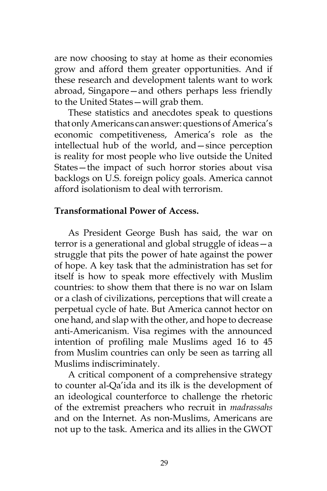are now choosing to stay at home as their economies grow and afford them greater opportunities. And if these research and development talents want to work abroad, Singapore—and others perhaps less friendly to the United States—will grab them.

These statistics and anecdotes speak to questions that only Americans can answer: questions of America's economic competitiveness, America's role as the intellectual hub of the world, and—since perception is reality for most people who live outside the United States—the impact of such horror stories about visa backlogs on U.S. foreign policy goals. America cannot afford isolationism to deal with terrorism.

## **Transformational Power of Access.**

As President George Bush has said, the war on terror is a generational and global struggle of ideas—a struggle that pits the power of hate against the power of hope. A key task that the administration has set for itself is how to speak more effectively with Muslim countries: to show them that there is no war on Islam or a clash of civilizations, perceptions that will create a perpetual cycle of hate. But America cannot hector on one hand, and slap with the other, and hope to decrease anti-Americanism. Visa regimes with the announced intention of profiling male Muslims aged 16 to 45 from Muslim countries can only be seen as tarring all Muslims indiscriminately.

A critical component of a comprehensive strategy to counter al-Qa'ida and its ilk is the development of an ideological counterforce to challenge the rhetoric of the extremist preachers who recruit in *madrassahs* and on the Internet. As non-Muslims, Americans are not up to the task. America and its allies in the GWOT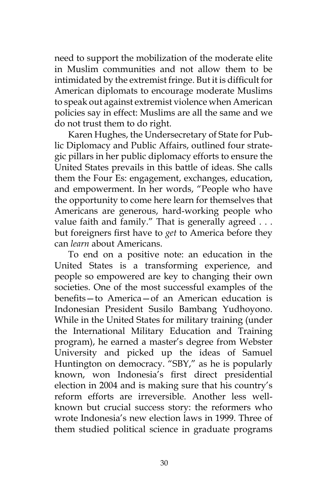need to support the mobilization of the moderate elite in Muslim communities and not allow them to be intimidated by the extremist fringe. But it is difficult for American diplomats to encourage moderate Muslims to speak out against extremist violence when American policies say in effect: Muslims are all the same and we do not trust them to do right.

Karen Hughes, the Undersecretary of State for Public Diplomacy and Public Affairs, outlined four strategic pillars in her public diplomacy efforts to ensure the United States prevails in this battle of ideas. She calls them the Four Es: engagement, exchanges, education, and empowerment. In her words, "People who have the opportunity to come here learn for themselves that Americans are generous, hard-working people who value faith and family." That is generally agreed . . . but foreigners first have to *get* to America before they can *learn* about Americans.

To end on a positive note: an education in the United States is a transforming experience, and people so empowered are key to changing their own societies. One of the most successful examples of the benefits—to America—of an American education is Indonesian President Susilo Bambang Yudhoyono. While in the United States for military training (under the International Military Education and Training program), he earned a master's degree from Webster University and picked up the ideas of Samuel Huntington on democracy. "SBY," as he is popularly known, won Indonesia's first direct presidential election in 2004 and is making sure that his country's reform efforts are irreversible. Another less wellknown but crucial success story: the reformers who wrote Indonesia's new election laws in 1999. Three of them studied political science in graduate programs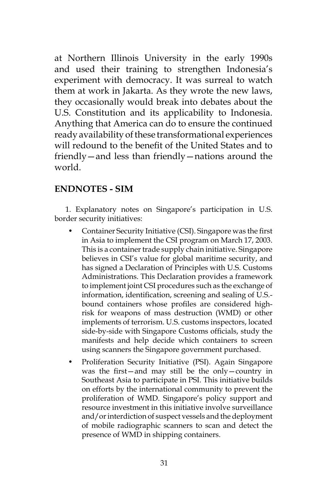at Northern Illinois University in the early 1990s and used their training to strengthen Indonesia's experiment with democracy. It was surreal to watch them at work in Jakarta. As they wrote the new laws, they occasionally would break into debates about the U.S. Constitution and its applicability to Indonesia. Anything that America can do to ensure the continued ready availability of these transformational experiences will redound to the benefit of the United States and to friendly—and less than friendly—nations around the world.

## **ENDNOTES - SIM**

1. Explanatory notes on Singapore's participation in U.S. border security initiatives:

- Container Security Initiative (CSI). Singapore was the first in Asia to implement the CSI program on March 17, 2003. This is a container trade supply chain initiative. Singapore believes in CSI's value for global maritime security, and has signed a Declaration of Principles with U.S. Customs Administrations. This Declaration provides a framework to implement joint CSI procedures such as the exchange of information, identification, screening and sealing of U.S. bound containers whose profiles are considered highrisk for weapons of mass destruction (WMD) or other implements of terrorism. U.S. customs inspectors, located side-by-side with Singapore Customs officials, study the manifests and help decide which containers to screen using scanners the Singapore government purchased.
- Proliferation Security Initiative (PSI). Again Singapore was the first—and may still be the only—country in Southeast Asia to participate in PSI. This initiative builds on efforts by the international community to prevent the proliferation of WMD. Singapore's policy support and resource investment in this initiative involve surveillance and/or interdiction of suspect vessels and the deployment of mobile radiographic scanners to scan and detect the presence of WMD in shipping containers.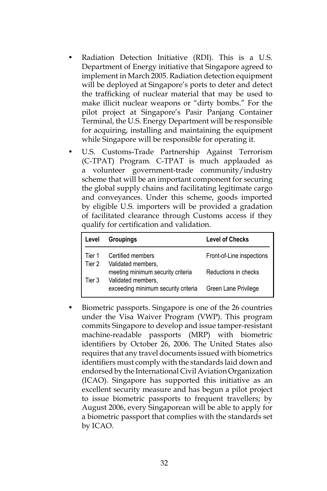- Radiation Detection Initiative (RDI). This is a U.S. Department of Energy initiative that Singapore agreed to implement in March 2005. Radiation detection equipment will be deployed at Singapore's ports to deter and detect the trafficking of nuclear material that may be used to make illicit nuclear weapons or "dirty bombs." For the pilot project at Singapore's Pasir Panjang Container Terminal, the U.S. Energy Department will be responsible for acquiring, installing and maintaining the equipment while Singapore will be responsible for operating it.
- U.S. Customs-Trade Partnership Against Terrorism (C-TPAT) Program. C-TPAT is much applauded as a volunteer government-trade community/industry scheme that will be an important component for securing the global supply chains and facilitating legitimate cargo and conveyances. Under this scheme, goods imported by eligible U.S. importers will be provided a gradation of facilitated clearance through Customs access if they qualify for certification and validation.

| Level            | <b>Groupings</b>                                                              | <b>Level of Checks</b>    |
|------------------|-------------------------------------------------------------------------------|---------------------------|
| Tier 1<br>Tier 2 | Certified members                                                             | Front-of-Line inspections |
| Tier 3           | Validated members,<br>meeting minimum security criteria<br>Validated members, | Reductions in checks      |
|                  | exceeding minimum security criteria                                           | Green Lane Privilege      |

• Biometric passports. Singapore is one of the 26 countries under the Visa Waiver Program (VWP). This program commits Singapore to develop and issue tamper-resistant machine-readable passports (MRP) with biometric identifiers by October 26, 2006. The United States also requires that any travel documents issued with biometrics identifiers must comply with the standards laid down and endorsed by the International Civil Aviation Organization (ICAO). Singapore has supported this initiative as an excellent security measure and has begun a pilot project to issue biometric passports to frequent travellers; by August 2006, every Singaporean will be able to apply for a biometric passport that complies with the standards set by ICAO.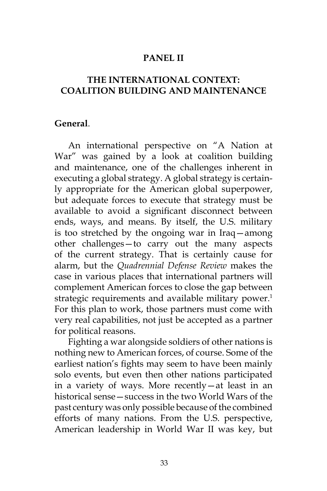## **PANEL II**

# **THE INTERNATIONAL CONTEXT: COALITION BUILDING AND MAINTENANCE**

#### **General**.

An international perspective on "A Nation at War" was gained by a look at coalition building and maintenance, one of the challenges inherent in executing a global strategy. A global strategy is certainly appropriate for the American global superpower, but adequate forces to execute that strategy must be available to avoid a significant disconnect between ends, ways, and means. By itself, the U.S. military is too stretched by the ongoing war in Iraq—among other challenges—to carry out the many aspects of the current strategy. That is certainly cause for alarm, but the *Quadrennial Defense Review* makes the case in various places that international partners will complement American forces to close the gap between strategic requirements and available military power.<sup>1</sup> For this plan to work, those partners must come with very real capabilities, not just be accepted as a partner for political reasons.

Fighting a war alongside soldiers of other nations is nothing new to American forces, of course. Some of the earliest nation's fights may seem to have been mainly solo events, but even then other nations participated in a variety of ways. More recently—at least in an historical sense—success in the two World Wars of the past century was only possible because of the combined efforts of many nations. From the U.S. perspective, American leadership in World War II was key, but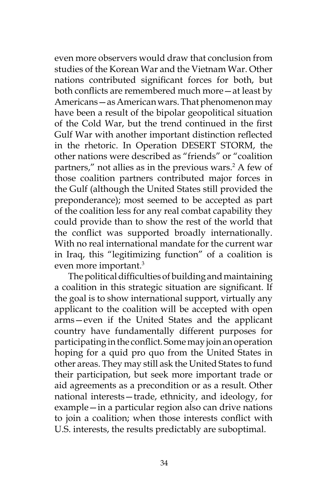even more observers would draw that conclusion from studies of the Korean War and the Vietnam War. Other nations contributed significant forces for both, but both conflicts are remembered much more—at least by Americans—as American wars. That phenomenon may have been a result of the bipolar geopolitical situation of the Cold War, but the trend continued in the first Gulf War with another important distinction reflected in the rhetoric. In Operation DESERT STORM, the other nations were described as "friends" or "coalition partners," not allies as in the previous wars.<sup>2</sup> A few of those coalition partners contributed major forces in the Gulf (although the United States still provided the preponderance); most seemed to be accepted as part of the coalition less for any real combat capability they could provide than to show the rest of the world that the conflict was supported broadly internationally. With no real international mandate for the current war in Iraq, this "legitimizing function" of a coalition is even more important.3

The political difficulties of building and maintaining a coalition in this strategic situation are significant. If the goal is to show international support, virtually any applicant to the coalition will be accepted with open arms—even if the United States and the applicant country have fundamentally different purposes for participating in the conflict. Some may join an operation hoping for a quid pro quo from the United States in other areas. They may still ask the United States to fund their participation, but seek more important trade or aid agreements as a precondition or as a result. Other national interests—trade, ethnicity, and ideology, for example—in a particular region also can drive nations to join a coalition; when those interests conflict with U.S. interests, the results predictably are suboptimal.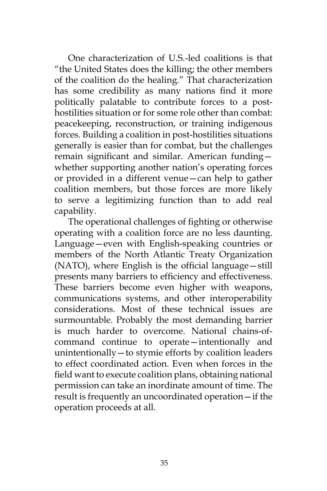One characterization of U.S.-led coalitions is that "the United States does the killing; the other members of the coalition do the healing." That characterization has some credibility as many nations find it more politically palatable to contribute forces to a posthostilities situation or for some role other than combat: peacekeeping, reconstruction, or training indigenous forces. Building a coalition in post-hostilities situations generally is easier than for combat, but the challenges remain significant and similar. American funding whether supporting another nation's operating forces or provided in a different venue—can help to gather coalition members, but those forces are more likely to serve a legitimizing function than to add real capability.

The operational challenges of fighting or otherwise operating with a coalition force are no less daunting. Language—even with English-speaking countries or members of the North Atlantic Treaty Organization (NATO), where English is the official language—still presents many barriers to efficiency and effectiveness. These barriers become even higher with weapons, communications systems, and other interoperability considerations. Most of these technical issues are surmountable. Probably the most demanding barrier is much harder to overcome. National chains-ofcommand continue to operate—intentionally and unintentionally—to stymie efforts by coalition leaders to effect coordinated action. Even when forces in the field want to execute coalition plans, obtaining national permission can take an inordinate amount of time. The result is frequently an uncoordinated operation—if the operation proceeds at all.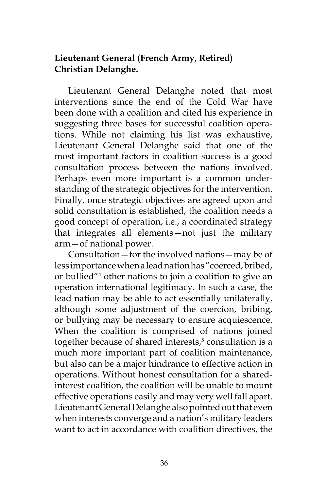# **Lieutenant General (French Army, Retired) Christian Delanghe.**

Lieutenant General Delanghe noted that most interventions since the end of the Cold War have been done with a coalition and cited his experience in suggesting three bases for successful coalition operations. While not claiming his list was exhaustive, Lieutenant General Delanghe said that one of the most important factors in coalition success is a good consultation process between the nations involved. Perhaps even more important is a common understanding of the strategic objectives for the intervention. Finally, once strategic objectives are agreed upon and solid consultation is established, the coalition needs a good concept of operation, i.e., a coordinated strategy that integrates all elements—not just the military arm—of national power.

Consultation—for the involved nations—may be of less importance when a lead nation has "coerced, bribed, or bullied"4 other nations to join a coalition to give an operation international legitimacy. In such a case, the lead nation may be able to act essentially unilaterally, although some adjustment of the coercion, bribing, or bullying may be necessary to ensure acquiescence. When the coalition is comprised of nations joined together because of shared interests,<sup>5</sup> consultation is a much more important part of coalition maintenance, but also can be a major hindrance to effective action in operations. Without honest consultation for a sharedinterest coalition, the coalition will be unable to mount effective operations easily and may very well fall apart. Lieutenant General Delanghe also pointed out that even when interests converge and a nation's military leaders want to act in accordance with coalition directives, the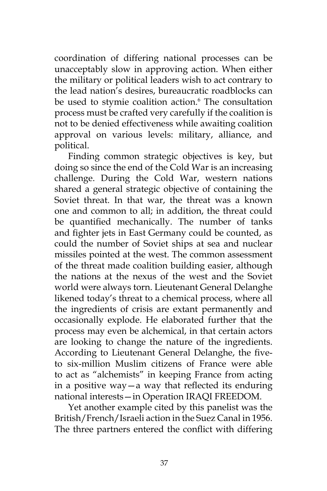coordination of differing national processes can be unacceptably slow in approving action. When either the military or political leaders wish to act contrary to the lead nation's desires, bureaucratic roadblocks can be used to stymie coalition action.<sup>6</sup> The consultation process must be crafted very carefully if the coalition is not to be denied effectiveness while awaiting coalition approval on various levels: military, alliance, and political.

Finding common strategic objectives is key, but doing so since the end of the Cold War is an increasing challenge. During the Cold War, western nations shared a general strategic objective of containing the Soviet threat. In that war, the threat was a known one and common to all; in addition, the threat could be quantified mechanically. The number of tanks and fighter jets in East Germany could be counted, as could the number of Soviet ships at sea and nuclear missiles pointed at the west. The common assessment of the threat made coalition building easier, although the nations at the nexus of the west and the Soviet world were always torn. Lieutenant General Delanghe likened today's threat to a chemical process, where all the ingredients of crisis are extant permanently and occasionally explode. He elaborated further that the process may even be alchemical, in that certain actors are looking to change the nature of the ingredients. According to Lieutenant General Delanghe, the fiveto six-million Muslim citizens of France were able to act as "alchemists" in keeping France from acting in a positive way—a way that reflected its enduring national interests—in Operation IRAQI FREEDOM.

Yet another example cited by this panelist was the British/French/Israeli action in the Suez Canal in 1956. The three partners entered the conflict with differing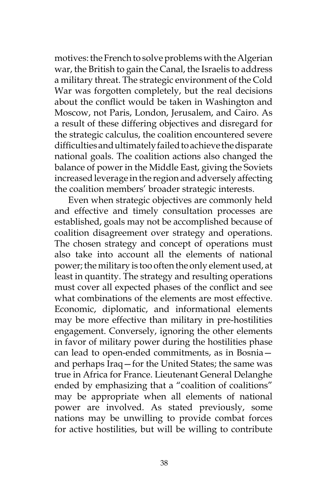motives: the French to solve problems with the Algerian war, the British to gain the Canal, the Israelis to address a military threat. The strategic environment of the Cold War was forgotten completely, but the real decisions about the conflict would be taken in Washington and Moscow, not Paris, London, Jerusalem, and Cairo. As a result of these differing objectives and disregard for the strategic calculus, the coalition encountered severe difficulties and ultimately failed to achieve the disparate national goals. The coalition actions also changed the balance of power in the Middle East, giving the Soviets increased leverage in the region and adversely affecting the coalition members' broader strategic interests.

Even when strategic objectives are commonly held and effective and timely consultation processes are established, goals may not be accomplished because of coalition disagreement over strategy and operations. The chosen strategy and concept of operations must also take into account all the elements of national power; the military is too often the only element used, at least in quantity. The strategy and resulting operations must cover all expected phases of the conflict and see what combinations of the elements are most effective. Economic, diplomatic, and informational elements may be more effective than military in pre-hostilities engagement. Conversely, ignoring the other elements in favor of military power during the hostilities phase can lead to open-ended commitments, as in Bosnia and perhaps Iraq—for the United States; the same was true in Africa for France. Lieutenant General Delanghe ended by emphasizing that a "coalition of coalitions" may be appropriate when all elements of national power are involved. As stated previously, some nations may be unwilling to provide combat forces for active hostilities, but will be willing to contribute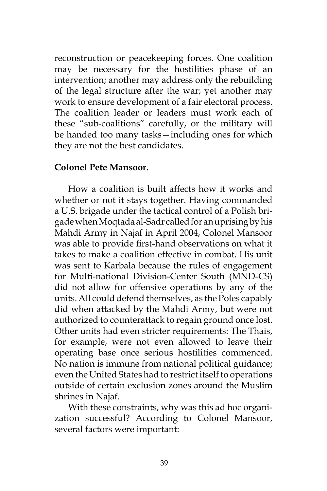reconstruction or peacekeeping forces. One coalition may be necessary for the hostilities phase of an intervention; another may address only the rebuilding of the legal structure after the war; yet another may work to ensure development of a fair electoral process. The coalition leader or leaders must work each of these "sub-coalitions" carefully, or the military will be handed too many tasks—including ones for which they are not the best candidates.

### **Colonel Pete Mansoor.**

How a coalition is built affects how it works and whether or not it stays together. Having commanded a U.S. brigade under the tactical control of a Polish brigade when Moqtada al-Sadr called for an uprising by his Mahdi Army in Najaf in April 2004, Colonel Mansoor was able to provide first-hand observations on what it takes to make a coalition effective in combat. His unit was sent to Karbala because the rules of engagement for Multi-national Division-Center South (MND-CS) did not allow for offensive operations by any of the units. All could defend themselves, as the Poles capably did when attacked by the Mahdi Army, but were not authorized to counterattack to regain ground once lost. Other units had even stricter requirements: The Thais, for example, were not even allowed to leave their operating base once serious hostilities commenced. No nation is immune from national political guidance; even the United States had to restrict itself to operations outside of certain exclusion zones around the Muslim shrines in Najaf.

With these constraints, why was this ad hoc organization successful? According to Colonel Mansoor, several factors were important: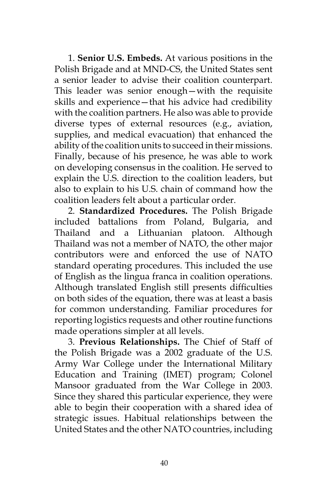1. **Senior U.S. Embeds.** At various positions in the Polish Brigade and at MND-CS, the United States sent a senior leader to advise their coalition counterpart. This leader was senior enough—with the requisite skills and experience—that his advice had credibility with the coalition partners. He also was able to provide diverse types of external resources (e.g., aviation, supplies, and medical evacuation) that enhanced the ability of the coalition units to succeed in their missions. Finally, because of his presence, he was able to work on developing consensus in the coalition. He served to explain the U.S. direction to the coalition leaders, but also to explain to his U.S. chain of command how the coalition leaders felt about a particular order.

2. **Standardized Procedures.** The Polish Brigade included battalions from Poland, Bulgaria, and Thailand and a Lithuanian platoon. Although Thailand was not a member of NATO, the other major contributors were and enforced the use of NATO standard operating procedures. This included the use of English as the lingua franca in coalition operations. Although translated English still presents difficulties on both sides of the equation, there was at least a basis for common understanding. Familiar procedures for reporting logistics requests and other routine functions made operations simpler at all levels.

3. **Previous Relationships.** The Chief of Staff of the Polish Brigade was a 2002 graduate of the U.S. Army War College under the International Military Education and Training (IMET) program; Colonel Mansoor graduated from the War College in 2003. Since they shared this particular experience, they were able to begin their cooperation with a shared idea of strategic issues. Habitual relationships between the United States and the other NATO countries, including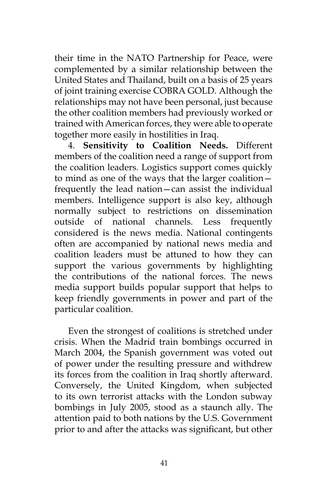their time in the NATO Partnership for Peace, were complemented by a similar relationship between the United States and Thailand, built on a basis of 25 years of joint training exercise COBRA GOLD. Although the relationships may not have been personal, just because the other coalition members had previously worked or trained with American forces, they were able to operate together more easily in hostilities in Iraq.

4. **Sensitivity to Coalition Needs.** Different members of the coalition need a range of support from the coalition leaders. Logistics support comes quickly to mind as one of the ways that the larger coalition frequently the lead nation—can assist the individual members. Intelligence support is also key, although normally subject to restrictions on dissemination outside of national channels. Less frequently considered is the news media. National contingents often are accompanied by national news media and coalition leaders must be attuned to how they can support the various governments by highlighting the contributions of the national forces. The news media support builds popular support that helps to keep friendly governments in power and part of the particular coalition.

Even the strongest of coalitions is stretched under crisis. When the Madrid train bombings occurred in March 2004, the Spanish government was voted out of power under the resulting pressure and withdrew its forces from the coalition in Iraq shortly afterward. Conversely, the United Kingdom, when subjected to its own terrorist attacks with the London subway bombings in July 2005, stood as a staunch ally. The attention paid to both nations by the U.S. Government prior to and after the attacks was significant, but other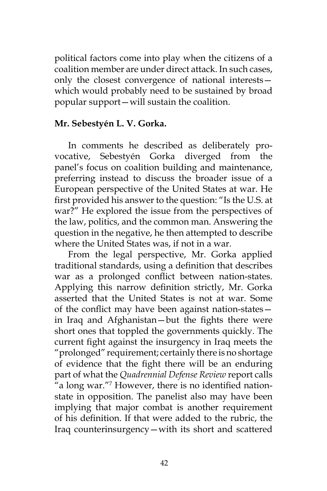political factors come into play when the citizens of a coalition member are under direct attack. In such cases, only the closest convergence of national interests which would probably need to be sustained by broad popular support—will sustain the coalition.

## **Mr. Sebestyén L. V. Gorka.**

In comments he described as deliberately provocative, Sebestyén Gorka diverged from the panel's focus on coalition building and maintenance, preferring instead to discuss the broader issue of a European perspective of the United States at war. He first provided his answer to the question: "Is the U.S. at war?" He explored the issue from the perspectives of the law, politics, and the common man. Answering the question in the negative, he then attempted to describe where the United States was, if not in a war.

From the legal perspective, Mr. Gorka applied traditional standards, using a definition that describes war as a prolonged conflict between nation-states. Applying this narrow definition strictly, Mr. Gorka asserted that the United States is not at war. Some of the conflict may have been against nation-states in Iraq and Afghanistan—but the fights there were short ones that toppled the governments quickly. The current fight against the insurgency in Iraq meets the "prolonged" requirement; certainly there is no shortage of evidence that the fight there will be an enduring part of what the *Quadrennial Defense Review* report calls "a long war."7 However, there is no identified nationstate in opposition. The panelist also may have been implying that major combat is another requirement of his definition. If that were added to the rubric, the Iraq counterinsurgency—with its short and scattered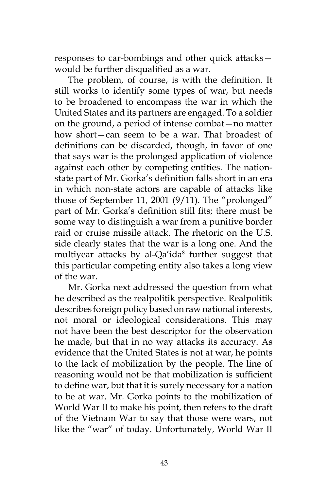responses to car-bombings and other quick attacks would be further disqualified as a war.

The problem, of course, is with the definition. It still works to identify some types of war, but needs to be broadened to encompass the war in which the United States and its partners are engaged. To a soldier on the ground, a period of intense combat—no matter how short—can seem to be a war. That broadest of definitions can be discarded, though, in favor of one that says war is the prolonged application of violence against each other by competing entities. The nationstate part of Mr. Gorka's definition falls short in an era in which non-state actors are capable of attacks like those of September 11, 2001 (9/11). The "prolonged" part of Mr. Gorka's definition still fits; there must be some way to distinguish a war from a punitive border raid or cruise missile attack. The rhetoric on the U.S. side clearly states that the war is a long one. And the multiyear attacks by al-Qa'ida<sup>8</sup> further suggest that this particular competing entity also takes a long view of the war.

Mr. Gorka next addressed the question from what he described as the realpolitik perspective. Realpolitik describes foreign policy based on raw national interests, not moral or ideological considerations. This may not have been the best descriptor for the observation he made, but that in no way attacks its accuracy. As evidence that the United States is not at war, he points to the lack of mobilization by the people. The line of reasoning would not be that mobilization is sufficient to define war, but that it is surely necessary for a nation to be at war. Mr. Gorka points to the mobilization of World War II to make his point, then refers to the draft of the Vietnam War to say that those were wars, not like the "war" of today. Unfortunately, World War II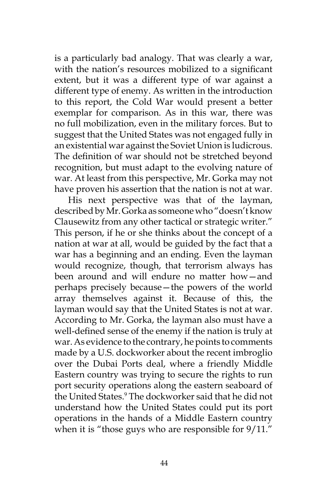is a particularly bad analogy. That was clearly a war, with the nation's resources mobilized to a significant extent, but it was a different type of war against a different type of enemy. As written in the introduction to this report, the Cold War would present a better exemplar for comparison. As in this war, there was no full mobilization, even in the military forces. But to suggest that the United States was not engaged fully in an existential war against the Soviet Union is ludicrous. The definition of war should not be stretched beyond recognition, but must adapt to the evolving nature of war. At least from this perspective, Mr. Gorka may not have proven his assertion that the nation is not at war.

His next perspective was that of the layman, described by Mr. Gorka as someone who "doesn't know Clausewitz from any other tactical or strategic writer." This person, if he or she thinks about the concept of a nation at war at all, would be guided by the fact that a war has a beginning and an ending. Even the layman would recognize, though, that terrorism always has been around and will endure no matter how—and perhaps precisely because—the powers of the world array themselves against it. Because of this, the layman would say that the United States is not at war. According to Mr. Gorka, the layman also must have a well-defined sense of the enemy if the nation is truly at war. As evidence to the contrary, he points to comments made by a U.S. dockworker about the recent imbroglio over the Dubai Ports deal, where a friendly Middle Eastern country was trying to secure the rights to run port security operations along the eastern seaboard of the United States.9 The dockworker said that he did not understand how the United States could put its port operations in the hands of a Middle Eastern country when it is "those guys who are responsible for  $9/11$ ."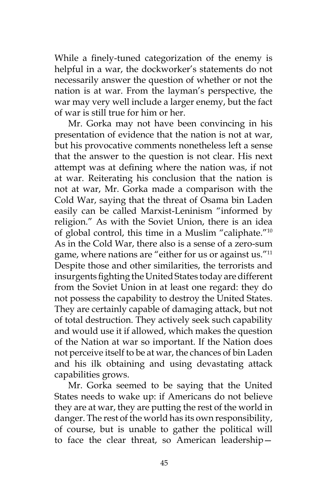While a finely-tuned categorization of the enemy is helpful in a war, the dockworker's statements do not necessarily answer the question of whether or not the nation is at war. From the layman's perspective, the war may very well include a larger enemy, but the fact of war is still true for him or her.

Mr. Gorka may not have been convincing in his presentation of evidence that the nation is not at war, but his provocative comments nonetheless left a sense that the answer to the question is not clear. His next attempt was at defining where the nation was, if not at war. Reiterating his conclusion that the nation is not at war, Mr. Gorka made a comparison with the Cold War, saying that the threat of Osama bin Laden easily can be called Marxist-Leninism "informed by religion." As with the Soviet Union, there is an idea of global control, this time in a Muslim "caliphate."10 As in the Cold War, there also is a sense of a zero-sum game, where nations are "either for us or against us."11 Despite those and other similarities, the terrorists and insurgents fighting the United States today are different from the Soviet Union in at least one regard: they do not possess the capability to destroy the United States. They are certainly capable of damaging attack, but not of total destruction. They actively seek such capability and would use it if allowed, which makes the question of the Nation at war so important. If the Nation does not perceive itself to be at war, the chances of bin Laden and his ilk obtaining and using devastating attack capabilities grows.

Mr. Gorka seemed to be saying that the United States needs to wake up: if Americans do not believe they are at war, they are putting the rest of the world in danger. The rest of the world has its own responsibility, of course, but is unable to gather the political will to face the clear threat, so American leadership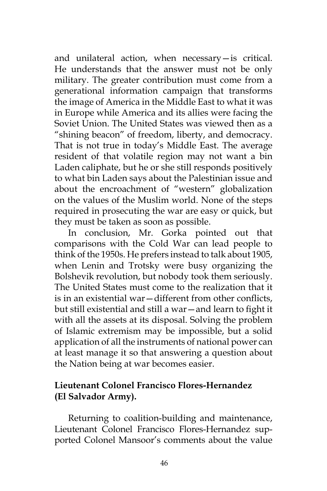and unilateral action, when necessary—is critical. He understands that the answer must not be only military. The greater contribution must come from a generational information campaign that transforms the image of America in the Middle East to what it was in Europe while America and its allies were facing the Soviet Union. The United States was viewed then as a "shining beacon" of freedom, liberty, and democracy. That is not true in today's Middle East. The average resident of that volatile region may not want a bin Laden caliphate, but he or she still responds positively to what bin Laden says about the Palestinian issue and about the encroachment of "western" globalization on the values of the Muslim world. None of the steps required in prosecuting the war are easy or quick, but they must be taken as soon as possible.

In conclusion, Mr. Gorka pointed out that comparisons with the Cold War can lead people to think of the 1950s. He prefers instead to talk about 1905, when Lenin and Trotsky were busy organizing the Bolshevik revolution, but nobody took them seriously. The United States must come to the realization that it is in an existential war—different from other conflicts, but still existential and still a war—and learn to fight it with all the assets at its disposal. Solving the problem of Islamic extremism may be impossible, but a solid application of all the instruments of national power can at least manage it so that answering a question about the Nation being at war becomes easier.

# **Lieutenant Colonel Francisco Flores-Hernandez (El Salvador Army).**

Returning to coalition-building and maintenance, Lieutenant Colonel Francisco Flores-Hernandez supported Colonel Mansoor's comments about the value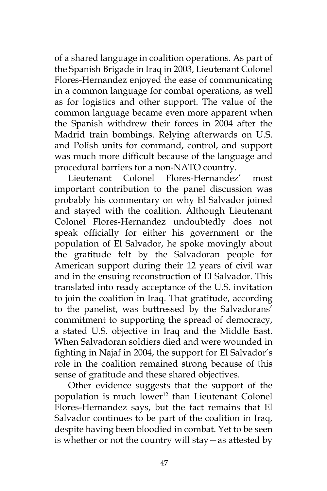of a shared language in coalition operations. As part of the Spanish Brigade in Iraq in 2003, Lieutenant Colonel Flores-Hernandez enjoyed the ease of communicating in a common language for combat operations, as well as for logistics and other support. The value of the common language became even more apparent when the Spanish withdrew their forces in 2004 after the Madrid train bombings. Relying afterwards on U.S. and Polish units for command, control, and support was much more difficult because of the language and procedural barriers for a non-NATO country.

Lieutenant Colonel Flores-Hernandez' most important contribution to the panel discussion was probably his commentary on why El Salvador joined and stayed with the coalition. Although Lieutenant Colonel Flores-Hernandez undoubtedly does not speak officially for either his government or the population of El Salvador, he spoke movingly about the gratitude felt by the Salvadoran people for American support during their 12 years of civil war and in the ensuing reconstruction of El Salvador. This translated into ready acceptance of the U.S. invitation to join the coalition in Iraq. That gratitude, according to the panelist, was buttressed by the Salvadorans' commitment to supporting the spread of democracy, a stated U.S. objective in Iraq and the Middle East. When Salvadoran soldiers died and were wounded in fighting in Najaf in 2004, the support for El Salvador's role in the coalition remained strong because of this sense of gratitude and these shared objectives.

Other evidence suggests that the support of the population is much lower<sup>12</sup> than Lieutenant Colonel Flores-Hernandez says, but the fact remains that El Salvador continues to be part of the coalition in Iraq, despite having been bloodied in combat. Yet to be seen is whether or not the country will stay—as attested by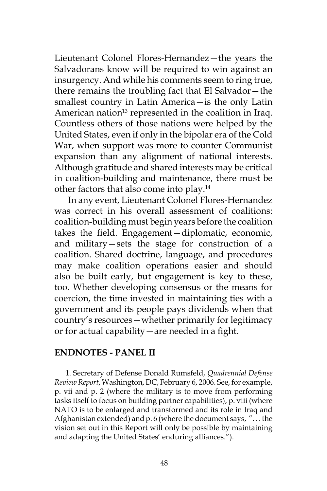Lieutenant Colonel Flores-Hernandez—the years the Salvadorans know will be required to win against an insurgency. And while his comments seem to ring true, there remains the troubling fact that El Salvador—the smallest country in Latin America—is the only Latin American nation<sup>13</sup> represented in the coalition in Iraq. Countless others of those nations were helped by the United States, even if only in the bipolar era of the Cold War, when support was more to counter Communist expansion than any alignment of national interests. Although gratitude and shared interests may be critical in coalition-building and maintenance, there must be other factors that also come into play.14

In any event, Lieutenant Colonel Flores-Hernandez was correct in his overall assessment of coalitions: coalition-building must begin years before the coalition takes the field. Engagement—diplomatic, economic, and military—sets the stage for construction of a coalition. Shared doctrine, language, and procedures may make coalition operations easier and should also be built early, but engagement is key to these, too. Whether developing consensus or the means for coercion, the time invested in maintaining ties with a government and its people pays dividends when that country's resources—whether primarily for legitimacy or for actual capability—are needed in a fight.

### **ENDNOTES - PANEL II**

1. Secretary of Defense Donald Rumsfeld, *Quadrennial Defense Review Report*, Washington, DC, February 6, 2006. See, for example, p. vii and p. 2 (where the military is to move from performing tasks itself to focus on building partner capabilities), p. viii (where NATO is to be enlarged and transformed and its role in Iraq and Afghanistan extended) and p. 6 (where the document says, ". . . the vision set out in this Report will only be possible by maintaining and adapting the United States' enduring alliances.").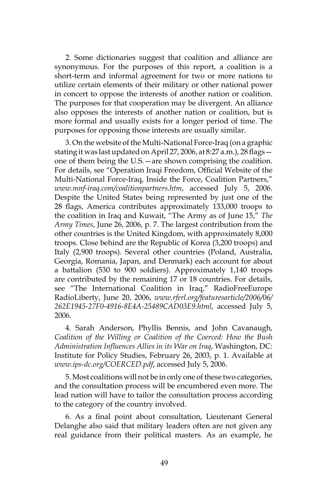2. Some dictionaries suggest that coalition and alliance are synonymous. For the purposes of this report, a coalition is a short-term and informal agreement for two or more nations to utilize certain elements of their military or other national power in concert to oppose the interests of another nation or coalition. The purposes for that cooperation may be divergent. An alliance also opposes the interests of another nation or coalition, but is more formal and usually exists for a longer period of time. The purposes for opposing those interests are usually similar.

3. On the website of the Multi-National Force-Iraq (on a graphic stating it was last updated on April 27, 2006, at 8:27 a.m.), 28 flags one of them being the U.S.—are shown comprising the coalition. For details, see "Operation Iraqi Freedom, Official Website of the Multi-National Force-Iraq, Inside the Force, Coalition Partners," *www.mnf-iraq.com/coalitionpartners.htm*, accessed July 5, 2006. Despite the United States being represented by just one of the 28 flags, America contributes approximately 133,000 troops to the coalition in Iraq and Kuwait, "The Army as of June 15," *The Army Times*, June 26, 2006, p. 7. The largest contribution from the other countries is the United Kingdom, with approximately 8,000 troops. Close behind are the Republic of Korea (3,200 troops) and Italy (2,900 troops). Several other countries (Poland, Australia, Georgia, Romania, Japan, and Denmark) each account for about a battalion (530 to 900 soldiers). Approximately 1,140 troops are contributed by the remaining 17 or 18 countries. For details, see "The International Coalition in Iraq," RadioFreeEurope RadioLiberty, June 20, 2006, *www.rferl.org/featuresarticle/2006/06/ 262E1945-27F0-4916-8E4A-25489CAD03E9.html*, accessed July 5, 2006.

4. Sarah Anderson, Phyllis Bennis, and John Cavanaugh, *Coalition of the Willing or Coalition of the Coerced: How the Bush Administration Influences Allies in its War on Iraq*, Washington, DC: Institute for Policy Studies, February 26, 2003, p. 1. Available at *www.ips-dc.org/COERCED.pdf*, accessed July 5, 2006.

5. Most coalitions will not be in only one of these two categories, and the consultation process will be encumbered even more. The lead nation will have to tailor the consultation process according to the category of the country involved.

6. As a final point about consultation, Lieutenant General Delanghe also said that military leaders often are not given any real guidance from their political masters. As an example, he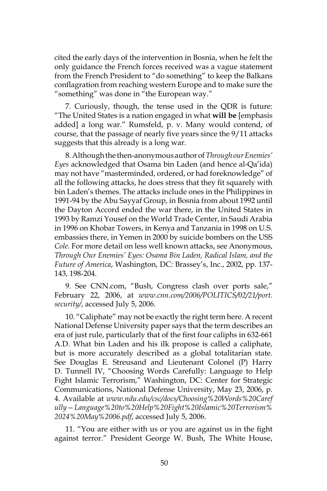cited the early days of the intervention in Bosnia, when he felt the only guidance the French forces received was a vague statement from the French President to "do something" to keep the Balkans conflagration from reaching western Europe and to make sure the "something" was done in "the European way."

7. Curiously, though, the tense used in the QDR is future: "The United States is a nation engaged in what **will be** [emphasis added] a long war." Rumsfeld, p. v. Many would contend, of course, that the passage of nearly five years since the 9/11 attacks suggests that this already is a long war.

8. Although the then-anonymous author of *Through our Enemies' Eyes* acknowledged that Osama bin Laden (and hence al-Qa'ida) may not have "masterminded, ordered, or had foreknowledge" of all the following attacks, he does stress that they fit squarely with bin Laden's themes. The attacks include ones in the Philippines in 1991-94 by the Abu Sayyaf Group, in Bosnia from about 1992 until the Dayton Accord ended the war there, in the United States in 1993 by Ramzi Yousef on the World Trade Center, in Saudi Arabia in 1996 on Khobar Towers, in Kenya and Tanzania in 1998 on U.S. embassies there, in Yemen in 2000 by suicide bombers on the USS *Cole*. For more detail on less well known attacks, see Anonymous, *Through Our Enemies' Eyes: Osama Bin Laden, Radical Islam, and the Future of America*, Washington, DC: Brassey's, Inc., 2002, pp. 137- 143, 198-204.

9. See CNN.com, "Bush, Congress clash over ports sale," February 22, 2006, at *www.cnn.com/2006/POLITICS/02/21/port. security/*, accessed July 5, 2006.

10. "Caliphate" may not be exactly the right term here. A recent National Defense University paper says that the term describes an era of just rule, particularly that of the first four caliphs in 632-661 A.D. What bin Laden and his ilk propose is called a caliphate, but is more accurately described as a global totalitarian state. See Douglas E. Streusand and Lieutenant Colonel (P) Harry D. Tunnell IV, "Choosing Words Carefully: Language to Help Fight Islamic Terrorism," Washington, DC: Center for Strategic Communications, National Defense University, May 23, 2006, p. 4. Available at *www.ndu.edu/csc/docs/Choosing%20Words%20Caref ully—Language%20to%20Help%20Fight%20Islamic%20Terrorism% 2024%20May%2006.pdf*, accessed July 5, 2006.

11. "You are either with us or you are against us in the fight against terror." President George W. Bush, The White House,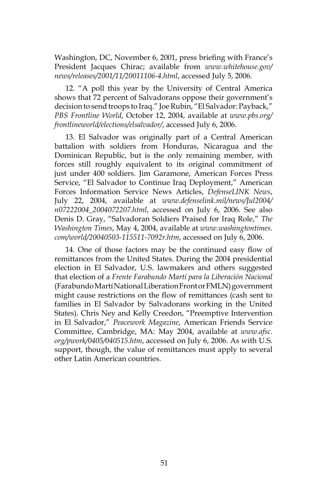Washington, DC, November 6, 2001, press briefing with France's President Jacques Chirac; available from *www.whitehouse.gov/ news/releases/2001/11/20011106-4.html*, accessed July 5, 2006.

12. "A poll this year by the University of Central America shows that 72 percent of Salvadorans oppose their government's decision to send troops to Iraq." Joe Rubin, "El Salvador: Payback," *PBS Frontline World*, October 12, 2004, available at *www.pbs.org/ frontlineworld/elections/elsalvador/*, accessed July 6, 2006.

13. El Salvador was originally part of a Central American battalion with soldiers from Honduras, Nicaragua and the Dominican Republic, but is the only remaining member, with forces still roughly equivalent to its original commitment of just under 400 soldiers. Jim Garamone, American Forces Press Service, "El Salvador to Continue Iraq Deployment," American Forces Information Service News Articles, *DefenseLINK News*, July 22, 2004, available at *www.defenselink.mil/news/Jul2004/ n07222004\_2004072207.html*, accessed on July 6, 2006. See also Denis D. Gray, "Salvadoran Soldiers Praised for Iraq Role," *The Washington Times*, May 4, 2004, available at *www.washingtontimes. com/world/20040503-115511-7092r.htm*, accessed on July 6, 2006.

14. One of those factors may be the continued easy flow of remittances from the United States. During the 2004 presidential election in El Salvador, U.S. lawmakers and others suggested that election of a *Frente Farabundo Martí para la Liberación Nacional* (Farabundo Martí National Liberation Front or FMLN) government might cause restrictions on the flow of remittances (cash sent to families in El Salvador by Salvadorans working in the United States). Chris Ney and Kelly Creedon, "Preemptive Intervention in El Salvador," *Peacework Magazine*, American Friends Service Committee, Cambridge, MA: May 2004, available at *www.afsc. org/pwork/0405/040515.htm*, accessed on July 6, 2006. As with U.S. support, though, the value of remittances must apply to several other Latin American countries.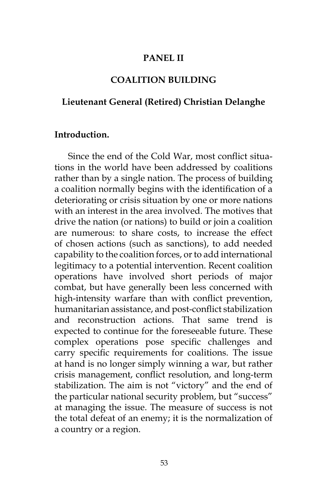### **PANEL II**

## **COALITION BUILDING**

### **Lieutenant General (Retired) Christian Delanghe**

#### **Introduction.**

Since the end of the Cold War, most conflict situations in the world have been addressed by coalitions rather than by a single nation. The process of building a coalition normally begins with the identification of a deteriorating or crisis situation by one or more nations with an interest in the area involved. The motives that drive the nation (or nations) to build or join a coalition are numerous: to share costs, to increase the effect of chosen actions (such as sanctions), to add needed capability to the coalition forces, or to add international legitimacy to a potential intervention. Recent coalition operations have involved short periods of major combat, but have generally been less concerned with high-intensity warfare than with conflict prevention, humanitarian assistance, and post-conflict stabilization and reconstruction actions. That same trend is expected to continue for the foreseeable future. These complex operations pose specific challenges and carry specific requirements for coalitions. The issue at hand is no longer simply winning a war, but rather crisis management, conflict resolution, and long-term stabilization. The aim is not "victory" and the end of the particular national security problem, but "success" at managing the issue. The measure of success is not the total defeat of an enemy; it is the normalization of a country or a region.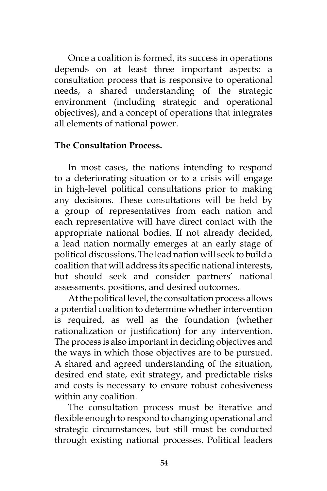Once a coalition is formed, its success in operations depends on at least three important aspects: a consultation process that is responsive to operational needs, a shared understanding of the strategic environment (including strategic and operational objectives), and a concept of operations that integrates all elements of national power.

### **The Consultation Process.**

In most cases, the nations intending to respond to a deteriorating situation or to a crisis will engage in high-level political consultations prior to making any decisions. These consultations will be held by a group of representatives from each nation and each representative will have direct contact with the appropriate national bodies. If not already decided, a lead nation normally emerges at an early stage of political discussions. The lead nation will seek to build a coalition that will address its specific national interests, but should seek and consider partners' national assessments, positions, and desired outcomes.

At the political level, the consultation process allows a potential coalition to determine whether intervention is required, as well as the foundation (whether rationalization or justification) for any intervention. The process is also important in deciding objectives and the ways in which those objectives are to be pursued. A shared and agreed understanding of the situation, desired end state, exit strategy, and predictable risks and costs is necessary to ensure robust cohesiveness within any coalition.

The consultation process must be iterative and flexible enough to respond to changing operational and strategic circumstances, but still must be conducted through existing national processes. Political leaders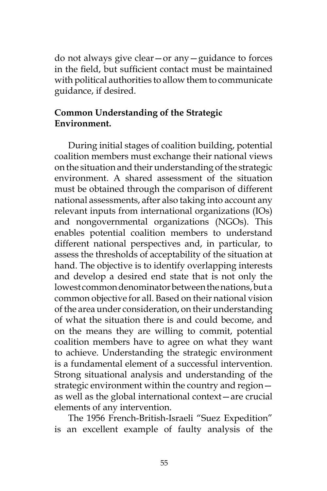do not always give clear—or any—guidance to forces in the field, but sufficient contact must be maintained with political authorities to allow them to communicate guidance, if desired.

# **Common Understanding of the Strategic Environment.**

During initial stages of coalition building, potential coalition members must exchange their national views on the situation and their understanding of the strategic environment. A shared assessment of the situation must be obtained through the comparison of different national assessments, after also taking into account any relevant inputs from international organizations (IOs) and nongovernmental organizations (NGOs). This enables potential coalition members to understand different national perspectives and, in particular, to assess the thresholds of acceptability of the situation at hand. The objective is to identify overlapping interests and develop a desired end state that is not only the lowest common denominator between the nations, but a common objective for all. Based on their national vision of the area under consideration, on their understanding of what the situation there is and could become, and on the means they are willing to commit, potential coalition members have to agree on what they want to achieve. Understanding the strategic environment is a fundamental element of a successful intervention. Strong situational analysis and understanding of the strategic environment within the country and region as well as the global international context—are crucial elements of any intervention.

The 1956 French-British-Israeli "Suez Expedition" is an excellent example of faulty analysis of the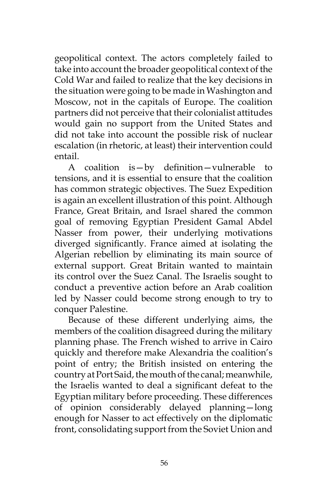geopolitical context. The actors completely failed to take into account the broader geopolitical context of the Cold War and failed to realize that the key decisions in the situation were going to be made in Washington and Moscow, not in the capitals of Europe. The coalition partners did not perceive that their colonialist attitudes would gain no support from the United States and did not take into account the possible risk of nuclear escalation (in rhetoric, at least) their intervention could entail.

A coalition is—by definition—vulnerable to tensions, and it is essential to ensure that the coalition has common strategic objectives. The Suez Expedition is again an excellent illustration of this point. Although France, Great Britain, and Israel shared the common goal of removing Egyptian President Gamal Abdel Nasser from power, their underlying motivations diverged significantly. France aimed at isolating the Algerian rebellion by eliminating its main source of external support. Great Britain wanted to maintain its control over the Suez Canal. The Israelis sought to conduct a preventive action before an Arab coalition led by Nasser could become strong enough to try to conquer Palestine.

Because of these different underlying aims, the members of the coalition disagreed during the military planning phase. The French wished to arrive in Cairo quickly and therefore make Alexandria the coalition's point of entry; the British insisted on entering the country at Port Said, the mouth of the canal; meanwhile, the Israelis wanted to deal a significant defeat to the Egyptian military before proceeding. These differences of opinion considerably delayed planning—long enough for Nasser to act effectively on the diplomatic front, consolidating support from the Soviet Union and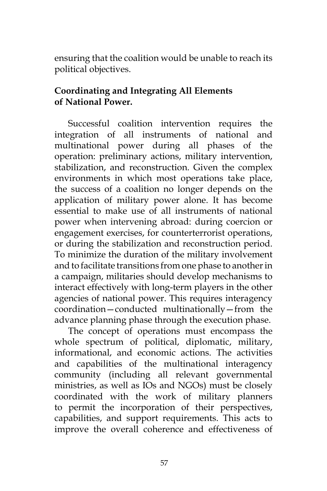ensuring that the coalition would be unable to reach its political objectives.

# **Coordinating and Integrating All Elements of National Power.**

Successful coalition intervention requires the integration of all instruments of national and multinational power during all phases of the operation: preliminary actions, military intervention, stabilization, and reconstruction. Given the complex environments in which most operations take place, the success of a coalition no longer depends on the application of military power alone. It has become essential to make use of all instruments of national power when intervening abroad: during coercion or engagement exercises, for counterterrorist operations, or during the stabilization and reconstruction period. To minimize the duration of the military involvement and to facilitate transitions from one phase to another in a campaign, militaries should develop mechanisms to interact effectively with long-term players in the other agencies of national power. This requires interagency coordination—conducted multinationally—from the advance planning phase through the execution phase.

The concept of operations must encompass the whole spectrum of political, diplomatic, military, informational, and economic actions. The activities and capabilities of the multinational interagency community (including all relevant governmental ministries, as well as IOs and NGOs) must be closely coordinated with the work of military planners to permit the incorporation of their perspectives, capabilities, and support requirements. This acts to improve the overall coherence and effectiveness of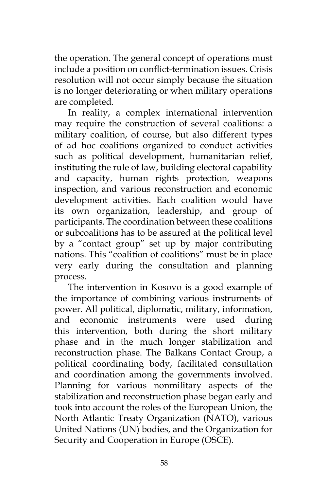the operation. The general concept of operations must include a position on conflict-termination issues. Crisis resolution will not occur simply because the situation is no longer deteriorating or when military operations are completed.

In reality, a complex international intervention may require the construction of several coalitions: a military coalition, of course, but also different types of ad hoc coalitions organized to conduct activities such as political development, humanitarian relief, instituting the rule of law, building electoral capability and capacity, human rights protection, weapons inspection, and various reconstruction and economic development activities. Each coalition would have its own organization, leadership, and group of participants. The coordination between these coalitions or subcoalitions has to be assured at the political level by a "contact group" set up by major contributing nations. This "coalition of coalitions" must be in place very early during the consultation and planning process.

The intervention in Kosovo is a good example of the importance of combining various instruments of power. All political, diplomatic, military, information, and economic instruments were used during this intervention, both during the short military phase and in the much longer stabilization and reconstruction phase. The Balkans Contact Group, a political coordinating body, facilitated consultation and coordination among the governments involved. Planning for various nonmilitary aspects of the stabilization and reconstruction phase began early and took into account the roles of the European Union, the North Atlantic Treaty Organization (NATO), various United Nations (UN) bodies, and the Organization for Security and Cooperation in Europe (OSCE).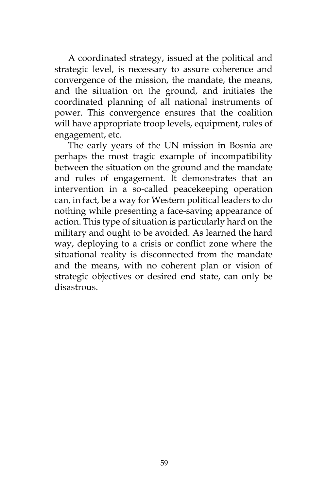A coordinated strategy, issued at the political and strategic level, is necessary to assure coherence and convergence of the mission, the mandate, the means, and the situation on the ground, and initiates the coordinated planning of all national instruments of power. This convergence ensures that the coalition will have appropriate troop levels, equipment, rules of engagement, etc.

The early years of the UN mission in Bosnia are perhaps the most tragic example of incompatibility between the situation on the ground and the mandate and rules of engagement. It demonstrates that an intervention in a so-called peacekeeping operation can, in fact, be a way for Western political leaders to do nothing while presenting a face-saving appearance of action. This type of situation is particularly hard on the military and ought to be avoided. As learned the hard way, deploying to a crisis or conflict zone where the situational reality is disconnected from the mandate and the means, with no coherent plan or vision of strategic objectives or desired end state, can only be disastrous.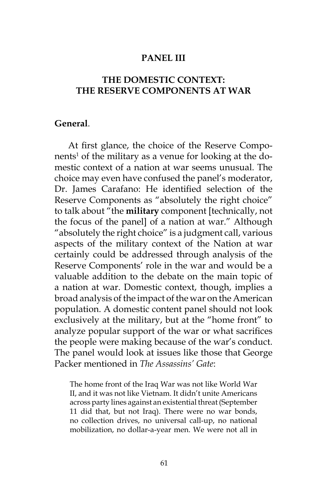#### **PANEL III**

# **THE DOMESTIC CONTEXT: THE RESERVE COMPONENTS AT WAR**

### **General**.

At first glance, the choice of the Reserve Components<sup>1</sup> of the military as a venue for looking at the domestic context of a nation at war seems unusual. The choice may even have confused the panel's moderator, Dr. James Carafano: He identified selection of the Reserve Components as "absolutely the right choice" to talk about "the **military** component [technically, not the focus of the panel] of a nation at war." Although "absolutely the right choice" is a judgment call, various aspects of the military context of the Nation at war certainly could be addressed through analysis of the Reserve Components' role in the war and would be a valuable addition to the debate on the main topic of a nation at war. Domestic context, though, implies a broad analysis of the impact of the war on the American population. A domestic content panel should not look exclusively at the military, but at the "home front" to analyze popular support of the war or what sacrifices the people were making because of the war's conduct. The panel would look at issues like those that George Packer mentioned in *The Assassins' Gate*:

The home front of the Iraq War was not like World War II, and it was not like Vietnam. It didn't unite Americans across party lines against an existential threat (September 11 did that, but not Iraq). There were no war bonds, no collection drives, no universal call-up, no national mobilization, no dollar-a-year men. We were not all in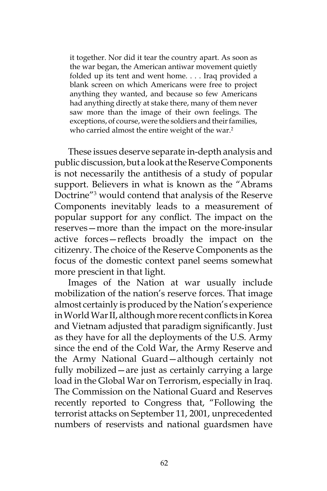it together. Nor did it tear the country apart. As soon as the war began, the American antiwar movement quietly folded up its tent and went home. . . . Iraq provided a blank screen on which Americans were free to project anything they wanted, and because so few Americans had anything directly at stake there, many of them never saw more than the image of their own feelings. The exceptions, of course, were the soldiers and their families, who carried almost the entire weight of the war.<sup>2</sup>

These issues deserve separate in-depth analysis and public discussion, but a look at the Reserve Components is not necessarily the antithesis of a study of popular support. Believers in what is known as the "Abrams Doctrine"3 would contend that analysis of the Reserve Components inevitably leads to a measurement of popular support for any conflict. The impact on the reserves—more than the impact on the more-insular active forces—reflects broadly the impact on the citizenry. The choice of the Reserve Components as the focus of the domestic context panel seems somewhat more prescient in that light.

Images of the Nation at war usually include mobilization of the nation's reserve forces. That image almost certainly is produced by the Nation's experience in World War II, although more recent conflicts in Korea and Vietnam adjusted that paradigm significantly. Just as they have for all the deployments of the U.S. Army since the end of the Cold War, the Army Reserve and the Army National Guard—although certainly not fully mobilized—are just as certainly carrying a large load in the Global War on Terrorism, especially in Iraq. The Commission on the National Guard and Reserves recently reported to Congress that, "Following the terrorist attacks on September 11, 2001, unprecedented numbers of reservists and national guardsmen have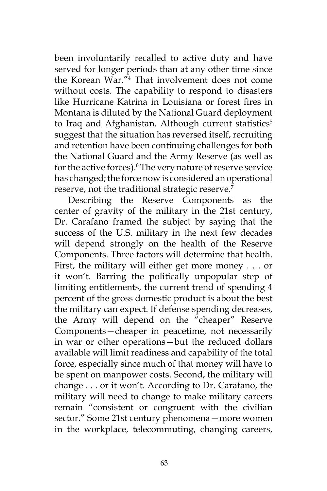been involuntarily recalled to active duty and have served for longer periods than at any other time since the Korean War."4 That involvement does not come without costs. The capability to respond to disasters like Hurricane Katrina in Louisiana or forest fires in Montana is diluted by the National Guard deployment to Iraq and Afghanistan. Although current statistics<sup>5</sup> suggest that the situation has reversed itself, recruiting and retention have been continuing challenges for both the National Guard and the Army Reserve (as well as for the active forces).<sup>6</sup> The very nature of reserve service has changed; the force now is considered an operational reserve, not the traditional strategic reserve.<sup>7</sup>

Describing the Reserve Components as the center of gravity of the military in the 21st century, Dr. Carafano framed the subject by saying that the success of the U.S. military in the next few decades will depend strongly on the health of the Reserve Components. Three factors will determine that health. First, the military will either get more money . . . or it won't. Barring the politically unpopular step of limiting entitlements, the current trend of spending 4 percent of the gross domestic product is about the best the military can expect. If defense spending decreases, the Army will depend on the "cheaper" Reserve Components—cheaper in peacetime, not necessarily in war or other operations—but the reduced dollars available will limit readiness and capability of the total force, especially since much of that money will have to be spent on manpower costs. Second, the military will change . . . or it won't. According to Dr. Carafano, the military will need to change to make military careers remain "consistent or congruent with the civilian sector." Some 21st century phenomena—more women in the workplace, telecommuting, changing careers,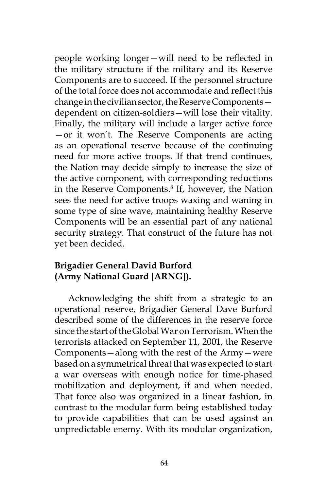people working longer—will need to be reflected in the military structure if the military and its Reserve Components are to succeed. If the personnel structure of the total force does not accommodate and reflect this change in the civilian sector, the Reserve Components dependent on citizen-soldiers—will lose their vitality. Finally, the military will include a larger active force —or it won't. The Reserve Components are acting as an operational reserve because of the continuing need for more active troops. If that trend continues, the Nation may decide simply to increase the size of the active component, with corresponding reductions in the Reserve Components.<sup>8</sup> If, however, the Nation sees the need for active troops waxing and waning in some type of sine wave, maintaining healthy Reserve Components will be an essential part of any national security strategy. That construct of the future has not yet been decided.

# **Brigadier General David Burford (Army National Guard [ARNG]).**

Acknowledging the shift from a strategic to an operational reserve, Brigadier General Dave Burford described some of the differences in the reserve force since the start of the Global War on Terrorism. When the terrorists attacked on September 11, 2001, the Reserve Components—along with the rest of the Army—were based on a symmetrical threat that was expected to start a war overseas with enough notice for time-phased mobilization and deployment, if and when needed. That force also was organized in a linear fashion, in contrast to the modular form being established today to provide capabilities that can be used against an unpredictable enemy. With its modular organization,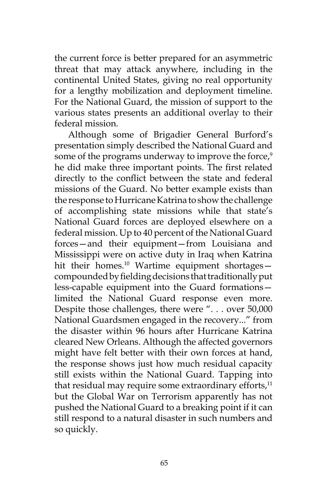the current force is better prepared for an asymmetric threat that may attack anywhere, including in the continental United States, giving no real opportunity for a lengthy mobilization and deployment timeline. For the National Guard, the mission of support to the various states presents an additional overlay to their federal mission.

Although some of Brigadier General Burford's presentation simply described the National Guard and some of the programs underway to improve the force,<sup>9</sup> he did make three important points. The first related directly to the conflict between the state and federal missions of the Guard. No better example exists than the response to Hurricane Katrina to show the challenge of accomplishing state missions while that state's National Guard forces are deployed elsewhere on a federal mission. Up to 40 percent of the National Guard forces—and their equipment—from Louisiana and Mississippi were on active duty in Iraq when Katrina hit their homes.<sup>10</sup> Wartime equipment shortagescompounded by fielding decisions that traditionally put less-capable equipment into the Guard formations limited the National Guard response even more. Despite those challenges, there were ". . . over 50,000 National Guardsmen engaged in the recovery..." from the disaster within 96 hours after Hurricane Katrina cleared New Orleans. Although the affected governors might have felt better with their own forces at hand, the response shows just how much residual capacity still exists within the National Guard. Tapping into that residual may require some extraordinary efforts, $11$ but the Global War on Terrorism apparently has not pushed the National Guard to a breaking point if it can still respond to a natural disaster in such numbers and so quickly.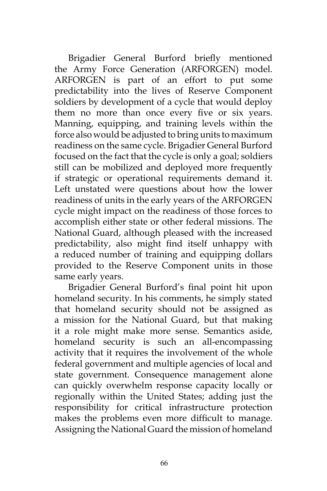Brigadier General Burford briefly mentioned the Army Force Generation (ARFORGEN) model. ARFORGEN is part of an effort to put some predictability into the lives of Reserve Component soldiers by development of a cycle that would deploy them no more than once every five or six years. Manning, equipping, and training levels within the force also would be adjusted to bring units to maximum readiness on the same cycle. Brigadier General Burford focused on the fact that the cycle is only a goal; soldiers still can be mobilized and deployed more frequently if strategic or operational requirements demand it. Left unstated were questions about how the lower readiness of units in the early years of the ARFORGEN cycle might impact on the readiness of those forces to accomplish either state or other federal missions. The National Guard, although pleased with the increased predictability, also might find itself unhappy with a reduced number of training and equipping dollars provided to the Reserve Component units in those same early years.

Brigadier General Burford's final point hit upon homeland security. In his comments, he simply stated that homeland security should not be assigned as a mission for the National Guard, but that making it a role might make more sense. Semantics aside, homeland security is such an all-encompassing activity that it requires the involvement of the whole federal government and multiple agencies of local and state government. Consequence management alone can quickly overwhelm response capacity locally or regionally within the United States; adding just the responsibility for critical infrastructure protection makes the problems even more difficult to manage. Assigning the National Guard the mission of homeland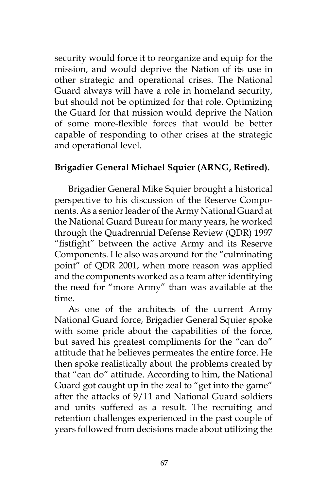security would force it to reorganize and equip for the mission, and would deprive the Nation of its use in other strategic and operational crises. The National Guard always will have a role in homeland security, but should not be optimized for that role. Optimizing the Guard for that mission would deprive the Nation of some more-flexible forces that would be better capable of responding to other crises at the strategic and operational level.

## **Brigadier General Michael Squier (ARNG, Retired).**

Brigadier General Mike Squier brought a historical perspective to his discussion of the Reserve Components. As a senior leader of the Army National Guard at the National Guard Bureau for many years, he worked through the Quadrennial Defense Review (QDR) 1997 "fistfight" between the active Army and its Reserve Components. He also was around for the "culminating point" of QDR 2001, when more reason was applied and the components worked as a team after identifying the need for "more Army" than was available at the time.

As one of the architects of the current Army National Guard force, Brigadier General Squier spoke with some pride about the capabilities of the force, but saved his greatest compliments for the "can do" attitude that he believes permeates the entire force. He then spoke realistically about the problems created by that "can do" attitude. According to him, the National Guard got caught up in the zeal to "get into the game" after the attacks of 9/11 and National Guard soldiers and units suffered as a result. The recruiting and retention challenges experienced in the past couple of years followed from decisions made about utilizing the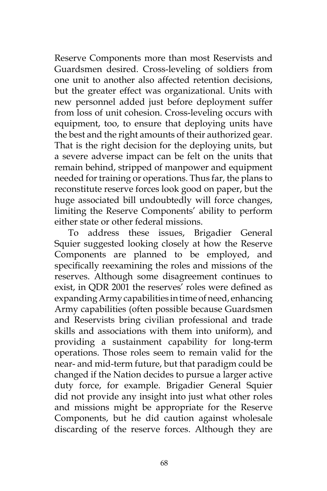Reserve Components more than most Reservists and Guardsmen desired. Cross-leveling of soldiers from one unit to another also affected retention decisions, but the greater effect was organizational. Units with new personnel added just before deployment suffer from loss of unit cohesion. Cross-leveling occurs with equipment, too, to ensure that deploying units have the best and the right amounts of their authorized gear. That is the right decision for the deploying units, but a severe adverse impact can be felt on the units that remain behind, stripped of manpower and equipment needed for training or operations. Thus far, the plans to reconstitute reserve forces look good on paper, but the huge associated bill undoubtedly will force changes, limiting the Reserve Components' ability to perform either state or other federal missions.

To address these issues, Brigadier General Squier suggested looking closely at how the Reserve Components are planned to be employed, and specifically reexamining the roles and missions of the reserves. Although some disagreement continues to exist, in QDR 2001 the reserves' roles were defined as expanding Army capabilities in time of need, enhancing Army capabilities (often possible because Guardsmen and Reservists bring civilian professional and trade skills and associations with them into uniform), and providing a sustainment capability for long-term operations. Those roles seem to remain valid for the near- and mid-term future, but that paradigm could be changed if the Nation decides to pursue a larger active duty force, for example. Brigadier General Squier did not provide any insight into just what other roles and missions might be appropriate for the Reserve Components, but he did caution against wholesale discarding of the reserve forces. Although they are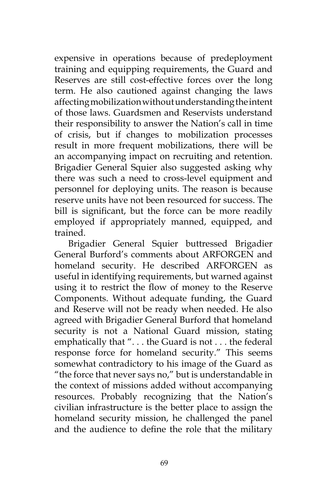expensive in operations because of predeployment training and equipping requirements, the Guard and Reserves are still cost-effective forces over the long term. He also cautioned against changing the laws affecting mobilization without understanding the intent of those laws. Guardsmen and Reservists understand their responsibility to answer the Nation's call in time of crisis, but if changes to mobilization processes result in more frequent mobilizations, there will be an accompanying impact on recruiting and retention. Brigadier General Squier also suggested asking why there was such a need to cross-level equipment and personnel for deploying units. The reason is because reserve units have not been resourced for success. The bill is significant, but the force can be more readily employed if appropriately manned, equipped, and trained.

Brigadier General Squier buttressed Brigadier General Burford's comments about ARFORGEN and homeland security. He described ARFORGEN as useful in identifying requirements, but warned against using it to restrict the flow of money to the Reserve Components. Without adequate funding, the Guard and Reserve will not be ready when needed. He also agreed with Brigadier General Burford that homeland security is not a National Guard mission, stating emphatically that ". . . the Guard is not . . . the federal response force for homeland security." This seems somewhat contradictory to his image of the Guard as "the force that never says no," but is understandable in the context of missions added without accompanying resources. Probably recognizing that the Nation's civilian infrastructure is the better place to assign the homeland security mission, he challenged the panel and the audience to define the role that the military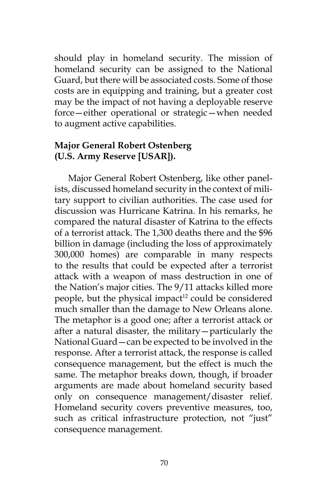should play in homeland security. The mission of homeland security can be assigned to the National Guard, but there will be associated costs. Some of those costs are in equipping and training, but a greater cost may be the impact of not having a deployable reserve force—either operational or strategic—when needed to augment active capabilities.

## **Major General Robert Ostenberg (U.S. Army Reserve [USAR]).**

Major General Robert Ostenberg, like other panelists, discussed homeland security in the context of military support to civilian authorities. The case used for discussion was Hurricane Katrina. In his remarks, he compared the natural disaster of Katrina to the effects of a terrorist attack. The 1,300 deaths there and the \$96 billion in damage (including the loss of approximately 300,000 homes) are comparable in many respects to the results that could be expected after a terrorist attack with a weapon of mass destruction in one of the Nation's major cities. The 9/11 attacks killed more people, but the physical impact<sup>12</sup> could be considered much smaller than the damage to New Orleans alone. The metaphor is a good one; after a terrorist attack or after a natural disaster, the military—particularly the National Guard—can be expected to be involved in the response. After a terrorist attack, the response is called consequence management, but the effect is much the same. The metaphor breaks down, though, if broader arguments are made about homeland security based only on consequence management/disaster relief. Homeland security covers preventive measures, too, such as critical infrastructure protection, not "just" consequence management.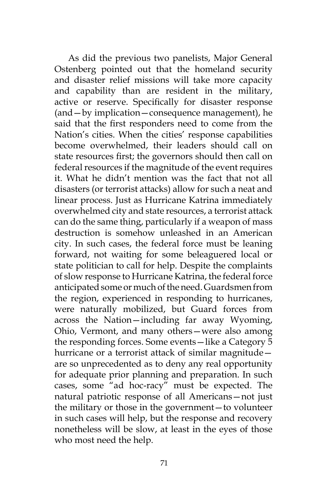As did the previous two panelists, Major General Ostenberg pointed out that the homeland security and disaster relief missions will take more capacity and capability than are resident in the military, active or reserve. Specifically for disaster response (and—by implication—consequence management), he said that the first responders need to come from the Nation's cities. When the cities' response capabilities become overwhelmed, their leaders should call on state resources first; the governors should then call on federal resources if the magnitude of the event requires it. What he didn't mention was the fact that not all disasters (or terrorist attacks) allow for such a neat and linear process. Just as Hurricane Katrina immediately overwhelmed city and state resources, a terrorist attack can do the same thing, particularly if a weapon of mass destruction is somehow unleashed in an American city. In such cases, the federal force must be leaning forward, not waiting for some beleaguered local or state politician to call for help. Despite the complaints of slow response to Hurricane Katrina, the federal force anticipated some or much of the need. Guardsmen from the region, experienced in responding to hurricanes, were naturally mobilized, but Guard forces from across the Nation—including far away Wyoming, Ohio, Vermont, and many others—were also among the responding forces. Some events—like a Category 5 hurricane or a terrorist attack of similar magnitude are so unprecedented as to deny any real opportunity for adequate prior planning and preparation. In such cases, some "ad hoc-racy" must be expected. The natural patriotic response of all Americans—not just the military or those in the government—to volunteer in such cases will help, but the response and recovery nonetheless will be slow, at least in the eyes of those who most need the help.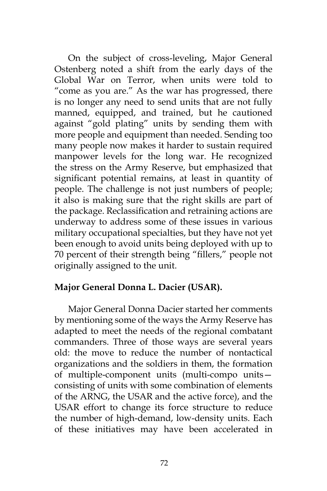On the subject of cross-leveling, Major General Ostenberg noted a shift from the early days of the Global War on Terror, when units were told to "come as you are." As the war has progressed, there is no longer any need to send units that are not fully manned, equipped, and trained, but he cautioned against "gold plating" units by sending them with more people and equipment than needed. Sending too many people now makes it harder to sustain required manpower levels for the long war. He recognized the stress on the Army Reserve, but emphasized that significant potential remains, at least in quantity of people. The challenge is not just numbers of people; it also is making sure that the right skills are part of the package. Reclassification and retraining actions are underway to address some of these issues in various military occupational specialties, but they have not yet been enough to avoid units being deployed with up to 70 percent of their strength being "fillers," people not originally assigned to the unit.

## **Major General Donna L. Dacier (USAR).**

Major General Donna Dacier started her comments by mentioning some of the ways the Army Reserve has adapted to meet the needs of the regional combatant commanders. Three of those ways are several years old: the move to reduce the number of nontactical organizations and the soldiers in them, the formation of multiple-component units (multi-compo units consisting of units with some combination of elements of the ARNG, the USAR and the active force), and the USAR effort to change its force structure to reduce the number of high-demand, low-density units. Each of these initiatives may have been accelerated in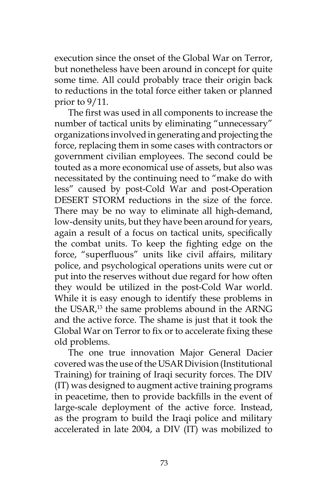execution since the onset of the Global War on Terror, but nonetheless have been around in concept for quite some time. All could probably trace their origin back to reductions in the total force either taken or planned prior to 9/11.

The first was used in all components to increase the number of tactical units by eliminating "unnecessary" organizations involved in generating and projecting the force, replacing them in some cases with contractors or government civilian employees. The second could be touted as a more economical use of assets, but also was necessitated by the continuing need to "make do with less" caused by post-Cold War and post-Operation DESERT STORM reductions in the size of the force. There may be no way to eliminate all high-demand, low-density units, but they have been around for years, again a result of a focus on tactical units, specifically the combat units. To keep the fighting edge on the force, "superfluous" units like civil affairs, military police, and psychological operations units were cut or put into the reserves without due regard for how often they would be utilized in the post-Cold War world. While it is easy enough to identify these problems in the USAR,13 the same problems abound in the ARNG and the active force. The shame is just that it took the Global War on Terror to fix or to accelerate fixing these old problems.

The one true innovation Major General Dacier covered was the use of the USAR Division (Institutional Training) for training of Iraqi security forces. The DIV (IT) was designed to augment active training programs in peacetime, then to provide backfills in the event of large-scale deployment of the active force. Instead, as the program to build the Iraqi police and military accelerated in late 2004, a DIV (IT) was mobilized to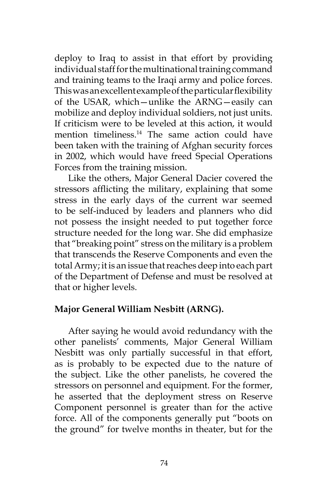deploy to Iraq to assist in that effort by providing individual staff for the multinational training command and training teams to the Iraqi army and police forces. This was an excellent example of the particular flexibility of the USAR, which—unlike the ARNG—easily can mobilize and deploy individual soldiers, not just units. If criticism were to be leveled at this action, it would mention timeliness.<sup>14</sup> The same action could have been taken with the training of Afghan security forces in 2002, which would have freed Special Operations Forces from the training mission.

Like the others, Major General Dacier covered the stressors afflicting the military, explaining that some stress in the early days of the current war seemed to be self-induced by leaders and planners who did not possess the insight needed to put together force structure needed for the long war. She did emphasize that "breaking point" stress on the military is a problem that transcends the Reserve Components and even the total Army; it is an issue that reaches deep into each part of the Department of Defense and must be resolved at that or higher levels.

## **Major General William Nesbitt (ARNG).**

After saying he would avoid redundancy with the other panelists' comments, Major General William Nesbitt was only partially successful in that effort, as is probably to be expected due to the nature of the subject. Like the other panelists, he covered the stressors on personnel and equipment. For the former, he asserted that the deployment stress on Reserve Component personnel is greater than for the active force. All of the components generally put "boots on the ground" for twelve months in theater, but for the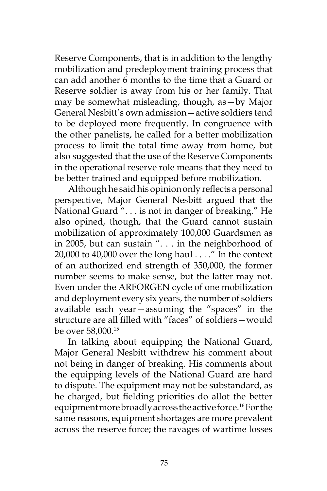Reserve Components, that is in addition to the lengthy mobilization and predeployment training process that can add another 6 months to the time that a Guard or Reserve soldier is away from his or her family. That may be somewhat misleading, though, as—by Major General Nesbitt's own admission—active soldiers tend to be deployed more frequently. In congruence with the other panelists, he called for a better mobilization process to limit the total time away from home, but also suggested that the use of the Reserve Components in the operational reserve role means that they need to be better trained and equipped before mobilization.

Although he said his opinion only reflects a personal perspective, Major General Nesbitt argued that the National Guard ". . . is not in danger of breaking." He also opined, though, that the Guard cannot sustain mobilization of approximately 100,000 Guardsmen as in 2005, but can sustain ". . . in the neighborhood of 20,000 to 40,000 over the long haul . . . ." In the context of an authorized end strength of 350,000, the former number seems to make sense, but the latter may not. Even under the ARFORGEN cycle of one mobilization and deployment every six years, the number of soldiers available each year—assuming the "spaces" in the structure are all filled with "faces" of soldiers—would be over 58,000.15

In talking about equipping the National Guard, Major General Nesbitt withdrew his comment about not being in danger of breaking. His comments about the equipping levels of the National Guard are hard to dispute. The equipment may not be substandard, as he charged, but fielding priorities do allot the better equipment more broadly across the active force.<sup>16</sup> For the same reasons, equipment shortages are more prevalent across the reserve force; the ravages of wartime losses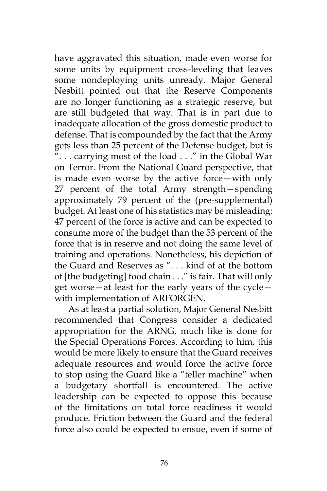have aggravated this situation, made even worse for some units by equipment cross-leveling that leaves some nondeploying units unready. Major General Nesbitt pointed out that the Reserve Components are no longer functioning as a strategic reserve, but are still budgeted that way. That is in part due to inadequate allocation of the gross domestic product to defense. That is compounded by the fact that the Army gets less than 25 percent of the Defense budget, but is ". . . carrying most of the load . . ." in the Global War on Terror. From the National Guard perspective, that is made even worse by the active force—with only 27 percent of the total Army strength—spending approximately 79 percent of the (pre-supplemental) budget. At least one of his statistics may be misleading: 47 percent of the force is active and can be expected to consume more of the budget than the 53 percent of the force that is in reserve and not doing the same level of training and operations. Nonetheless, his depiction of the Guard and Reserves as ". . . kind of at the bottom of [the budgeting] food chain . . ." is fair. That will only get worse—at least for the early years of the cycle with implementation of ARFORGEN.

As at least a partial solution, Major General Nesbitt recommended that Congress consider a dedicated appropriation for the ARNG, much like is done for the Special Operations Forces. According to him, this would be more likely to ensure that the Guard receives adequate resources and would force the active force to stop using the Guard like a "teller machine" when a budgetary shortfall is encountered. The active leadership can be expected to oppose this because of the limitations on total force readiness it would produce. Friction between the Guard and the federal force also could be expected to ensue, even if some of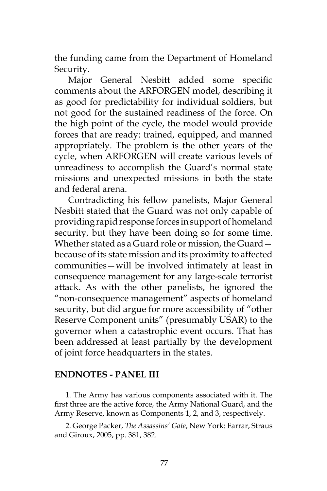the funding came from the Department of Homeland Security.

Major General Nesbitt added some specific comments about the ARFORGEN model, describing it as good for predictability for individual soldiers, but not good for the sustained readiness of the force. On the high point of the cycle, the model would provide forces that are ready: trained, equipped, and manned appropriately. The problem is the other years of the cycle, when ARFORGEN will create various levels of unreadiness to accomplish the Guard's normal state missions and unexpected missions in both the state and federal arena.

Contradicting his fellow panelists, Major General Nesbitt stated that the Guard was not only capable of providing rapid response forces in support of homeland security, but they have been doing so for some time. Whether stated as a Guard role or mission, the Guard because of its state mission and its proximity to affected communities—will be involved intimately at least in consequence management for any large-scale terrorist attack. As with the other panelists, he ignored the "non-consequence management" aspects of homeland security, but did argue for more accessibility of "other Reserve Component units" (presumably USAR) to the governor when a catastrophic event occurs. That has been addressed at least partially by the development of joint force headquarters in the states.

### **ENDNOTES - PANEL III**

1. The Army has various components associated with it. The first three are the active force, the Army National Guard, and the Army Reserve, known as Components 1, 2, and 3, respectively.

2. George Packer, *The Assassins' Gate*, New York: Farrar, Straus and Giroux, 2005, pp. 381, 382.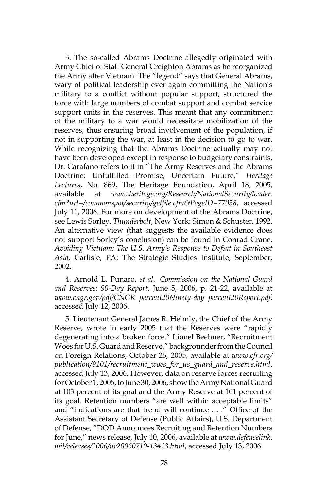3. The so-called Abrams Doctrine allegedly originated with Army Chief of Staff General Creighton Abrams as he reorganized the Army after Vietnam. The "legend" says that General Abrams, wary of political leadership ever again committing the Nation's military to a conflict without popular support, structured the force with large numbers of combat support and combat service support units in the reserves. This meant that any commitment of the military to a war would necessitate mobilization of the reserves, thus ensuring broad involvement of the population, if not in supporting the war, at least in the decision to go to war. While recognizing that the Abrams Doctrine actually may not have been developed except in response to budgetary constraints, Dr. Carafano refers to it in "The Army Reserves and the Abrams Doctrine: Unfulfilled Promise, Uncertain Future," *Heritage Lectures*, No. 869, The Heritage Foundation, April 18, 2005, available at *www.heritage.org/Research/NationalSecurity/loader. cfm?url=/commonspot/security/getfile.cfm&PageID=77058*, accessed July 11, 2006. For more on development of the Abrams Doctrine, see Lewis Sorley, *Thunderbolt*, New York: Simon & Schuster, 1992. An alternative view (that suggests the available evidence does not support Sorley's conclusion) can be found in Conrad Crane, *Avoiding Vietnam: The U.S. Army's Response to Defeat in Southeast Asia*, Carlisle, PA: The Strategic Studies Institute, September, 2002.

4. Arnold L. Punaro, *et al*., *Commission on the National Guard and Reserves: 90-Day Report*, June 5, 2006, p. 21-22, available at *www.cngr.gov/pdf/CNGR percent20Ninety-day percent20Report.pdf*, accessed July 12, 2006.

5. Lieutenant General James R. Helmly, the Chief of the Army Reserve, wrote in early 2005 that the Reserves were "rapidly degenerating into a broken force." Lionel Beehner, "Recruitment Woes for U.S. Guard and Reserve," backgrounder from the Council on Foreign Relations, October 26, 2005, available at *www.cfr.org/ publication/9101/recruitment\_woes\_for\_us\_guard\_and\_reserve.html*, accessed July 13, 2006. However, data on reserve forces recruiting for October 1, 2005, to June 30, 2006, show the Army National Guard at 103 percent of its goal and the Army Reserve at 101 percent of its goal. Retention numbers "are well within acceptable limits" and "indications are that trend will continue . . ." Office of the Assistant Secretary of Defense (Public Affairs), U.S. Department of Defense, "DOD Announces Recruiting and Retention Numbers for June," news release, July 10, 2006, available at *www.defenselink. mil/releases/2006/nr20060710-13413.html*, accessed July 13, 2006.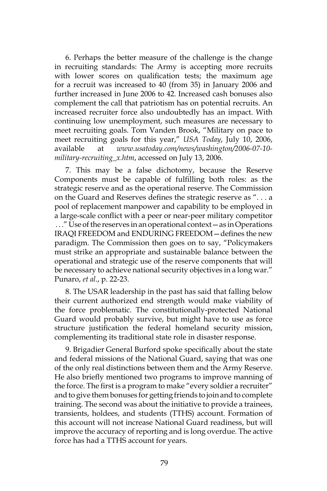6. Perhaps the better measure of the challenge is the change in recruiting standards: The Army is accepting more recruits with lower scores on qualification tests; the maximum age for a recruit was increased to 40 (from 35) in January 2006 and further increased in June 2006 to 42. Increased cash bonuses also complement the call that patriotism has on potential recruits. An increased recruiter force also undoubtedly has an impact. With continuing low unemployment, such measures are necessary to meet recruiting goals. Tom Vanden Brook, "Military on pace to meet recruiting goals for this year," *USA Today*, July 10, 2006, available at *www.usatoday.com/news/washington/2006-07-10 military-recruiting\_x.htm*, accessed on July 13, 2006.

7. This may be a false dichotomy, because the Reserve Components must be capable of fulfilling both roles: as the strategic reserve and as the operational reserve. The Commission on the Guard and Reserves defines the strategic reserve as ". . . a pool of replacement manpower and capability to be employed in a large-scale conflict with a peer or near-peer military competitor . . ." Use of the reserves in an operational context—as in Operations IRAQI FREEDOM and ENDURING FREEDOM—defines the new paradigm. The Commission then goes on to say, "Policymakers must strike an appropriate and sustainable balance between the operational and strategic use of the reserve components that will be necessary to achieve national security objectives in a long war." Punaro, *et al*., p. 22-23.

8. The USAR leadership in the past has said that falling below their current authorized end strength would make viability of the force problematic. The constitutionally-protected National Guard would probably survive, but might have to use as force structure justification the federal homeland security mission, complementing its traditional state role in disaster response.

9. Brigadier General Burford spoke specifically about the state and federal missions of the National Guard, saying that was one of the only real distinctions between them and the Army Reserve. He also briefly mentioned two programs to improve manning of the force. The first is a program to make "every soldier a recruiter" and to give them bonuses for getting friends to join and to complete training. The second was about the initiative to provide a trainees, transients, holdees, and students (TTHS) account. Formation of this account will not increase National Guard readiness, but will improve the accuracy of reporting and is long overdue. The active force has had a TTHS account for years.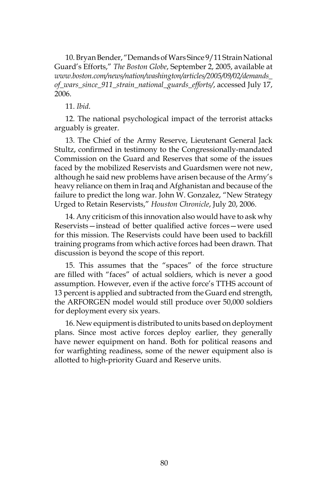10. Bryan Bender, "Demands of Wars Since 9/11 Strain National Guard's Efforts," *The Boston Globe*, September 2, 2005, available at *www.boston.com/news/nation/washington/articles/2005/09/02/demands\_ of\_wars\_since\_911\_strain\_national\_guards\_efforts/*, accessed July 17, 2006.

#### 11. *Ibid*.

12. The national psychological impact of the terrorist attacks arguably is greater.

13. The Chief of the Army Reserve, Lieutenant General Jack Stultz, confirmed in testimony to the Congressionally-mandated Commission on the Guard and Reserves that some of the issues faced by the mobilized Reservists and Guardsmen were not new, although he said new problems have arisen because of the Army's heavy reliance on them in Iraq and Afghanistan and because of the failure to predict the long war. John W. Gonzalez, "New Strategy Urged to Retain Reservists," *Houston Chronicle*, July 20, 2006.

14. Any criticism of this innovation also would have to ask why Reservists—instead of better qualified active forces—were used for this mission. The Reservists could have been used to backfill training programs from which active forces had been drawn. That discussion is beyond the scope of this report.

15. This assumes that the "spaces" of the force structure are filled with "faces" of actual soldiers, which is never a good assumption. However, even if the active force's TTHS account of 13 percent is applied and subtracted from the Guard end strength, the ARFORGEN model would still produce over 50,000 soldiers for deployment every six years.

16. New equipment is distributed to units based on deployment plans. Since most active forces deploy earlier, they generally have newer equipment on hand. Both for political reasons and for warfighting readiness, some of the newer equipment also is allotted to high-priority Guard and Reserve units.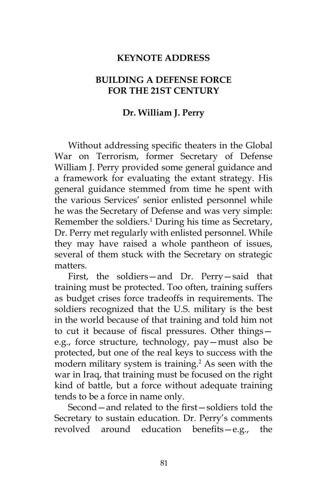### **KEYNOTE ADDRESS**

### **BUILDING A DEFENSE FORCE FOR THE 21ST CENTURY**

### **Dr. William J. Perry**

Without addressing specific theaters in the Global War on Terrorism, former Secretary of Defense William J. Perry provided some general guidance and a framework for evaluating the extant strategy. His general guidance stemmed from time he spent with the various Services' senior enlisted personnel while he was the Secretary of Defense and was very simple: Remember the soldiers.<sup>1</sup> During his time as Secretary, Dr. Perry met regularly with enlisted personnel. While they may have raised a whole pantheon of issues, several of them stuck with the Secretary on strategic matters.

First, the soldiers—and Dr. Perry—said that training must be protected. Too often, training suffers as budget crises force tradeoffs in requirements. The soldiers recognized that the U.S. military is the best in the world because of that training and told him not to cut it because of fiscal pressures. Other things e.g., force structure, technology, pay—must also be protected, but one of the real keys to success with the modern military system is training.<sup>2</sup> As seen with the war in Iraq, that training must be focused on the right kind of battle, but a force without adequate training tends to be a force in name only.

Second—and related to the first—soldiers told the Secretary to sustain education. Dr. Perry's comments revolved around education benefits—e.g., the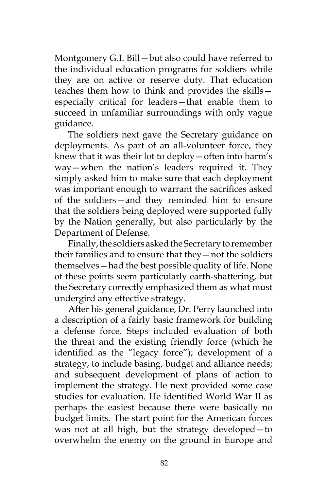Montgomery G.I. Bill—but also could have referred to the individual education programs for soldiers while they are on active or reserve duty. That education teaches them how to think and provides the skills especially critical for leaders—that enable them to succeed in unfamiliar surroundings with only vague guidance.

The soldiers next gave the Secretary guidance on deployments. As part of an all-volunteer force, they knew that it was their lot to deploy—often into harm's way—when the nation's leaders required it. They simply asked him to make sure that each deployment was important enough to warrant the sacrifices asked of the soldiers—and they reminded him to ensure that the soldiers being deployed were supported fully by the Nation generally, but also particularly by the Department of Defense.

Finally, the soldiers asked the Secretary to remember their families and to ensure that they—not the soldiers themselves—had the best possible quality of life. None of these points seem particularly earth-shattering, but the Secretary correctly emphasized them as what must undergird any effective strategy.

After his general guidance, Dr. Perry launched into a description of a fairly basic framework for building a defense force. Steps included evaluation of both the threat and the existing friendly force (which he identified as the "legacy force"); development of a strategy, to include basing, budget and alliance needs; and subsequent development of plans of action to implement the strategy. He next provided some case studies for evaluation. He identified World War II as perhaps the easiest because there were basically no budget limits. The start point for the American forces was not at all high, but the strategy developed—to overwhelm the enemy on the ground in Europe and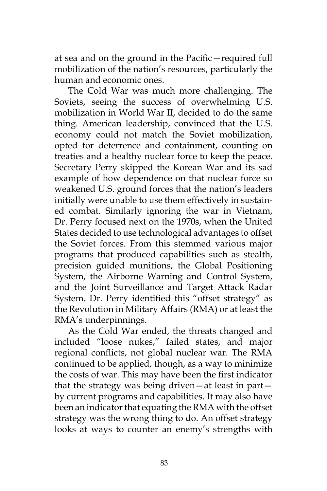at sea and on the ground in the Pacific—required full mobilization of the nation's resources, particularly the human and economic ones.

The Cold War was much more challenging. The Soviets, seeing the success of overwhelming U.S. mobilization in World War II, decided to do the same thing. American leadership, convinced that the U.S. economy could not match the Soviet mobilization, opted for deterrence and containment, counting on treaties and a healthy nuclear force to keep the peace. Secretary Perry skipped the Korean War and its sad example of how dependence on that nuclear force so weakened U.S. ground forces that the nation's leaders initially were unable to use them effectively in sustained combat. Similarly ignoring the war in Vietnam, Dr. Perry focused next on the 1970s, when the United States decided to use technological advantages to offset the Soviet forces. From this stemmed various major programs that produced capabilities such as stealth, precision guided munitions, the Global Positioning System, the Airborne Warning and Control System, and the Joint Surveillance and Target Attack Radar System. Dr. Perry identified this "offset strategy" as the Revolution in Military Affairs (RMA) or at least the RMA's underpinnings.

As the Cold War ended, the threats changed and included "loose nukes," failed states, and major regional conflicts, not global nuclear war. The RMA continued to be applied, though, as a way to minimize the costs of war. This may have been the first indicator that the strategy was being driven—at least in part by current programs and capabilities. It may also have been an indicator that equating the RMA with the offset strategy was the wrong thing to do. An offset strategy looks at ways to counter an enemy's strengths with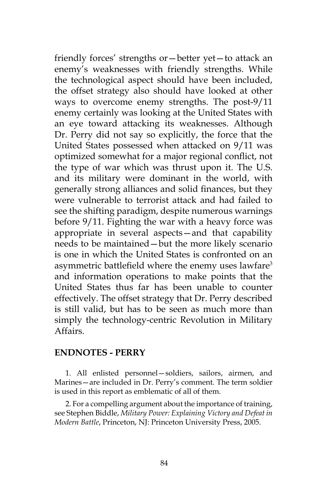friendly forces' strengths or—better yet—to attack an enemy's weaknesses with friendly strengths. While the technological aspect should have been included, the offset strategy also should have looked at other ways to overcome enemy strengths. The post-9/11 enemy certainly was looking at the United States with an eye toward attacking its weaknesses. Although Dr. Perry did not say so explicitly, the force that the United States possessed when attacked on 9/11 was optimized somewhat for a major regional conflict, not the type of war which was thrust upon it. The U.S. and its military were dominant in the world, with generally strong alliances and solid finances, but they were vulnerable to terrorist attack and had failed to see the shifting paradigm, despite numerous warnings before 9/11. Fighting the war with a heavy force was appropriate in several aspects—and that capability needs to be maintained—but the more likely scenario is one in which the United States is confronted on an asymmetric battlefield where the enemy uses lawfare<sup>3</sup> and information operations to make points that the United States thus far has been unable to counter effectively. The offset strategy that Dr. Perry described is still valid, but has to be seen as much more than simply the technology-centric Revolution in Military Affairs.

### **ENDNOTES - PERRY**

1. All enlisted personnel—soldiers, sailors, airmen, and Marines—are included in Dr. Perry's comment. The term soldier is used in this report as emblematic of all of them.

2. For a compelling argument about the importance of training, see Stephen Biddle, *Military Power: Explaining Victory and Defeat in Modern Battle*, Princeton, NJ: Princeton University Press, 2005.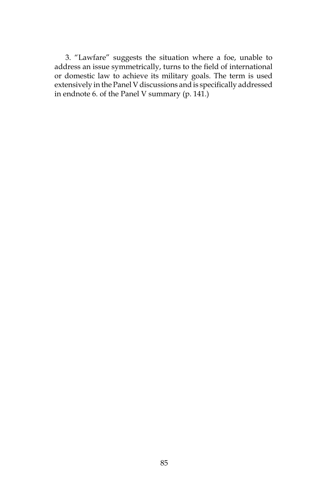3. "Lawfare" suggests the situation where a foe, unable to address an issue symmetrically, turns to the field of international or domestic law to achieve its military goals. The term is used extensively in the Panel V discussions and is specifically addressed in endnote 6. of the Panel V summary (p. 141.)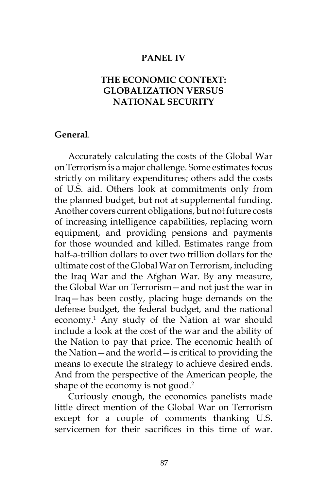### **PANEL IV**

## **THE ECONOMIC CONTEXT: GLOBALIZATION VERSUS NATIONAL SECURITY**

#### **General**.

Accurately calculating the costs of the Global War on Terrorism is a major challenge. Some estimates focus strictly on military expenditures; others add the costs of U.S. aid. Others look at commitments only from the planned budget, but not at supplemental funding. Another covers current obligations, but not future costs of increasing intelligence capabilities, replacing worn equipment, and providing pensions and payments for those wounded and killed. Estimates range from half-a-trillion dollars to over two trillion dollars for the ultimate cost of the Global War on Terrorism, including the Iraq War and the Afghan War. By any measure, the Global War on Terrorism—and not just the war in Iraq—has been costly, placing huge demands on the defense budget, the federal budget, and the national economy.1 Any study of the Nation at war should include a look at the cost of the war and the ability of the Nation to pay that price. The economic health of the Nation—and the world—is critical to providing the means to execute the strategy to achieve desired ends. And from the perspective of the American people, the shape of the economy is not good.<sup>2</sup>

Curiously enough, the economics panelists made little direct mention of the Global War on Terrorism except for a couple of comments thanking U.S. servicemen for their sacrifices in this time of war.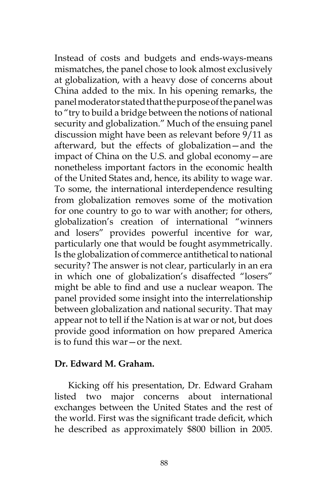Instead of costs and budgets and ends-ways-means mismatches, the panel chose to look almost exclusively at globalization, with a heavy dose of concerns about China added to the mix. In his opening remarks, the panel moderator stated that the purpose of the panel was to "try to build a bridge between the notions of national security and globalization." Much of the ensuing panel discussion might have been as relevant before 9/11 as afterward, but the effects of globalization—and the impact of China on the U.S. and global economy—are nonetheless important factors in the economic health of the United States and, hence, its ability to wage war. To some, the international interdependence resulting from globalization removes some of the motivation for one country to go to war with another; for others, globalization's creation of international "winners and losers" provides powerful incentive for war, particularly one that would be fought asymmetrically. Is the globalization of commerce antithetical to national security? The answer is not clear, particularly in an era in which one of globalization's disaffected "losers" might be able to find and use a nuclear weapon. The panel provided some insight into the interrelationship between globalization and national security. That may appear not to tell if the Nation is at war or not, but does provide good information on how prepared America is to fund this war—or the next.

### **Dr. Edward M. Graham.**

Kicking off his presentation, Dr. Edward Graham listed two major concerns about international exchanges between the United States and the rest of the world. First was the significant trade deficit, which he described as approximately \$800 billion in 2005.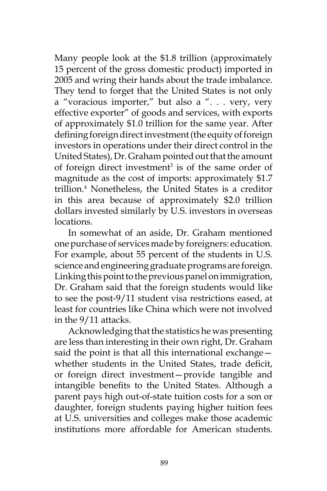Many people look at the \$1.8 trillion (approximately 15 percent of the gross domestic product) imported in 2005 and wring their hands about the trade imbalance. They tend to forget that the United States is not only a "voracious importer," but also a ". . . very, very effective exporter" of goods and services, with exports of approximately \$1.0 trillion for the same year. After defining foreign direct investment (the equity of foreign investors in operations under their direct control in the United States), Dr. Graham pointed out that the amount of foreign direct investment<sup>3</sup> is of the same order of magnitude as the cost of imports: approximately \$1.7 trillion.4 Nonetheless, the United States is a creditor in this area because of approximately \$2.0 trillion dollars invested similarly by U.S. investors in overseas locations.

In somewhat of an aside, Dr. Graham mentioned one purchase of services made by foreigners: education. For example, about 55 percent of the students in U.S. science and engineering graduate programs are foreign. Linking this point to the previous panel on immigration, Dr. Graham said that the foreign students would like to see the post-9/11 student visa restrictions eased, at least for countries like China which were not involved in the 9/11 attacks.

Acknowledging that the statistics he was presenting are less than interesting in their own right, Dr. Graham said the point is that all this international exchange whether students in the United States, trade deficit, or foreign direct investment—provide tangible and intangible benefits to the United States. Although a parent pays high out-of-state tuition costs for a son or daughter, foreign students paying higher tuition fees at U.S. universities and colleges make those academic institutions more affordable for American students.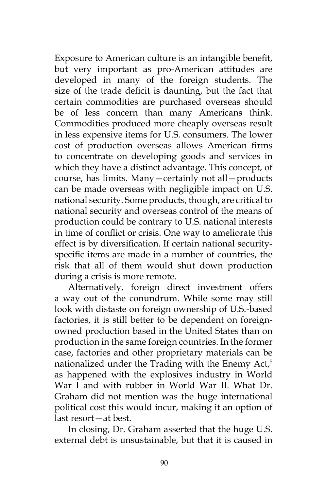Exposure to American culture is an intangible benefit, but very important as pro-American attitudes are developed in many of the foreign students. The size of the trade deficit is daunting, but the fact that certain commodities are purchased overseas should be of less concern than many Americans think. Commodities produced more cheaply overseas result in less expensive items for U.S. consumers. The lower cost of production overseas allows American firms to concentrate on developing goods and services in which they have a distinct advantage. This concept, of course, has limits. Many—certainly not all—products can be made overseas with negligible impact on U.S. national security. Some products, though, are critical to national security and overseas control of the means of production could be contrary to U.S. national interests in time of conflict or crisis. One way to ameliorate this effect is by diversification. If certain national securityspecific items are made in a number of countries, the risk that all of them would shut down production during a crisis is more remote.

Alternatively, foreign direct investment offers a way out of the conundrum. While some may still look with distaste on foreign ownership of U.S.-based factories, it is still better to be dependent on foreignowned production based in the United States than on production in the same foreign countries. In the former case, factories and other proprietary materials can be nationalized under the Trading with the Enemy Act,<sup>5</sup> as happened with the explosives industry in World War I and with rubber in World War II. What Dr. Graham did not mention was the huge international political cost this would incur, making it an option of last resort—at best.

In closing, Dr. Graham asserted that the huge U.S. external debt is unsustainable, but that it is caused in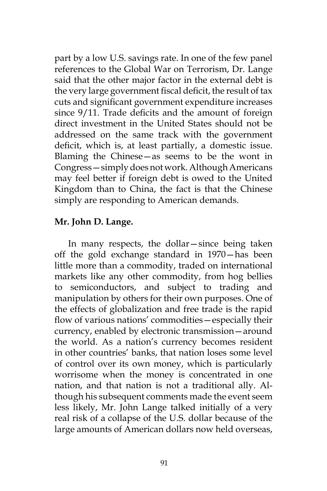part by a low U.S. savings rate. In one of the few panel references to the Global War on Terrorism, Dr. Lange said that the other major factor in the external debt is the very large government fiscal deficit, the result of tax cuts and significant government expenditure increases since 9/11. Trade deficits and the amount of foreign direct investment in the United States should not be addressed on the same track with the government deficit, which is, at least partially, a domestic issue. Blaming the Chinese—as seems to be the wont in Congress—simply does not work. Although Americans may feel better if foreign debt is owed to the United Kingdom than to China, the fact is that the Chinese simply are responding to American demands.

## **Mr. John D. Lange.**

In many respects, the dollar—since being taken off the gold exchange standard in 1970—has been little more than a commodity, traded on international markets like any other commodity, from hog bellies to semiconductors, and subject to trading and manipulation by others for their own purposes. One of the effects of globalization and free trade is the rapid flow of various nations' commodities—especially their currency, enabled by electronic transmission—around the world. As a nation's currency becomes resident in other countries' banks, that nation loses some level of control over its own money, which is particularly worrisome when the money is concentrated in one nation, and that nation is not a traditional ally. Although his subsequent comments made the event seem less likely, Mr. John Lange talked initially of a very real risk of a collapse of the U.S. dollar because of the large amounts of American dollars now held overseas,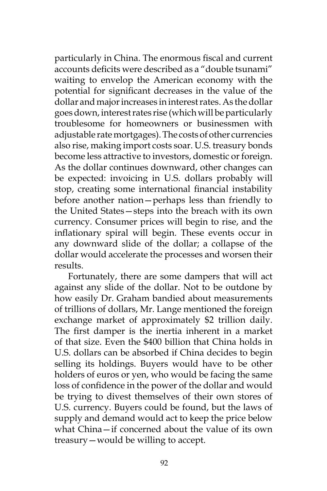particularly in China. The enormous fiscal and current accounts deficits were described as a "double tsunami" waiting to envelop the American economy with the potential for significant decreases in the value of the dollar and major increases in interest rates. As the dollar goes down, interest rates rise (which will be particularly troublesome for homeowners or businessmen with adjustable rate mortgages). The costs of other currencies also rise, making import costs soar. U.S. treasury bonds become less attractive to investors, domestic or foreign. As the dollar continues downward, other changes can be expected: invoicing in U.S. dollars probably will stop, creating some international financial instability before another nation—perhaps less than friendly to the United States—steps into the breach with its own currency. Consumer prices will begin to rise, and the inflationary spiral will begin. These events occur in any downward slide of the dollar; a collapse of the dollar would accelerate the processes and worsen their results.

Fortunately, there are some dampers that will act against any slide of the dollar. Not to be outdone by how easily Dr. Graham bandied about measurements of trillions of dollars, Mr. Lange mentioned the foreign exchange market of approximately \$2 trillion daily. The first damper is the inertia inherent in a market of that size. Even the \$400 billion that China holds in U.S. dollars can be absorbed if China decides to begin selling its holdings. Buyers would have to be other holders of euros or yen, who would be facing the same loss of confidence in the power of the dollar and would be trying to divest themselves of their own stores of U.S. currency. Buyers could be found, but the laws of supply and demand would act to keep the price below what China—if concerned about the value of its own treasury—would be willing to accept.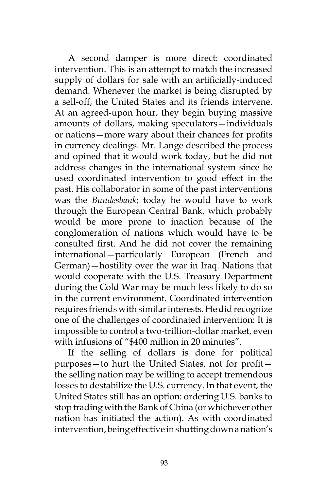A second damper is more direct: coordinated intervention. This is an attempt to match the increased supply of dollars for sale with an artificially-induced demand. Whenever the market is being disrupted by a sell-off, the United States and its friends intervene. At an agreed-upon hour, they begin buying massive amounts of dollars, making speculators—individuals or nations—more wary about their chances for profits in currency dealings. Mr. Lange described the process and opined that it would work today, but he did not address changes in the international system since he used coordinated intervention to good effect in the past. His collaborator in some of the past interventions was the *Bundesbank*; today he would have to work through the European Central Bank, which probably would be more prone to inaction because of the conglomeration of nations which would have to be consulted first. And he did not cover the remaining international—particularly European (French and German)—hostility over the war in Iraq. Nations that would cooperate with the U.S. Treasury Department during the Cold War may be much less likely to do so in the current environment. Coordinated intervention requires friends with similar interests. He did recognize one of the challenges of coordinated intervention: It is impossible to control a two-trillion-dollar market, even with infusions of "\$400 million in 20 minutes".

If the selling of dollars is done for political purposes—to hurt the United States, not for profit the selling nation may be willing to accept tremendous losses to destabilize the U.S. currency. In that event, the United States still has an option: ordering U.S. banks to stop trading with the Bank of China (or whichever other nation has initiated the action). As with coordinated intervention, being effective in shutting down a nation's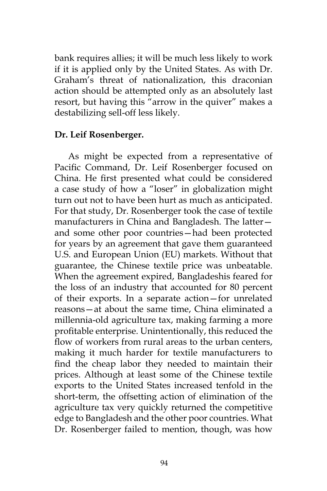bank requires allies; it will be much less likely to work if it is applied only by the United States. As with Dr. Graham's threat of nationalization, this draconian action should be attempted only as an absolutely last resort, but having this "arrow in the quiver" makes a destabilizing sell-off less likely.

### **Dr. Leif Rosenberger.**

As might be expected from a representative of Pacific Command, Dr. Leif Rosenberger focused on China. He first presented what could be considered a case study of how a "loser" in globalization might turn out not to have been hurt as much as anticipated. For that study, Dr. Rosenberger took the case of textile manufacturers in China and Bangladesh. The latter and some other poor countries—had been protected for years by an agreement that gave them guaranteed U.S. and European Union (EU) markets. Without that guarantee, the Chinese textile price was unbeatable. When the agreement expired, Bangladeshis feared for the loss of an industry that accounted for 80 percent of their exports. In a separate action—for unrelated reasons—at about the same time, China eliminated a millennia-old agriculture tax, making farming a more profitable enterprise. Unintentionally, this reduced the flow of workers from rural areas to the urban centers, making it much harder for textile manufacturers to find the cheap labor they needed to maintain their prices. Although at least some of the Chinese textile exports to the United States increased tenfold in the short-term, the offsetting action of elimination of the agriculture tax very quickly returned the competitive edge to Bangladesh and the other poor countries. What Dr. Rosenberger failed to mention, though, was how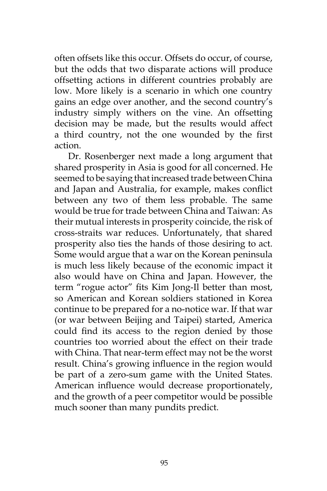often offsets like this occur. Offsets do occur, of course, but the odds that two disparate actions will produce offsetting actions in different countries probably are low. More likely is a scenario in which one country gains an edge over another, and the second country's industry simply withers on the vine. An offsetting decision may be made, but the results would affect a third country, not the one wounded by the first action.

Dr. Rosenberger next made a long argument that shared prosperity in Asia is good for all concerned. He seemed to be saying that increased trade between China and Japan and Australia, for example, makes conflict between any two of them less probable. The same would be true for trade between China and Taiwan: As their mutual interests in prosperity coincide, the risk of cross-straits war reduces. Unfortunately, that shared prosperity also ties the hands of those desiring to act. Some would argue that a war on the Korean peninsula is much less likely because of the economic impact it also would have on China and Japan. However, the term "rogue actor" fits Kim Jong-Il better than most, so American and Korean soldiers stationed in Korea continue to be prepared for a no-notice war. If that war (or war between Beijing and Taipei) started, America could find its access to the region denied by those countries too worried about the effect on their trade with China. That near-term effect may not be the worst result. China's growing influence in the region would be part of a zero-sum game with the United States. American influence would decrease proportionately, and the growth of a peer competitor would be possible much sooner than many pundits predict.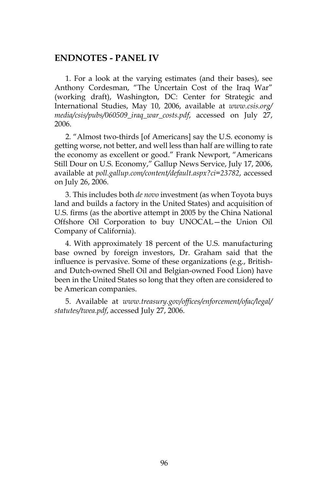#### **ENDNOTES - PANEL IV**

1. For a look at the varying estimates (and their bases), see Anthony Cordesman, "The Uncertain Cost of the Iraq War" (working draft), Washington, DC: Center for Strategic and International Studies, May 10, 2006, available at *www.csis.org/ media/csis/pubs/060509\_iraq\_war\_costs.pdf*, accessed on July 27, 2006.

2. "Almost two-thirds [of Americans] say the U.S. economy is getting worse, not better, and well less than half are willing to rate the economy as excellent or good." Frank Newport, "Americans Still Dour on U.S. Economy," Gallup News Service, July 17, 2006, available at *poll.gallup.com/content/default.aspx?ci=23782*, accessed on July 26, 2006.

3. This includes both *de novo* investment (as when Toyota buys land and builds a factory in the United States) and acquisition of U.S. firms (as the abortive attempt in 2005 by the China National Offshore Oil Corporation to buy UNOCAL—the Union Oil Company of California).

4. With approximately 18 percent of the U.S. manufacturing base owned by foreign investors, Dr. Graham said that the influence is pervasive. Some of these organizations (e.g., Britishand Dutch-owned Shell Oil and Belgian-owned Food Lion) have been in the United States so long that they often are considered to be American companies.

5. Available at *www.treasury.gov/offices/enforcement/ofac/legal/ statutes/twea.pdf*, accessed July 27, 2006.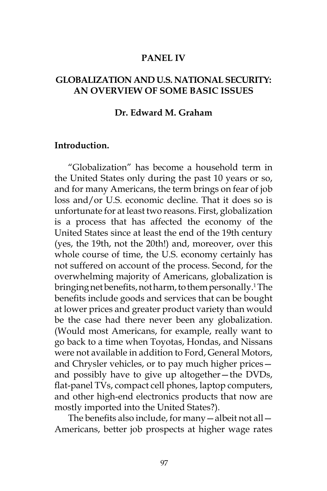### **PANEL IV**

## **GLOBALIZATION AND U.S. NATIONAL SECURITY: AN OVERVIEW OF SOME BASIC ISSUES**

#### **Dr. Edward M. Graham**

#### **Introduction.**

"Globalization" has become a household term in the United States only during the past 10 years or so, and for many Americans, the term brings on fear of job loss and/or U.S. economic decline. That it does so is unfortunate for at least two reasons. First, globalization is a process that has affected the economy of the United States since at least the end of the 19th century (yes, the 19th, not the 20th!) and, moreover, over this whole course of time, the U.S. economy certainly has not suffered on account of the process. Second, for the overwhelming majority of Americans, globalization is bringing net benefits, not harm, to them personally.<sup>1</sup> The benefits include goods and services that can be bought at lower prices and greater product variety than would be the case had there never been any globalization. (Would most Americans, for example, really want to go back to a time when Toyotas, Hondas, and Nissans were not available in addition to Ford, General Motors, and Chrysler vehicles, or to pay much higher prices and possibly have to give up altogether—the DVDs, flat-panel TVs, compact cell phones, laptop computers, and other high-end electronics products that now are mostly imported into the United States?).

The benefits also include, for many—albeit not all— Americans, better job prospects at higher wage rates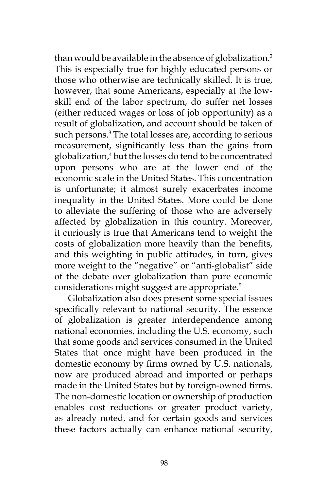than would be available in the absence of globalization.<sup>2</sup> This is especially true for highly educated persons or those who otherwise are technically skilled. It is true, however, that some Americans, especially at the lowskill end of the labor spectrum, do suffer net losses (either reduced wages or loss of job opportunity) as a result of globalization, and account should be taken of such persons.3 The total losses are, according to serious measurement, significantly less than the gains from globalization,4 but the losses do tend to be concentrated upon persons who are at the lower end of the economic scale in the United States. This concentration is unfortunate; it almost surely exacerbates income inequality in the United States. More could be done to alleviate the suffering of those who are adversely affected by globalization in this country. Moreover, it curiously is true that Americans tend to weight the costs of globalization more heavily than the benefits, and this weighting in public attitudes, in turn, gives more weight to the "negative" or "anti-globalist" side of the debate over globalization than pure economic considerations might suggest are appropriate.<sup>5</sup>

Globalization also does present some special issues specifically relevant to national security. The essence of globalization is greater interdependence among national economies, including the U.S. economy, such that some goods and services consumed in the United States that once might have been produced in the domestic economy by firms owned by U.S. nationals, now are produced abroad and imported or perhaps made in the United States but by foreign-owned firms. The non-domestic location or ownership of production enables cost reductions or greater product variety, as already noted, and for certain goods and services these factors actually can enhance national security,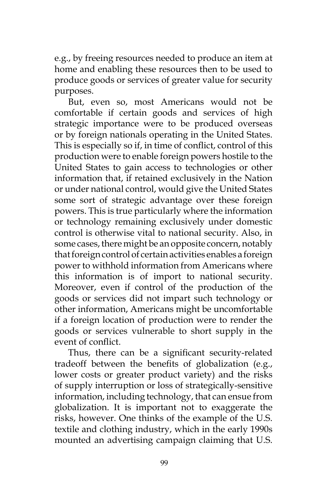e.g., by freeing resources needed to produce an item at home and enabling these resources then to be used to produce goods or services of greater value for security purposes.

But, even so, most Americans would not be comfortable if certain goods and services of high strategic importance were to be produced overseas or by foreign nationals operating in the United States. This is especially so if, in time of conflict, control of this production were to enable foreign powers hostile to the United States to gain access to technologies or other information that, if retained exclusively in the Nation or under national control, would give the United States some sort of strategic advantage over these foreign powers. This is true particularly where the information or technology remaining exclusively under domestic control is otherwise vital to national security. Also, in some cases, there might be an opposite concern, notably that foreign control of certain activities enables a foreign power to withhold information from Americans where this information is of import to national security. Moreover, even if control of the production of the goods or services did not impart such technology or other information, Americans might be uncomfortable if a foreign location of production were to render the goods or services vulnerable to short supply in the event of conflict.

Thus, there can be a significant security-related tradeoff between the benefits of globalization (e.g., lower costs or greater product variety) and the risks of supply interruption or loss of strategically-sensitive information, including technology, that can ensue from globalization. It is important not to exaggerate the risks, however. One thinks of the example of the U.S. textile and clothing industry, which in the early 1990s mounted an advertising campaign claiming that U.S.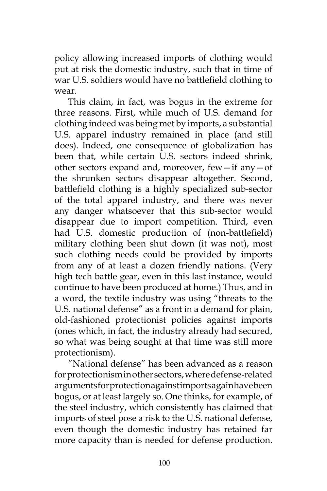policy allowing increased imports of clothing would put at risk the domestic industry, such that in time of war U.S. soldiers would have no battlefield clothing to wear.

This claim, in fact, was bogus in the extreme for three reasons. First, while much of U.S. demand for clothing indeed was being met by imports, a substantial U.S. apparel industry remained in place (and still does). Indeed, one consequence of globalization has been that, while certain U.S. sectors indeed shrink, other sectors expand and, moreover, few—if any—of the shrunken sectors disappear altogether. Second, battlefield clothing is a highly specialized sub-sector of the total apparel industry, and there was never any danger whatsoever that this sub-sector would disappear due to import competition. Third, even had U.S. domestic production of (non-battlefield) military clothing been shut down (it was not), most such clothing needs could be provided by imports from any of at least a dozen friendly nations. (Very high tech battle gear, even in this last instance, would continue to have been produced at home.) Thus, and in a word, the textile industry was using "threats to the U.S. national defense" as a front in a demand for plain, old-fashioned protectionist policies against imports (ones which, in fact, the industry already had secured, so what was being sought at that time was still more protectionism).

"National defense" has been advanced as a reason for protectionism in other sectors, where defense-related arguments for protection against imports again have been bogus, or at least largely so. One thinks, for example, of the steel industry, which consistently has claimed that imports of steel pose a risk to the U.S. national defense, even though the domestic industry has retained far more capacity than is needed for defense production.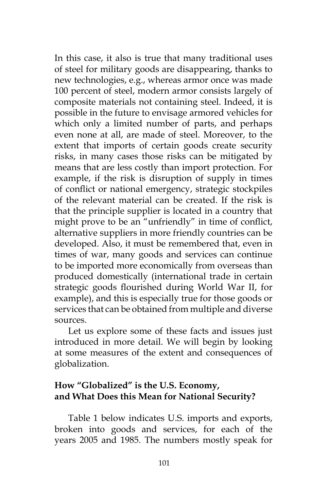In this case, it also is true that many traditional uses of steel for military goods are disappearing, thanks to new technologies, e.g., whereas armor once was made 100 percent of steel, modern armor consists largely of composite materials not containing steel. Indeed, it is possible in the future to envisage armored vehicles for which only a limited number of parts, and perhaps even none at all, are made of steel. Moreover, to the extent that imports of certain goods create security risks, in many cases those risks can be mitigated by means that are less costly than import protection. For example, if the risk is disruption of supply in times of conflict or national emergency, strategic stockpiles of the relevant material can be created. If the risk is that the principle supplier is located in a country that might prove to be an "unfriendly" in time of conflict, alternative suppliers in more friendly countries can be developed. Also, it must be remembered that, even in times of war, many goods and services can continue to be imported more economically from overseas than produced domestically (international trade in certain strategic goods flourished during World War II, for example), and this is especially true for those goods or services that can be obtained from multiple and diverse sources.

Let us explore some of these facts and issues just introduced in more detail. We will begin by looking at some measures of the extent and consequences of globalization.

# **How "Globalized" is the U.S. Economy, and What Does this Mean for National Security?**

Table 1 below indicates U.S. imports and exports, broken into goods and services, for each of the years 2005 and 1985. The numbers mostly speak for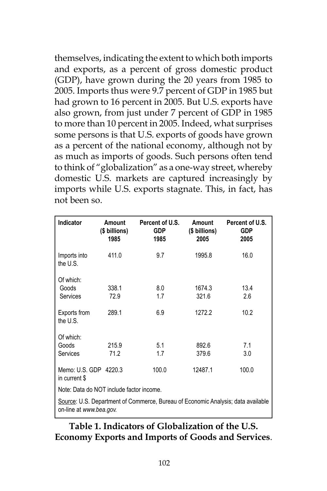themselves, indicating the extent to which both imports and exports, as a percent of gross domestic product (GDP), have grown during the 20 years from 1985 to 2005. Imports thus were 9.7 percent of GDP in 1985 but had grown to 16 percent in 2005. But U.S. exports have also grown, from just under 7 percent of GDP in 1985 to more than 10 percent in 2005. Indeed, what surprises some persons is that U.S. exports of goods have grown as a percent of the national economy, although not by as much as imports of goods. Such persons often tend to think of "globalization" as a one-way street, whereby domestic U.S. markets are captured increasingly by imports while U.S. exports stagnate. This, in fact, has not been so.

| Indicator                                                                                                   | Amount<br>(\$ billions)<br>1985 | Percent of U.S.<br><b>GDP</b><br>1985 | Amount<br>(\$ billions)<br>2005 | Percent of U.S.<br><b>GDP</b><br>2005 |
|-------------------------------------------------------------------------------------------------------------|---------------------------------|---------------------------------------|---------------------------------|---------------------------------------|
| Imports into<br>the U.S.                                                                                    | 411.0                           | 9.7                                   | 1995.8                          | 16.0                                  |
| Of which:<br>Goods<br>Services                                                                              | 338.1<br>72.9                   | 8.0<br>1.7                            | 1674.3<br>321.6                 | 13.4<br>2.6                           |
| Exports from<br>the U.S.                                                                                    | 289.1                           | 6.9                                   | 1272.2                          | 10.2                                  |
| Of which:<br>Goods<br><b>Services</b>                                                                       | 215.9<br>71.2                   | 5.1<br>1.7                            | 892.6<br>379.6                  | 7.1<br>3.0                            |
| Memo: U.S. GDP 4220.3<br>in current \$                                                                      |                                 | 100.0                                 | 12487.1                         | 100.0                                 |
| Note: Data do NOT include factor income.                                                                    |                                 |                                       |                                 |                                       |
| Source: U.S. Department of Commerce, Bureau of Economic Analysis; data available<br>on-line at www.bea.gov. |                                 |                                       |                                 |                                       |

**Table 1. Indicators of Globalization of the U.S. Economy Exports and Imports of Goods and Services**.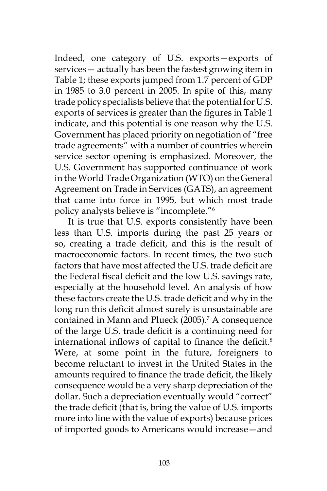Indeed, one category of U.S. exports—exports of services— actually has been the fastest growing item in Table 1; these exports jumped from 1.7 percent of GDP in 1985 to 3.0 percent in 2005. In spite of this, many trade policy specialists believe that the potential for U.S. exports of services is greater than the figures in Table 1 indicate, and this potential is one reason why the U.S. Government has placed priority on negotiation of "free trade agreements" with a number of countries wherein service sector opening is emphasized. Moreover, the U.S. Government has supported continuance of work in the World Trade Organization (WTO) on the General Agreement on Trade in Services (GATS), an agreement that came into force in 1995, but which most trade policy analysts believe is "incomplete."6

It is true that U.S. exports consistently have been less than U.S. imports during the past 25 years or so, creating a trade deficit, and this is the result of macroeconomic factors. In recent times, the two such factors that have most affected the U.S. trade deficit are the Federal fiscal deficit and the low U.S. savings rate, especially at the household level. An analysis of how these factors create the U.S. trade deficit and why in the long run this deficit almost surely is unsustainable are contained in Mann and Plueck (2005).7 A consequence of the large U.S. trade deficit is a continuing need for international inflows of capital to finance the deficit.<sup>8</sup> Were, at some point in the future, foreigners to become reluctant to invest in the United States in the amounts required to finance the trade deficit, the likely consequence would be a very sharp depreciation of the dollar. Such a depreciation eventually would "correct" the trade deficit (that is, bring the value of U.S. imports more into line with the value of exports) because prices of imported goods to Americans would increase—and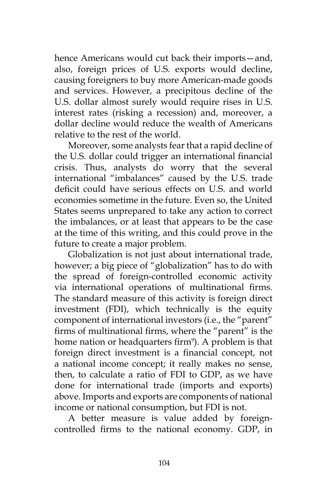hence Americans would cut back their imports—and, also, foreign prices of U.S. exports would decline, causing foreigners to buy more American-made goods and services. However, a precipitous decline of the U.S. dollar almost surely would require rises in U.S. interest rates (risking a recession) and, moreover, a dollar decline would reduce the wealth of Americans relative to the rest of the world.

Moreover, some analysts fear that a rapid decline of the U.S. dollar could trigger an international financial crisis. Thus, analysts do worry that the several international "imbalances" caused by the U.S. trade deficit could have serious effects on U.S. and world economies sometime in the future. Even so, the United States seems unprepared to take any action to correct the imbalances, or at least that appears to be the case at the time of this writing, and this could prove in the future to create a major problem.

Globalization is not just about international trade, however; a big piece of "globalization" has to do with the spread of foreign-controlled economic activity via international operations of multinational firms. The standard measure of this activity is foreign direct investment (FDI), which technically is the equity component of international investors (i.e., the "parent" firms of multinational firms, where the "parent" is the home nation or headquarters firm<sup>9</sup>). A problem is that foreign direct investment is a financial concept, not a national income concept; it really makes no sense, then, to calculate a ratio of FDI to GDP, as we have done for international trade (imports and exports) above. Imports and exports are components of national income or national consumption, but FDI is not.

A better measure is value added by foreigncontrolled firms to the national economy. GDP, in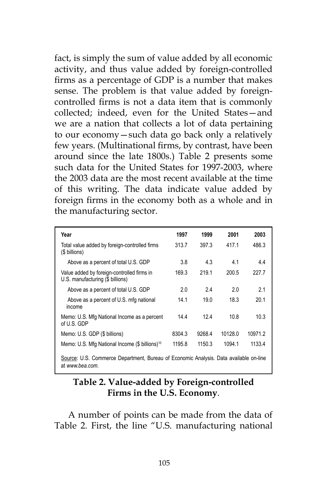fact, is simply the sum of value added by all economic activity, and thus value added by foreign-controlled firms as a percentage of GDP is a number that makes sense. The problem is that value added by foreigncontrolled firms is not a data item that is commonly collected; indeed, even for the United States—and we are a nation that collects a lot of data pertaining to our economy—such data go back only a relatively few years. (Multinational firms, by contrast, have been around since the late 1800s.) Table 2 presents some such data for the United States for 1997-2003, where the 2003 data are the most recent available at the time of this writing. The data indicate value added by foreign firms in the economy both as a whole and in the manufacturing sector.

| Year                                                                                                     | 1997   | 1999   | 2001    | 2003    |
|----------------------------------------------------------------------------------------------------------|--------|--------|---------|---------|
| Total value added by foreign-controlled firms<br>(\$ billions)                                           | 313.7  | 397.3  | 417.1   | 486.3   |
| Above as a percent of total U.S. GDP                                                                     | 3.8    | 4.3    | 4.1     | 4.4     |
| Value added by foreign-controlled firms in<br>U.S. manufacturing (\$ billions)                           | 169.3  | 2191   | 200.5   | 227.7   |
| Above as a percent of total U.S. GDP                                                                     | 2.0    | 24     | 2.0     | 2.1     |
| Above as a percent of U.S. mfg national<br>income                                                        | 14.1   | 19.0   | 18.3    | 201     |
| Memo: U.S. Mfg National Income as a percent<br>of U.S. GDP                                               | 14.4   | 12.4   | 10.8    | 10.3    |
| Memo: U.S. GDP (\$ billions)                                                                             | 8304.3 | 9268.4 | 10128.0 | 10971.2 |
| Memo: U.S. Mfg National Income (\$ billions) <sup>10</sup>                                               | 1195.8 | 1150.3 | 1094.1  | 1133.4  |
| Source: U.S. Commerce Department, Bureau of Economic Analysis. Data available on-line<br>at www.bea.com. |        |        |         |         |

### **Table 2. Value-added by Foreign-controlled Firms in the U.S. Economy**.

A number of points can be made from the data of Table 2. First, the line "U.S. manufacturing national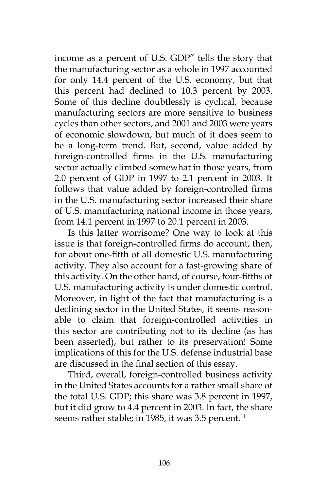income as a percent of U.S. GDP" tells the story that the manufacturing sector as a whole in 1997 accounted for only 14.4 percent of the U.S. economy, but that this percent had declined to 10.3 percent by 2003. Some of this decline doubtlessly is cyclical, because manufacturing sectors are more sensitive to business cycles than other sectors, and 2001 and 2003 were years of economic slowdown, but much of it does seem to be a long-term trend. But, second, value added by foreign-controlled firms in the U.S. manufacturing sector actually climbed somewhat in those years, from 2.0 percent of GDP in 1997 to 2.1 percent in 2003. It follows that value added by foreign-controlled firms in the U.S. manufacturing sector increased their share of U.S. manufacturing national income in those years, from 14.1 percent in 1997 to 20.1 percent in 2003.

Is this latter worrisome? One way to look at this issue is that foreign-controlled firms do account, then, for about one-fifth of all domestic U.S. manufacturing activity. They also account for a fast-growing share of this activity. On the other hand, of course, four-fifths of U.S. manufacturing activity is under domestic control. Moreover, in light of the fact that manufacturing is a declining sector in the United States, it seems reasonable to claim that foreign-controlled activities in this sector are contributing not to its decline (as has been asserted), but rather to its preservation! Some implications of this for the U.S. defense industrial base are discussed in the final section of this essay.

Third, overall, foreign-controlled business activity in the United States accounts for a rather small share of the total U.S. GDP; this share was 3.8 percent in 1997, but it did grow to 4.4 percent in 2003. In fact, the share seems rather stable; in 1985, it was 3.5 percent.<sup>11</sup>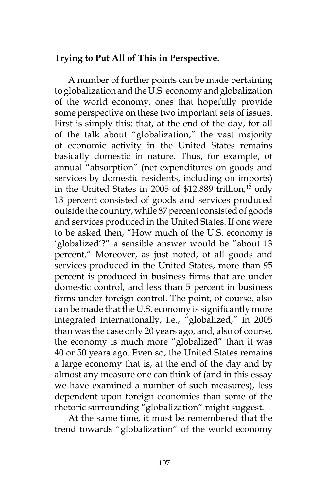### **Trying to Put All of This in Perspective.**

A number of further points can be made pertaining to globalization and the U.S. economy and globalization of the world economy, ones that hopefully provide some perspective on these two important sets of issues. First is simply this: that, at the end of the day, for all of the talk about "globalization," the vast majority of economic activity in the United States remains basically domestic in nature. Thus, for example, of annual "absorption" (net expenditures on goods and services by domestic residents, including on imports) in the United States in 2005 of \$12.889 trillion, $12$  only 13 percent consisted of goods and services produced outside the country, while 87 percent consisted of goods and services produced in the United States. If one were to be asked then, "How much of the U.S. economy is 'globalized'?" a sensible answer would be "about 13 percent." Moreover, as just noted, of all goods and services produced in the United States, more than 95 percent is produced in business firms that are under domestic control, and less than 5 percent in business firms under foreign control. The point, of course, also can be made that the U.S. economy is significantly more integrated internationally, i.e., "globalized," in 2005 than was the case only 20 years ago, and, also of course, the economy is much more "globalized" than it was 40 or 50 years ago. Even so, the United States remains a large economy that is, at the end of the day and by almost any measure one can think of (and in this essay we have examined a number of such measures), less dependent upon foreign economies than some of the rhetoric surrounding "globalization" might suggest.

At the same time, it must be remembered that the trend towards "globalization" of the world economy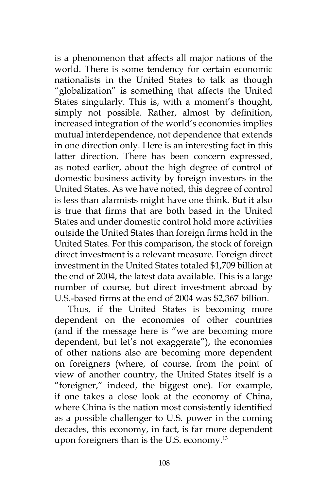is a phenomenon that affects all major nations of the world. There is some tendency for certain economic nationalists in the United States to talk as though "globalization" is something that affects the United States singularly. This is, with a moment's thought, simply not possible. Rather, almost by definition, increased integration of the world's economies implies mutual interdependence, not dependence that extends in one direction only. Here is an interesting fact in this latter direction. There has been concern expressed, as noted earlier, about the high degree of control of domestic business activity by foreign investors in the United States. As we have noted, this degree of control is less than alarmists might have one think. But it also is true that firms that are both based in the United States and under domestic control hold more activities outside the United States than foreign firms hold in the United States. For this comparison, the stock of foreign direct investment is a relevant measure. Foreign direct investment in the United States totaled \$1,709 billion at the end of 2004, the latest data available. This is a large number of course, but direct investment abroad by U.S.-based firms at the end of 2004 was \$2,367 billion.

Thus, if the United States is becoming more dependent on the economies of other countries (and if the message here is "we are becoming more dependent, but let's not exaggerate"), the economies of other nations also are becoming more dependent on foreigners (where, of course, from the point of view of another country, the United States itself is a "foreigner," indeed, the biggest one). For example, if one takes a close look at the economy of China, where China is the nation most consistently identified as a possible challenger to U.S. power in the coming decades, this economy, in fact, is far more dependent upon foreigners than is the U.S. economy.<sup>13</sup>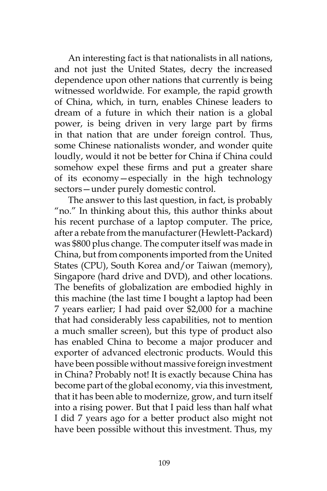An interesting fact is that nationalists in all nations, and not just the United States, decry the increased dependence upon other nations that currently is being witnessed worldwide. For example, the rapid growth of China, which, in turn, enables Chinese leaders to dream of a future in which their nation is a global power, is being driven in very large part by firms in that nation that are under foreign control. Thus, some Chinese nationalists wonder, and wonder quite loudly, would it not be better for China if China could somehow expel these firms and put a greater share of its economy—especially in the high technology sectors—under purely domestic control.

The answer to this last question, in fact, is probably "no." In thinking about this, this author thinks about his recent purchase of a laptop computer. The price, after a rebate from the manufacturer (Hewlett-Packard) was \$800 plus change. The computer itself was made in China, but from components imported from the United States (CPU), South Korea and/or Taiwan (memory), Singapore (hard drive and DVD), and other locations. The benefits of globalization are embodied highly in this machine (the last time I bought a laptop had been 7 years earlier; I had paid over \$2,000 for a machine that had considerably less capabilities, not to mention a much smaller screen), but this type of product also has enabled China to become a major producer and exporter of advanced electronic products. Would this have been possible without massive foreign investment in China? Probably not! It is exactly because China has become part of the global economy, via this investment, that it has been able to modernize, grow, and turn itself into a rising power. But that I paid less than half what I did 7 years ago for a better product also might not have been possible without this investment. Thus, my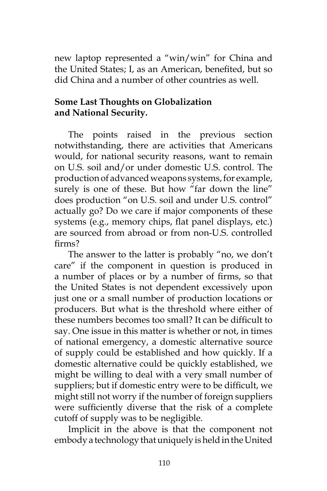new laptop represented a "win/win" for China and the United States; I, as an American, benefited, but so did China and a number of other countries as well.

# **Some Last Thoughts on Globalization and National Security.**

The points raised in the previous section notwithstanding, there are activities that Americans would, for national security reasons, want to remain on U.S. soil and/or under domestic U.S. control. The production of advanced weapons systems, for example, surely is one of these. But how "far down the line" does production "on U.S. soil and under U.S. control" actually go? Do we care if major components of these systems (e.g., memory chips, flat panel displays, etc.) are sourced from abroad or from non-U.S. controlled firms?

The answer to the latter is probably "no, we don't care" if the component in question is produced in a number of places or by a number of firms, so that the United States is not dependent excessively upon just one or a small number of production locations or producers. But what is the threshold where either of these numbers becomes too small? It can be difficult to say. One issue in this matter is whether or not, in times of national emergency, a domestic alternative source of supply could be established and how quickly. If a domestic alternative could be quickly established, we might be willing to deal with a very small number of suppliers; but if domestic entry were to be difficult, we might still not worry if the number of foreign suppliers were sufficiently diverse that the risk of a complete cutoff of supply was to be negligible.

Implicit in the above is that the component not embody a technology that uniquely is held in the United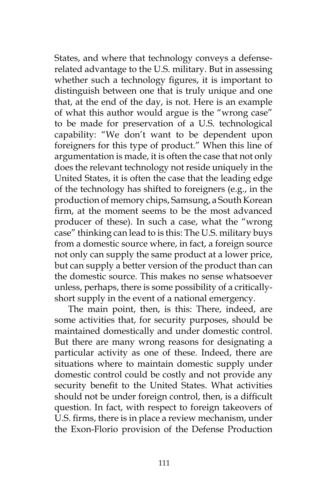States, and where that technology conveys a defenserelated advantage to the U.S. military. But in assessing whether such a technology figures, it is important to distinguish between one that is truly unique and one that, at the end of the day, is not. Here is an example of what this author would argue is the "wrong case" to be made for preservation of a U.S. technological capability: "We don't want to be dependent upon foreigners for this type of product." When this line of argumentation is made, it is often the case that not only does the relevant technology not reside uniquely in the United States, it is often the case that the leading edge of the technology has shifted to foreigners (e.g., in the production of memory chips, Samsung, a South Korean firm, at the moment seems to be the most advanced producer of these). In such a case, what the "wrong case" thinking can lead to is this: The U.S. military buys from a domestic source where, in fact, a foreign source not only can supply the same product at a lower price, but can supply a better version of the product than can the domestic source. This makes no sense whatsoever unless, perhaps, there is some possibility of a criticallyshort supply in the event of a national emergency.

The main point, then, is this: There, indeed, are some activities that, for security purposes, should be maintained domestically and under domestic control. But there are many wrong reasons for designating a particular activity as one of these. Indeed, there are situations where to maintain domestic supply under domestic control could be costly and not provide any security benefit to the United States. What activities should not be under foreign control, then, is a difficult question. In fact, with respect to foreign takeovers of U.S. firms, there is in place a review mechanism, under the Exon-Florio provision of the Defense Production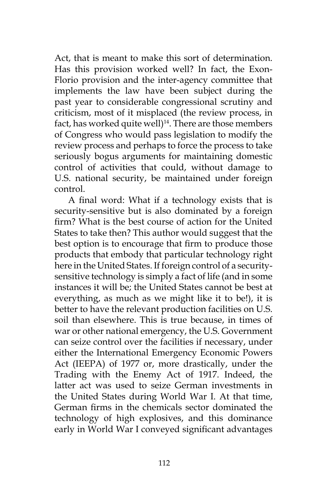Act, that is meant to make this sort of determination. Has this provision worked well? In fact, the Exon-Florio provision and the inter-agency committee that implements the law have been subject during the past year to considerable congressional scrutiny and criticism, most of it misplaced (the review process, in fact, has worked quite well $)^{14}$ . There are those members of Congress who would pass legislation to modify the review process and perhaps to force the process to take seriously bogus arguments for maintaining domestic control of activities that could, without damage to U.S. national security, be maintained under foreign control.

A final word: What if a technology exists that is security-sensitive but is also dominated by a foreign firm? What is the best course of action for the United States to take then? This author would suggest that the best option is to encourage that firm to produce those products that embody that particular technology right here in the United States. If foreign control of a securitysensitive technology is simply a fact of life (and in some instances it will be; the United States cannot be best at everything, as much as we might like it to be!), it is better to have the relevant production facilities on U.S. soil than elsewhere. This is true because, in times of war or other national emergency, the U.S. Government can seize control over the facilities if necessary, under either the International Emergency Economic Powers Act (IEEPA) of 1977 or, more drastically, under the Trading with the Enemy Act of 1917. Indeed, the latter act was used to seize German investments in the United States during World War I. At that time, German firms in the chemicals sector dominated the technology of high explosives, and this dominance early in World War I conveyed significant advantages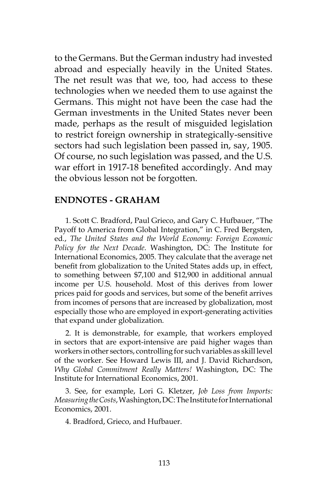to the Germans. But the German industry had invested abroad and especially heavily in the United States. The net result was that we, too, had access to these technologies when we needed them to use against the Germans. This might not have been the case had the German investments in the United States never been made, perhaps as the result of misguided legislation to restrict foreign ownership in strategically-sensitive sectors had such legislation been passed in, say, 1905. Of course, no such legislation was passed, and the U.S. war effort in 1917-18 benefited accordingly. And may the obvious lesson not be forgotten.

#### **ENDNOTES - GRAHAM**

1. Scott C. Bradford, Paul Grieco, and Gary C. Hufbauer, "The Payoff to America from Global Integration," in C. Fred Bergsten, ed*.*, *The United States and the World Economy: Foreign Economic Policy for the Next Decade*. Washington, DC: The Institute for International Economics, 2005. They calculate that the average net benefit from globalization to the United States adds up, in effect, to something between \$7,100 and \$12,900 in additional annual income per U.S. household. Most of this derives from lower prices paid for goods and services, but some of the benefit arrives from incomes of persons that are increased by globalization, most especially those who are employed in export-generating activities that expand under globalization.

2. It is demonstrable, for example, that workers employed in sectors that are export-intensive are paid higher wages than workers in other sectors, controlling for such variables as skill level of the worker. See Howard Lewis III, and J. David Richardson, *Why Global Commitment Really Matters!* Washington, DC: The Institute for International Economics, 2001.

3. See, for example, Lori G. Kletzer, *Job Loss from Imports: Measuring the Costs*, Washington, DC: The Institute for International Economics, 2001.

4. Bradford, Grieco, and Hufbauer.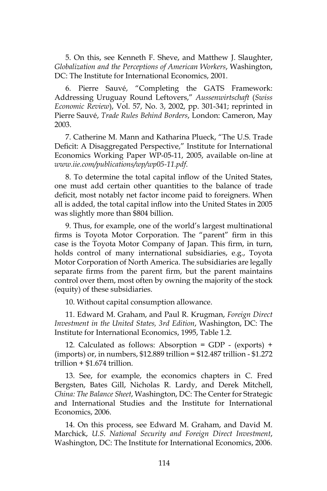5. On this, see Kenneth F. Sheve, and Matthew J. Slaughter, *Globalization and the Perceptions of American Workers*, Washington, DC: The Institute for International Economics, 2001.

6. Pierre Sauvé, "Completing the GATS Framework: Addressing Uruguay Round Leftovers," *Aussenwirtschaft* (*Swiss Economic Review*), Vol. 57, No. 3, 2002, pp. 301-341; reprinted in Pierre Sauvé, *Trade Rules Behind Borders*, London: Cameron, May 2003.

7. Catherine M. Mann and Katharina Plueck, "The U.S. Trade Deficit: A Disaggregated Perspective," Institute for International Economics Working Paper WP-05-11, 2005, available on-line at *www.iie.com/publications/wp/wp05-11.pdf*.

8. To determine the total capital inflow of the United States, one must add certain other quantities to the balance of trade deficit, most notably net factor income paid to foreigners. When all is added, the total capital inflow into the United States in 2005 was slightly more than \$804 billion.

9. Thus, for example, one of the world's largest multinational firms is Toyota Motor Corporation. The "parent" firm in this case is the Toyota Motor Company of Japan. This firm, in turn, holds control of many international subsidiaries, e.g., Toyota Motor Corporation of North America. The subsidiaries are legally separate firms from the parent firm, but the parent maintains control over them, most often by owning the majority of the stock (equity) of these subsidiaries.

10. Without capital consumption allowance.

11. Edward M. Graham, and Paul R. Krugman, *Foreign Direct Investment in the United States, 3rd Edition*, Washington, DC: The Institute for International Economics, 1995, Table 1.2.

12. Calculated as follows: Absorption = GDP - (exports) + (imports) or, in numbers, \$12.889 trillion = \$12.487 trillion - \$1.272 trillion + \$1.674 trillion.

13. See, for example, the economics chapters in C. Fred Bergsten, Bates Gill, Nicholas R. Lardy, and Derek Mitchell, *China: The Balance Sheet*, Washington, DC: The Center for Strategic and International Studies and the Institute for International Economics, 2006.

14. On this process, see Edward M. Graham, and David M. Marchick, *U.S. National Security and Foreign Direct Investment*, Washington, DC: The Institute for International Economics, 2006.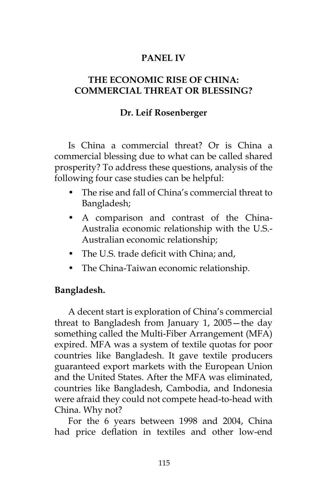# **PANEL IV**

# **THE ECONOMIC RISE OF CHINA: COMMERCIAL THREAT OR BLESSING?**

# **Dr. Leif Rosenberger**

Is China a commercial threat? Or is China a commercial blessing due to what can be called shared prosperity? To address these questions, analysis of the following four case studies can be helpful:

- The rise and fall of China's commercial threat to Bangladesh;
- A comparison and contrast of the China-Australia economic relationship with the U.S.- Australian economic relationship;
- The U.S. trade deficit with China; and,
- The China-Taiwan economic relationship.

# **Bangladesh.**

A decent start is exploration of China's commercial threat to Bangladesh from January 1, 2005—the day something called the Multi-Fiber Arrangement (MFA) expired. MFA was a system of textile quotas for poor countries like Bangladesh. It gave textile producers guaranteed export markets with the European Union and the United States. After the MFA was eliminated, countries like Bangladesh, Cambodia, and Indonesia were afraid they could not compete head-to-head with China. Why not?

For the 6 years between 1998 and 2004, China had price deflation in textiles and other low-end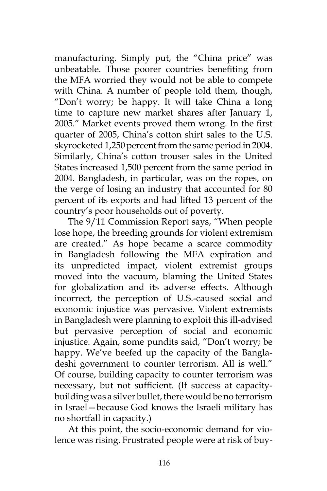manufacturing. Simply put, the "China price" was unbeatable. Those poorer countries benefiting from the MFA worried they would not be able to compete with China. A number of people told them, though, "Don't worry; be happy. It will take China a long time to capture new market shares after January 1, 2005." Market events proved them wrong. In the first quarter of 2005, China's cotton shirt sales to the U.S. skyrocketed 1,250 percent from the same period in 2004. Similarly, China's cotton trouser sales in the United States increased 1,500 percent from the same period in 2004. Bangladesh, in particular, was on the ropes, on the verge of losing an industry that accounted for 80 percent of its exports and had lifted 13 percent of the country's poor households out of poverty.

The 9/11 Commission Report says, "When people lose hope, the breeding grounds for violent extremism are created." As hope became a scarce commodity in Bangladesh following the MFA expiration and its unpredicted impact, violent extremist groups moved into the vacuum, blaming the United States for globalization and its adverse effects. Although incorrect, the perception of U.S.-caused social and economic injustice was pervasive. Violent extremists in Bangladesh were planning to exploit this ill-advised but pervasive perception of social and economic injustice. Again, some pundits said, "Don't worry; be happy. We've beefed up the capacity of the Bangladeshi government to counter terrorism. All is well." Of course, building capacity to counter terrorism was necessary, but not sufficient. (If success at capacitybuilding was a silver bullet, there would be no terrorism in Israel—because God knows the Israeli military has no shortfall in capacity.)

At this point, the socio-economic demand for violence was rising. Frustrated people were at risk of buy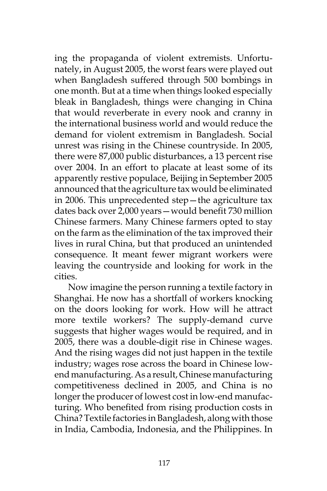ing the propaganda of violent extremists. Unfortunately, in August 2005, the worst fears were played out when Bangladesh suffered through 500 bombings in one month. But at a time when things looked especially bleak in Bangladesh, things were changing in China that would reverberate in every nook and cranny in the international business world and would reduce the demand for violent extremism in Bangladesh. Social unrest was rising in the Chinese countryside. In 2005, there were 87,000 public disturbances, a 13 percent rise over 2004. In an effort to placate at least some of its apparently restive populace, Beijing in September 2005 announced that the agriculture tax would be eliminated in 2006. This unprecedented step—the agriculture tax dates back over 2,000 years—would benefit 730 million Chinese farmers. Many Chinese farmers opted to stay on the farm as the elimination of the tax improved their lives in rural China, but that produced an unintended consequence. It meant fewer migrant workers were leaving the countryside and looking for work in the cities.

Now imagine the person running a textile factory in Shanghai. He now has a shortfall of workers knocking on the doors looking for work. How will he attract more textile workers? The supply-demand curve suggests that higher wages would be required, and in 2005, there was a double-digit rise in Chinese wages. And the rising wages did not just happen in the textile industry; wages rose across the board in Chinese lowend manufacturing. As a result, Chinese manufacturing competitiveness declined in 2005, and China is no longer the producer of lowest cost in low-end manufacturing. Who benefited from rising production costs in China? Textile factories in Bangladesh, along with those in India, Cambodia, Indonesia, and the Philippines. In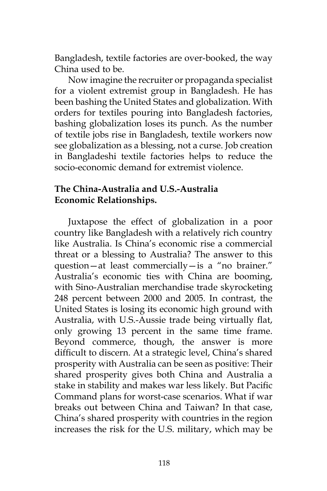Bangladesh, textile factories are over-booked, the way China used to be.

Now imagine the recruiter or propaganda specialist for a violent extremist group in Bangladesh. He has been bashing the United States and globalization. With orders for textiles pouring into Bangladesh factories, bashing globalization loses its punch. As the number of textile jobs rise in Bangladesh, textile workers now see globalization as a blessing, not a curse. Job creation in Bangladeshi textile factories helps to reduce the socio-economic demand for extremist violence.

### **The China-Australia and U.S.-Australia Economic Relationships.**

Juxtapose the effect of globalization in a poor country like Bangladesh with a relatively rich country like Australia. Is China's economic rise a commercial threat or a blessing to Australia? The answer to this question—at least commercially—is a "no brainer." Australia's economic ties with China are booming, with Sino-Australian merchandise trade skyrocketing 248 percent between 2000 and 2005. In contrast, the United States is losing its economic high ground with Australia, with U.S.-Aussie trade being virtually flat, only growing 13 percent in the same time frame. Beyond commerce, though, the answer is more difficult to discern. At a strategic level, China's shared prosperity with Australia can be seen as positive: Their shared prosperity gives both China and Australia a stake in stability and makes war less likely. But Pacific Command plans for worst-case scenarios. What if war breaks out between China and Taiwan? In that case, China's shared prosperity with countries in the region increases the risk for the U.S. military, which may be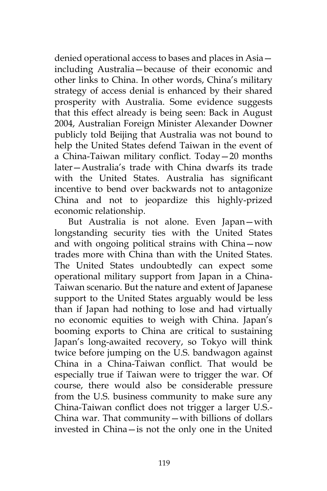denied operational access to bases and places in Asia including Australia—because of their economic and other links to China. In other words, China's military strategy of access denial is enhanced by their shared prosperity with Australia. Some evidence suggests that this effect already is being seen: Back in August 2004, Australian Foreign Minister Alexander Downer publicly told Beijing that Australia was not bound to help the United States defend Taiwan in the event of a China-Taiwan military conflict. Today—20 months later—Australia's trade with China dwarfs its trade with the United States. Australia has significant incentive to bend over backwards not to antagonize China and not to jeopardize this highly-prized economic relationship.

But Australia is not alone. Even Japan—with longstanding security ties with the United States and with ongoing political strains with China—now trades more with China than with the United States. The United States undoubtedly can expect some operational military support from Japan in a China-Taiwan scenario. But the nature and extent of Japanese support to the United States arguably would be less than if Japan had nothing to lose and had virtually no economic equities to weigh with China. Japan's booming exports to China are critical to sustaining Japan's long-awaited recovery, so Tokyo will think twice before jumping on the U.S. bandwagon against China in a China-Taiwan conflict. That would be especially true if Taiwan were to trigger the war. Of course, there would also be considerable pressure from the U.S. business community to make sure any China-Taiwan conflict does not trigger a larger U.S.- China war. That community—with billions of dollars invested in China—is not the only one in the United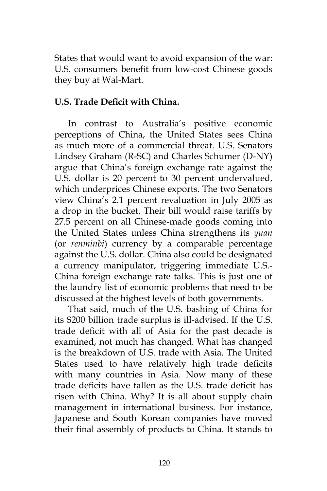States that would want to avoid expansion of the war: U.S. consumers benefit from low-cost Chinese goods they buy at Wal-Mart.

# **U.S. Trade Deficit with China.**

In contrast to Australia's positive economic perceptions of China, the United States sees China as much more of a commercial threat. U.S. Senators Lindsey Graham (R-SC) and Charles Schumer (D-NY) argue that China's foreign exchange rate against the U.S. dollar is 20 percent to 30 percent undervalued, which underprices Chinese exports. The two Senators view China's 2.1 percent revaluation in July 2005 as a drop in the bucket. Their bill would raise tariffs by 27.5 percent on all Chinese-made goods coming into the United States unless China strengthens its *yuan* (or *renminbi*) currency by a comparable percentage against the U.S. dollar. China also could be designated a currency manipulator, triggering immediate U.S.- China foreign exchange rate talks. This is just one of the laundry list of economic problems that need to be discussed at the highest levels of both governments.

That said, much of the U.S. bashing of China for its \$200 billion trade surplus is ill-advised. If the U.S. trade deficit with all of Asia for the past decade is examined, not much has changed. What has changed is the breakdown of U.S. trade with Asia. The United States used to have relatively high trade deficits with many countries in Asia. Now many of these trade deficits have fallen as the U.S. trade deficit has risen with China. Why? It is all about supply chain management in international business. For instance, Japanese and South Korean companies have moved their final assembly of products to China. It stands to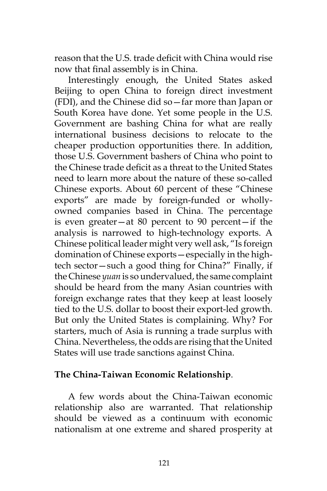reason that the U.S. trade deficit with China would rise now that final assembly is in China.

Interestingly enough, the United States asked Beijing to open China to foreign direct investment (FDI), and the Chinese did so—far more than Japan or South Korea have done. Yet some people in the U.S. Government are bashing China for what are really international business decisions to relocate to the cheaper production opportunities there. In addition, those U.S. Government bashers of China who point to the Chinese trade deficit as a threat to the United States need to learn more about the nature of these so-called Chinese exports. About 60 percent of these "Chinese exports" are made by foreign-funded or whollyowned companies based in China. The percentage is even greater—at 80 percent to 90 percent—if the analysis is narrowed to high-technology exports. A Chinese political leader might very well ask, "Is foreign domination of Chinese exports—especially in the hightech sector—such a good thing for China?" Finally, if the Chinese *yuan* is so undervalued, the same complaint should be heard from the many Asian countries with foreign exchange rates that they keep at least loosely tied to the U.S. dollar to boost their export-led growth. But only the United States is complaining. Why? For starters, much of Asia is running a trade surplus with China. Nevertheless, the odds are rising that the United States will use trade sanctions against China.

### **The China-Taiwan Economic Relationship**.

A few words about the China-Taiwan economic relationship also are warranted. That relationship should be viewed as a continuum with economic nationalism at one extreme and shared prosperity at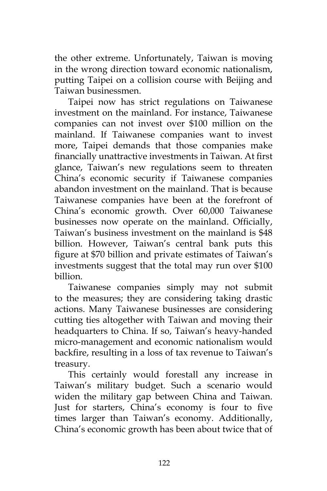the other extreme. Unfortunately, Taiwan is moving in the wrong direction toward economic nationalism, putting Taipei on a collision course with Beijing and Taiwan businessmen.

Taipei now has strict regulations on Taiwanese investment on the mainland. For instance, Taiwanese companies can not invest over \$100 million on the mainland. If Taiwanese companies want to invest more, Taipei demands that those companies make financially unattractive investments in Taiwan. At first glance, Taiwan's new regulations seem to threaten China's economic security if Taiwanese companies abandon investment on the mainland. That is because Taiwanese companies have been at the forefront of China's economic growth. Over 60,000 Taiwanese businesses now operate on the mainland. Officially, Taiwan's business investment on the mainland is \$48 billion. However, Taiwan's central bank puts this figure at \$70 billion and private estimates of Taiwan's investments suggest that the total may run over \$100 billion.

Taiwanese companies simply may not submit to the measures; they are considering taking drastic actions. Many Taiwanese businesses are considering cutting ties altogether with Taiwan and moving their headquarters to China. If so, Taiwan's heavy-handed micro-management and economic nationalism would backfire, resulting in a loss of tax revenue to Taiwan's treasury.

This certainly would forestall any increase in Taiwan's military budget. Such a scenario would widen the military gap between China and Taiwan. Just for starters, China's economy is four to five times larger than Taiwan's economy. Additionally, China's economic growth has been about twice that of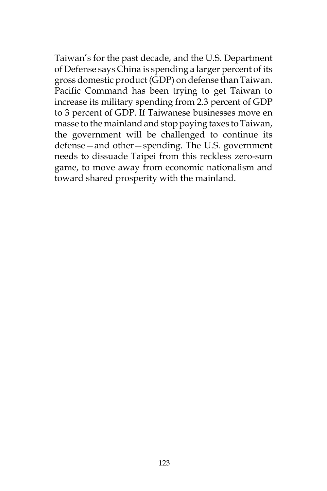Taiwan's for the past decade, and the U.S. Department of Defense says China is spending a larger percent of its gross domestic product (GDP) on defense than Taiwan. Pacific Command has been trying to get Taiwan to increase its military spending from 2.3 percent of GDP to 3 percent of GDP. If Taiwanese businesses move en masse to the mainland and stop paying taxes to Taiwan, the government will be challenged to continue its defense—and other—spending. The U.S. government needs to dissuade Taipei from this reckless zero-sum game, to move away from economic nationalism and toward shared prosperity with the mainland.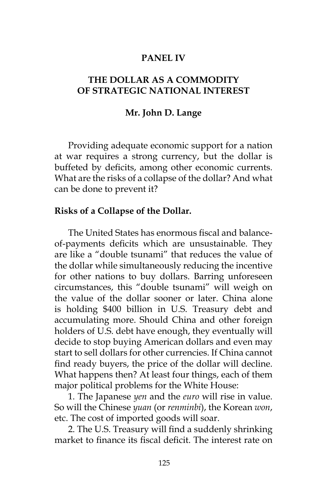### **PANEL IV**

## **THE DOLLAR AS A COMMODITY OF STRATEGIC NATIONAL INTEREST**

#### **Mr. John D. Lange**

Providing adequate economic support for a nation at war requires a strong currency, but the dollar is buffeted by deficits, among other economic currents. What are the risks of a collapse of the dollar? And what can be done to prevent it?

#### **Risks of a Collapse of the Dollar.**

The United States has enormous fiscal and balanceof-payments deficits which are unsustainable. They are like a "double tsunami" that reduces the value of the dollar while simultaneously reducing the incentive for other nations to buy dollars. Barring unforeseen circumstances, this "double tsunami" will weigh on the value of the dollar sooner or later. China alone is holding \$400 billion in U.S. Treasury debt and accumulating more. Should China and other foreign holders of U.S. debt have enough, they eventually will decide to stop buying American dollars and even may start to sell dollars for other currencies. If China cannot find ready buyers, the price of the dollar will decline. What happens then? At least four things, each of them major political problems for the White House:

1. The Japanese *yen* and the *euro* will rise in value. So will the Chinese *yuan* (or *renminbi*), the Korean *won*, etc. The cost of imported goods will soar.

2. The U.S. Treasury will find a suddenly shrinking market to finance its fiscal deficit. The interest rate on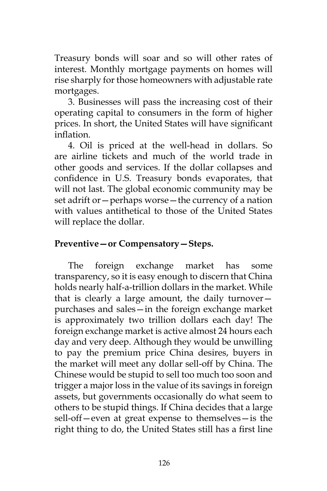Treasury bonds will soar and so will other rates of interest. Monthly mortgage payments on homes will rise sharply for those homeowners with adjustable rate mortgages.

3. Businesses will pass the increasing cost of their operating capital to consumers in the form of higher prices. In short, the United States will have significant inflation.

4. Oil is priced at the well-head in dollars. So are airline tickets and much of the world trade in other goods and services. If the dollar collapses and confidence in U.S. Treasury bonds evaporates, that will not last. The global economic community may be set adrift or—perhaps worse—the currency of a nation with values antithetical to those of the United States will replace the dollar.

# **Preventive—or Compensatory—Steps.**

The foreign exchange market has some transparency, so it is easy enough to discern that China holds nearly half-a-trillion dollars in the market. While that is clearly a large amount, the daily turnover purchases and sales—in the foreign exchange market is approximately two trillion dollars each day! The foreign exchange market is active almost 24 hours each day and very deep. Although they would be unwilling to pay the premium price China desires, buyers in the market will meet any dollar sell-off by China. The Chinese would be stupid to sell too much too soon and trigger a major loss in the value of its savings in foreign assets, but governments occasionally do what seem to others to be stupid things. If China decides that a large sell-off—even at great expense to themselves—is the right thing to do, the United States still has a first line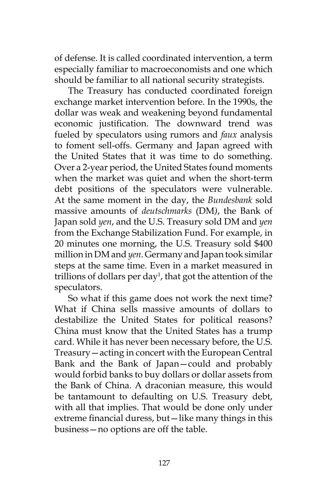of defense. It is called coordinated intervention, a term especially familiar to macroeconomists and one which should be familiar to all national security strategists.

The Treasury has conducted coordinated foreign exchange market intervention before. In the 1990s, the dollar was weak and weakening beyond fundamental economic justification. The downward trend was fueled by speculators using rumors and *faux* analysis to foment sell-offs. Germany and Japan agreed with the United States that it was time to do something. Over a 2-year period, the United States found moments when the market was quiet and when the short-term debt positions of the speculators were vulnerable. At the same moment in the day, the *Bundesbank* sold massive amounts of *deutschmarks* (DM*)*, the Bank of Japan sold *yen*, and the U.S. Treasury sold DM and *yen* from the Exchange Stabilization Fund. For example, in 20 minutes one morning, the U.S. Treasury sold \$400 million in DM and *yen*. Germany and Japan took similar steps at the same time. Even in a market measured in trillions of dollars per day<sup>1</sup>, that got the attention of the speculators.

So what if this game does not work the next time? What if China sells massive amounts of dollars to destabilize the United States for political reasons? China must know that the United States has a trump card. While it has never been necessary before, the U.S. Treasury—acting in concert with the European Central Bank and the Bank of Japan—could and probably would forbid banks to buy dollars or dollar assets from the Bank of China. A draconian measure, this would be tantamount to defaulting on U.S. Treasury debt, with all that implies. That would be done only under extreme financial duress, but—like many things in this business—no options are off the table.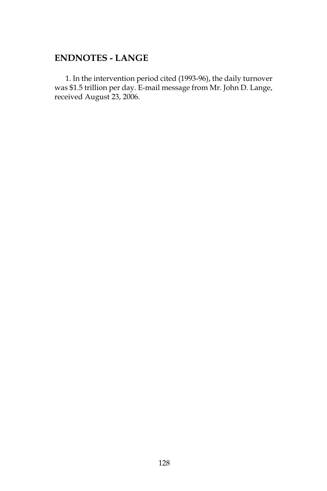# **ENDNOTES - LANGE**

1. In the intervention period cited (1993-96), the daily turnover was \$1.5 trillion per day. E-mail message from Mr. John D. Lange, received August 23, 2006.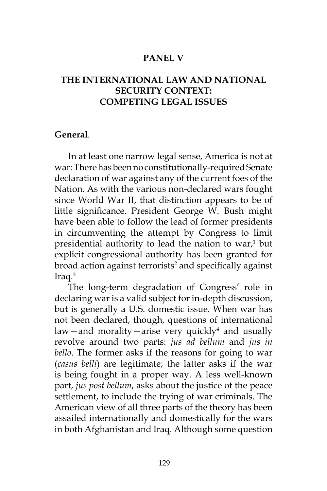### **PANEL V**

## **THE INTERNATIONAL LAW AND NATIONAL SECURITY CONTEXT: COMPETING LEGAL ISSUES**

#### **General**.

In at least one narrow legal sense, America is not at war: There has been no constitutionally-required Senate declaration of war against any of the current foes of the Nation. As with the various non-declared wars fought since World War II, that distinction appears to be of little significance. President George W. Bush might have been able to follow the lead of former presidents in circumventing the attempt by Congress to limit presidential authority to lead the nation to war, $1$  but explicit congressional authority has been granted for broad action against terrorists<sup>2</sup> and specifically against Iraq.3

The long-term degradation of Congress' role in declaring war is a valid subject for in-depth discussion, but is generally a U.S. domestic issue. When war has not been declared, though, questions of international law—and morality—arise very quickly<sup>4</sup> and usually revolve around two parts: *jus ad bellum* and *jus in bello*. The former asks if the reasons for going to war (*casus belli*) are legitimate; the latter asks if the war is being fought in a proper way. A less well-known part, *jus post bellum*, asks about the justice of the peace settlement, to include the trying of war criminals. The American view of all three parts of the theory has been assailed internationally and domestically for the wars in both Afghanistan and Iraq. Although some question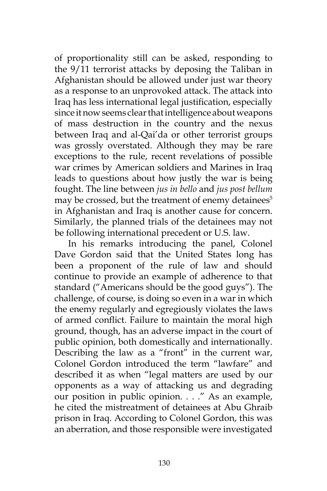of proportionality still can be asked, responding to the 9/11 terrorist attacks by deposing the Taliban in Afghanistan should be allowed under just war theory as a response to an unprovoked attack. The attack into Iraq has less international legal justification, especially since it now seems clear that intelligence about weapons of mass destruction in the country and the nexus between Iraq and al-Qai'da or other terrorist groups was grossly overstated. Although they may be rare exceptions to the rule, recent revelations of possible war crimes by American soldiers and Marines in Iraq leads to questions about how justly the war is being fought. The line between *jus in bello* and *jus post bellum* may be crossed, but the treatment of enemy detainees<sup>5</sup> in Afghanistan and Iraq is another cause for concern. Similarly, the planned trials of the detainees may not be following international precedent or U.S. law.

In his remarks introducing the panel, Colonel Dave Gordon said that the United States long has been a proponent of the rule of law and should continue to provide an example of adherence to that standard ("Americans should be the good guys"). The challenge, of course, is doing so even in a war in which the enemy regularly and egregiously violates the laws of armed conflict. Failure to maintain the moral high ground, though, has an adverse impact in the court of public opinion, both domestically and internationally. Describing the law as a "front" in the current war, Colonel Gordon introduced the term "lawfare" and described it as when "legal matters are used by our opponents as a way of attacking us and degrading our position in public opinion. . . ." As an example, he cited the mistreatment of detainees at Abu Ghraib prison in Iraq. According to Colonel Gordon, this was an aberration, and those responsible were investigated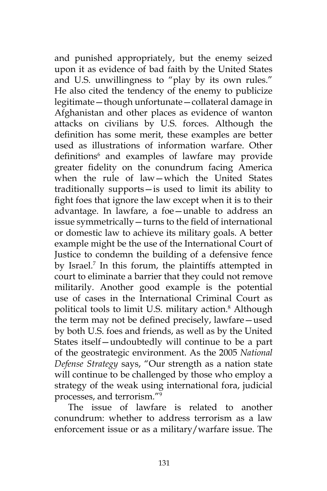and punished appropriately, but the enemy seized upon it as evidence of bad faith by the United States and U.S. unwillingness to "play by its own rules." He also cited the tendency of the enemy to publicize legitimate—though unfortunate—collateral damage in Afghanistan and other places as evidence of wanton attacks on civilians by U.S. forces. Although the definition has some merit, these examples are better used as illustrations of information warfare. Other definitions<sup>6</sup> and examples of lawfare may provide greater fidelity on the conundrum facing America when the rule of law—which the United States traditionally supports—is used to limit its ability to fight foes that ignore the law except when it is to their advantage. In lawfare, a foe—unable to address an issue symmetrically—turns to the field of international or domestic law to achieve its military goals. A better example might be the use of the International Court of Justice to condemn the building of a defensive fence by Israel.<sup>7</sup> In this forum, the plaintiffs attempted in court to eliminate a barrier that they could not remove militarily. Another good example is the potential use of cases in the International Criminal Court as political tools to limit U.S. military action.8 Although the term may not be defined precisely, lawfare—used by both U.S. foes and friends, as well as by the United States itself—undoubtedly will continue to be a part of the geostrategic environment. As the 2005 *National Defense Strategy* says, "Our strength as a nation state will continue to be challenged by those who employ a strategy of the weak using international fora, judicial processes, and terrorism."9

The issue of lawfare is related to another conundrum: whether to address terrorism as a law enforcement issue or as a military/warfare issue. The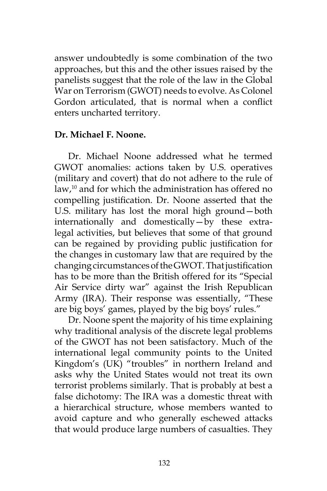answer undoubtedly is some combination of the two approaches, but this and the other issues raised by the panelists suggest that the role of the law in the Global War on Terrorism (GWOT) needs to evolve. As Colonel Gordon articulated, that is normal when a conflict enters uncharted territory.

### **Dr. Michael F. Noone.**

Dr. Michael Noone addressed what he termed GWOT anomalies: actions taken by U.S. operatives (military and covert) that do not adhere to the rule of law,<sup>10</sup> and for which the administration has offered no compelling justification. Dr. Noone asserted that the U.S. military has lost the moral high ground—both internationally and domestically—by these extralegal activities, but believes that some of that ground can be regained by providing public justification for the changes in customary law that are required by the changing circumstances of the GWOT. That justification has to be more than the British offered for its "Special Air Service dirty war" against the Irish Republican Army (IRA). Their response was essentially, "These are big boys' games, played by the big boys' rules."

Dr. Noone spent the majority of his time explaining why traditional analysis of the discrete legal problems of the GWOT has not been satisfactory. Much of the international legal community points to the United Kingdom's (UK) "troubles" in northern Ireland and asks why the United States would not treat its own terrorist problems similarly. That is probably at best a false dichotomy: The IRA was a domestic threat with a hierarchical structure, whose members wanted to avoid capture and who generally eschewed attacks that would produce large numbers of casualties. They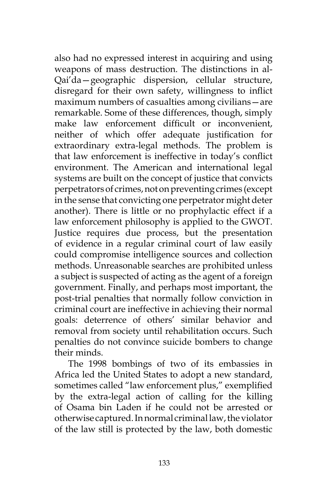also had no expressed interest in acquiring and using weapons of mass destruction. The distinctions in al-Qai'da—geographic dispersion, cellular structure, disregard for their own safety, willingness to inflict maximum numbers of casualties among civilians—are remarkable. Some of these differences, though, simply make law enforcement difficult or inconvenient, neither of which offer adequate justification for extraordinary extra-legal methods. The problem is that law enforcement is ineffective in today's conflict environment. The American and international legal systems are built on the concept of justice that convicts perpetrators of crimes, not on preventing crimes (except in the sense that convicting one perpetrator might deter another). There is little or no prophylactic effect if a law enforcement philosophy is applied to the GWOT. Justice requires due process, but the presentation of evidence in a regular criminal court of law easily could compromise intelligence sources and collection methods. Unreasonable searches are prohibited unless a subject is suspected of acting as the agent of a foreign government. Finally, and perhaps most important, the post-trial penalties that normally follow conviction in criminal court are ineffective in achieving their normal goals: deterrence of others' similar behavior and removal from society until rehabilitation occurs. Such penalties do not convince suicide bombers to change their minds.

The 1998 bombings of two of its embassies in Africa led the United States to adopt a new standard, sometimes called "law enforcement plus," exemplified by the extra-legal action of calling for the killing of Osama bin Laden if he could not be arrested or otherwise captured. In normal criminal law, the violator of the law still is protected by the law, both domestic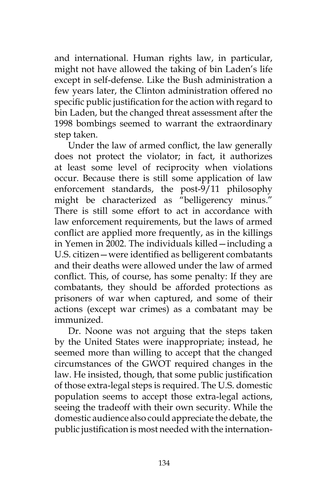and international. Human rights law, in particular, might not have allowed the taking of bin Laden's life except in self-defense. Like the Bush administration a few years later, the Clinton administration offered no specific public justification for the action with regard to bin Laden, but the changed threat assessment after the 1998 bombings seemed to warrant the extraordinary step taken.

Under the law of armed conflict, the law generally does not protect the violator; in fact, it authorizes at least some level of reciprocity when violations occur. Because there is still some application of law enforcement standards, the post- $9/11$  philosophy might be characterized as "belligerency minus." There is still some effort to act in accordance with law enforcement requirements, but the laws of armed conflict are applied more frequently, as in the killings in Yemen in 2002. The individuals killed—including a U.S. citizen—were identified as belligerent combatants and their deaths were allowed under the law of armed conflict. This, of course, has some penalty: If they are combatants, they should be afforded protections as prisoners of war when captured, and some of their actions (except war crimes) as a combatant may be immunized.

Dr. Noone was not arguing that the steps taken by the United States were inappropriate; instead, he seemed more than willing to accept that the changed circumstances of the GWOT required changes in the law. He insisted, though, that some public justification of those extra-legal steps is required. The U.S. domestic population seems to accept those extra-legal actions, seeing the tradeoff with their own security. While the domestic audience also could appreciate the debate, the public justification is most needed with the internation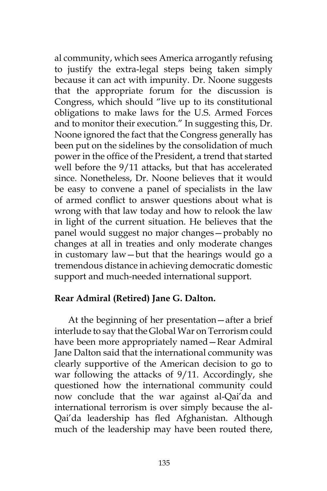al community, which sees America arrogantly refusing to justify the extra-legal steps being taken simply because it can act with impunity. Dr. Noone suggests that the appropriate forum for the discussion is Congress, which should "live up to its constitutional obligations to make laws for the U.S. Armed Forces and to monitor their execution." In suggesting this, Dr. Noone ignored the fact that the Congress generally has been put on the sidelines by the consolidation of much power in the office of the President, a trend that started well before the 9/11 attacks, but that has accelerated since. Nonetheless, Dr. Noone believes that it would be easy to convene a panel of specialists in the law of armed conflict to answer questions about what is wrong with that law today and how to relook the law in light of the current situation. He believes that the panel would suggest no major changes—probably no changes at all in treaties and only moderate changes in customary law—but that the hearings would go a tremendous distance in achieving democratic domestic support and much-needed international support.

### **Rear Admiral (Retired) Jane G. Dalton.**

At the beginning of her presentation—after a brief interlude to say that the Global War on Terrorism could have been more appropriately named—Rear Admiral Jane Dalton said that the international community was clearly supportive of the American decision to go to war following the attacks of 9/11. Accordingly, she questioned how the international community could now conclude that the war against al-Qai'da and international terrorism is over simply because the al-Qai'da leadership has fled Afghanistan. Although much of the leadership may have been routed there,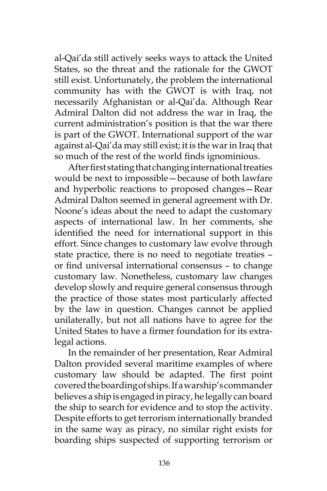al-Qai'da still actively seeks ways to attack the United States, so the threat and the rationale for the GWOT still exist. Unfortunately, the problem the international community has with the GWOT is with Iraq, not necessarily Afghanistan or al-Qai'da. Although Rear Admiral Dalton did not address the war in Iraq, the current administration's position is that the war there is part of the GWOT. International support of the war against al-Qai'da may still exist; it is the war in Iraq that so much of the rest of the world finds ignominious.

After first stating that changing international treaties would be next to impossible—because of both lawfare and hyperbolic reactions to proposed changes—Rear Admiral Dalton seemed in general agreement with Dr. Noone's ideas about the need to adapt the customary aspects of international law. In her comments, she identified the need for international support in this effort. Since changes to customary law evolve through state practice, there is no need to negotiate treaties – or find universal international consensus – to change customary law. Nonetheless, customary law changes develop slowly and require general consensus through the practice of those states most particularly affected by the law in question. Changes cannot be applied unilaterally, but not all nations have to agree for the United States to have a firmer foundation for its extralegal actions.

In the remainder of her presentation, Rear Admiral Dalton provided several maritime examples of where customary law should be adapted. The first point covered the boarding of ships. If a warship's commander believes a ship is engaged in piracy, he legally can board the ship to search for evidence and to stop the activity. Despite efforts to get terrorism internationally branded in the same way as piracy, no similar right exists for boarding ships suspected of supporting terrorism or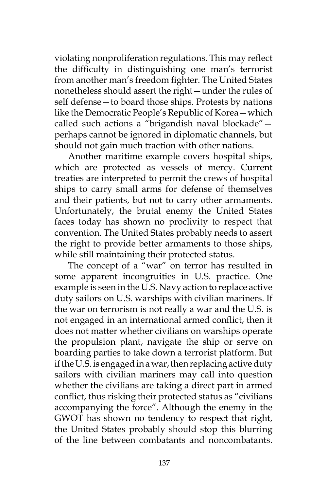violating nonproliferation regulations. This may reflect the difficulty in distinguishing one man's terrorist from another man's freedom fighter. The United States nonetheless should assert the right—under the rules of self defense—to board those ships. Protests by nations like the Democratic People's Republic of Korea—which called such actions a "brigandish naval blockade" perhaps cannot be ignored in diplomatic channels, but should not gain much traction with other nations.

Another maritime example covers hospital ships, which are protected as vessels of mercy. Current treaties are interpreted to permit the crews of hospital ships to carry small arms for defense of themselves and their patients, but not to carry other armaments. Unfortunately, the brutal enemy the United States faces today has shown no proclivity to respect that convention. The United States probably needs to assert the right to provide better armaments to those ships, while still maintaining their protected status.

The concept of a "war" on terror has resulted in some apparent incongruities in U.S. practice. One example is seen in the U.S. Navy action to replace active duty sailors on U.S. warships with civilian mariners. If the war on terrorism is not really a war and the U.S. is not engaged in an international armed conflict, then it does not matter whether civilians on warships operate the propulsion plant, navigate the ship or serve on boarding parties to take down a terrorist platform. But if the U.S. is engaged in a war, then replacing active duty sailors with civilian mariners may call into question whether the civilians are taking a direct part in armed conflict, thus risking their protected status as "civilians accompanying the force". Although the enemy in the GWOT has shown no tendency to respect that right, the United States probably should stop this blurring of the line between combatants and noncombatants.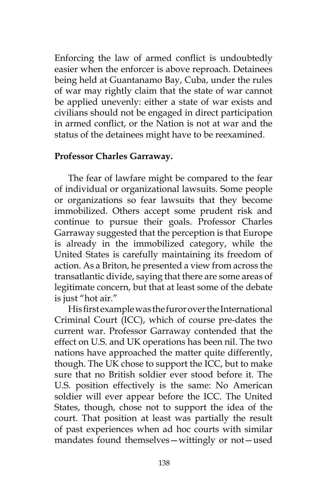Enforcing the law of armed conflict is undoubtedly easier when the enforcer is above reproach. Detainees being held at Guantanamo Bay, Cuba, under the rules of war may rightly claim that the state of war cannot be applied unevenly: either a state of war exists and civilians should not be engaged in direct participation in armed conflict, or the Nation is not at war and the status of the detainees might have to be reexamined.

### **Professor Charles Garraway.**

The fear of lawfare might be compared to the fear of individual or organizational lawsuits. Some people or organizations so fear lawsuits that they become immobilized. Others accept some prudent risk and continue to pursue their goals. Professor Charles Garraway suggested that the perception is that Europe is already in the immobilized category, while the United States is carefully maintaining its freedom of action. As a Briton, he presented a view from across the transatlantic divide, saying that there are some areas of legitimate concern, but that at least some of the debate is just "hot air."

His first example was the furor over the International Criminal Court (ICC), which of course pre-dates the current war. Professor Garraway contended that the effect on U.S. and UK operations has been nil. The two nations have approached the matter quite differently, though. The UK chose to support the ICC, but to make sure that no British soldier ever stood before it. The U.S. position effectively is the same: No American soldier will ever appear before the ICC. The United States, though, chose not to support the idea of the court. That position at least was partially the result of past experiences when ad hoc courts with similar mandates found themselves—wittingly or not—used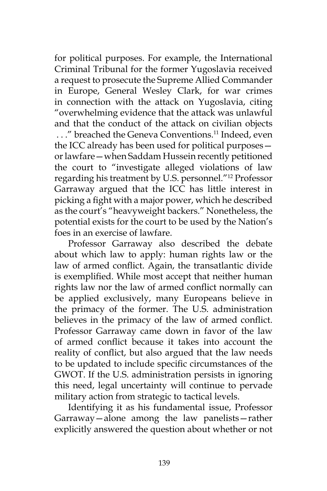for political purposes. For example, the International Criminal Tribunal for the former Yugoslavia received a request to prosecute the Supreme Allied Commander in Europe, General Wesley Clark, for war crimes in connection with the attack on Yugoslavia, citing "overwhelming evidence that the attack was unlawful and that the conduct of the attack on civilian objects . . ." breached the Geneva Conventions.11 Indeed, even the ICC already has been used for political purposes or lawfare—when Saddam Hussein recently petitioned the court to "investigate alleged violations of law regarding his treatment by U.S. personnel."12 Professor Garraway argued that the ICC has little interest in picking a fight with a major power, which he described as the court's "heavyweight backers." Nonetheless, the potential exists for the court to be used by the Nation's foes in an exercise of lawfare.

Professor Garraway also described the debate about which law to apply: human rights law or the law of armed conflict. Again, the transatlantic divide is exemplified. While most accept that neither human rights law nor the law of armed conflict normally can be applied exclusively, many Europeans believe in the primacy of the former. The U.S. administration believes in the primacy of the law of armed conflict. Professor Garraway came down in favor of the law of armed conflict because it takes into account the reality of conflict, but also argued that the law needs to be updated to include specific circumstances of the GWOT. If the U.S. administration persists in ignoring this need, legal uncertainty will continue to pervade military action from strategic to tactical levels.

Identifying it as his fundamental issue, Professor Garraway—alone among the law panelists—rather explicitly answered the question about whether or not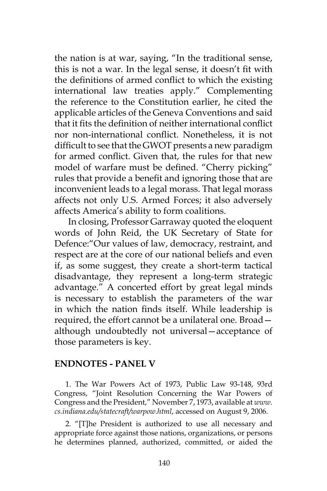the nation is at war, saying, "In the traditional sense, this is not a war. In the legal sense, it doesn't fit with the definitions of armed conflict to which the existing international law treaties apply." Complementing the reference to the Constitution earlier, he cited the applicable articles of the Geneva Conventions and said that it fits the definition of neither international conflict nor non-international conflict. Nonetheless, it is not difficult to see that the GWOT presents a new paradigm for armed conflict. Given that, the rules for that new model of warfare must be defined. "Cherry picking" rules that provide a benefit and ignoring those that are inconvenient leads to a legal morass. That legal morass affects not only U.S. Armed Forces; it also adversely affects America's ability to form coalitions.

In closing, Professor Garraway quoted the eloquent words of John Reid, the UK Secretary of State for Defence:"Our values of law, democracy, restraint, and respect are at the core of our national beliefs and even if, as some suggest, they create a short-term tactical disadvantage, they represent a long-term strategic advantage." A concerted effort by great legal minds is necessary to establish the parameters of the war in which the nation finds itself. While leadership is required, the effort cannot be a unilateral one. Broad although undoubtedly not universal—acceptance of those parameters is key.

#### **ENDNOTES - PANEL V**

1. The War Powers Act of 1973, Public Law 93-148, 93rd Congress, "Joint Resolution Concerning the War Powers of Congress and the President," November 7, 1973, available at *www. cs.indiana.edu/statecraft/warpow.html*, accessed on August 9, 2006.

2. "[T]he President is authorized to use all necessary and appropriate force against those nations, organizations, or persons he determines planned, authorized, committed, or aided the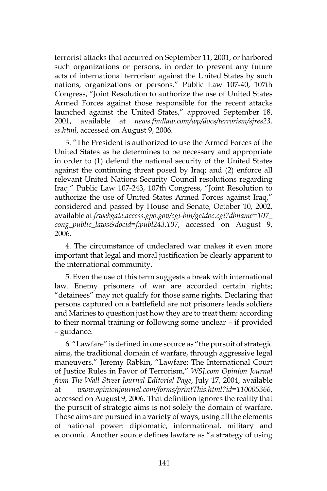terrorist attacks that occurred on September 11, 2001, or harbored such organizations or persons, in order to prevent any future acts of international terrorism against the United States by such nations, organizations or persons." Public Law 107-40, 107th Congress, "Joint Resolution to authorize the use of United States Armed Forces against those responsible for the recent attacks launched against the United States," approved September 18, 2001, available at *news.findlaw.com/wp/docs/terrorism/sjres23. es.html*, accessed on August 9, 2006.

3. "The President is authorized to use the Armed Forces of the United States as he determines to be necessary and appropriate in order to (1) defend the national security of the United States against the continuing threat posed by Iraq; and (2) enforce all relevant United Nations Security Council resolutions regarding Iraq." Public Law 107-243, 107th Congress, "Joint Resolution to authorize the use of United States Armed Forces against Iraq," considered and passed by House and Senate, October 10, 2002, available at *frwebgate.access.gpo.gov/cgi-bin/getdoc.cgi?dbname=107\_ cong\_public\_laws&docid=f:publ243.107*, accessed on August 9, 2006.

4. The circumstance of undeclared war makes it even more important that legal and moral justification be clearly apparent to the international community.

5. Even the use of this term suggests a break with international law. Enemy prisoners of war are accorded certain rights; "detainees" may not qualify for those same rights. Declaring that persons captured on a battlefield are not prisoners leads soldiers and Marines to question just how they are to treat them: according to their normal training or following some unclear – if provided – guidance.

6. "Lawfare" is defined in one source as "the pursuit of strategic aims, the traditional domain of warfare, through aggressive legal maneuvers." Jeremy Rabkin, "Lawfare: The International Court of Justice Rules in Favor of Terrorism," *WSJ.com Opinion Journal from The Wall Street Journal Editorial Page*, July 17, 2004, available at *www.opinionjournal.com/forms/printThis.html?id=110005366*, accessed on August 9, 2006. That definition ignores the reality that the pursuit of strategic aims is not solely the domain of warfare. Those aims are pursued in a variety of ways, using all the elements of national power: diplomatic, informational, military and economic. Another source defines lawfare as "a strategy of using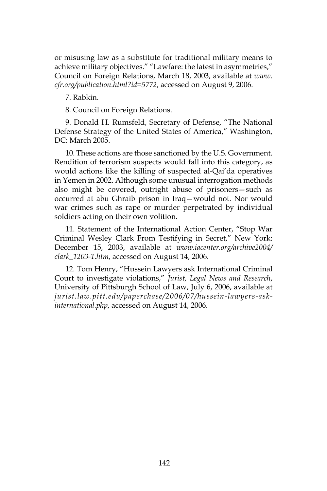or misusing law as a substitute for traditional military means to achieve military objectives." "Lawfare: the latest in asymmetries," Council on Foreign Relations, March 18, 2003, available at *www. cfr.org/publication.html?id=5772*, accessed on August 9, 2006.

7. Rabkin.

8. Council on Foreign Relations.

9. Donald H. Rumsfeld, Secretary of Defense, "The National Defense Strategy of the United States of America," Washington, DC: March 2005.

10. These actions are those sanctioned by the U.S. Government. Rendition of terrorism suspects would fall into this category, as would actions like the killing of suspected al-Qai'da operatives in Yemen in 2002. Although some unusual interrogation methods also might be covered, outright abuse of prisoners—such as occurred at abu Ghraib prison in Iraq—would not. Nor would war crimes such as rape or murder perpetrated by individual soldiers acting on their own volition.

11. Statement of the International Action Center, "Stop War Criminal Wesley Clark From Testifying in Secret," New York: December 15, 2003, available at *www.iacenter.org/archive2004/ clark\_1203-1.htm*, accessed on August 14, 2006.

12. Tom Henry, "Hussein Lawyers ask International Criminal Court to investigate violations," *Jurist, Legal News and Research*, University of Pittsburgh School of Law, July 6, 2006, available at *jurist.law.pitt.edu/paperchase/2006/07/hussein-lawyers-askinternational.php*, accessed on August 14, 2006.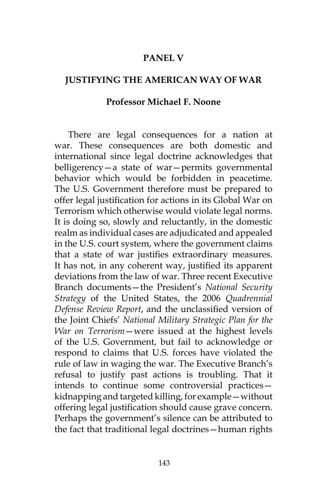#### **PANEL V**

## **JUSTIFYING THE AMERICAN WAY OF WAR**

#### **Professor Michael F. Noone**

There are legal consequences for a nation at war. These consequences are both domestic and international since legal doctrine acknowledges that belligerency—a state of war—permits governmental behavior which would be forbidden in peacetime. The U.S. Government therefore must be prepared to offer legal justification for actions in its Global War on Terrorism which otherwise would violate legal norms. It is doing so, slowly and reluctantly, in the domestic realm as individual cases are adjudicated and appealed in the U.S. court system, where the government claims that a state of war justifies extraordinary measures. It has not, in any coherent way, justified its apparent deviations from the law of war. Three recent Executive Branch documents—the President's *National Security Strategy* of the United States, the 2006 *Quadrennial Defense Review Report*, and the unclassified version of the Joint Chiefs' *National Military Strategic Plan for the War on Terrorism*—were issued at the highest levels of the U.S. Government, but fail to acknowledge or respond to claims that U.S. forces have violated the rule of law in waging the war. The Executive Branch's refusal to justify past actions is troubling. That it intends to continue some controversial practices kidnapping and targeted killing, for example—without offering legal justification should cause grave concern. Perhaps the government's silence can be attributed to the fact that traditional legal doctrines—human rights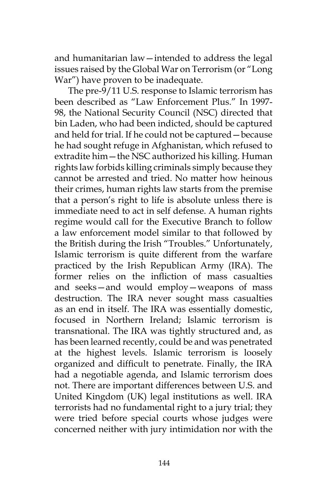and humanitarian law—intended to address the legal issues raised by the Global War on Terrorism (or "Long War") have proven to be inadequate.

The pre-9/11 U.S. response to Islamic terrorism has been described as "Law Enforcement Plus." In 1997- 98, the National Security Council (NSC) directed that bin Laden, who had been indicted, should be captured and held for trial. If he could not be captured—because he had sought refuge in Afghanistan, which refused to extradite him—the NSC authorized his killing. Human rights law forbids killing criminals simply because they cannot be arrested and tried. No matter how heinous their crimes, human rights law starts from the premise that a person's right to life is absolute unless there is immediate need to act in self defense. A human rights regime would call for the Executive Branch to follow a law enforcement model similar to that followed by the British during the Irish "Troubles." Unfortunately, Islamic terrorism is quite different from the warfare practiced by the Irish Republican Army (IRA). The former relies on the infliction of mass casualties and seeks—and would employ—weapons of mass destruction. The IRA never sought mass casualties as an end in itself. The IRA was essentially domestic, focused in Northern Ireland; Islamic terrorism is transnational. The IRA was tightly structured and, as has been learned recently, could be and was penetrated at the highest levels. Islamic terrorism is loosely organized and difficult to penetrate. Finally, the IRA had a negotiable agenda, and Islamic terrorism does not. There are important differences between U.S. and United Kingdom (UK) legal institutions as well. IRA terrorists had no fundamental right to a jury trial; they were tried before special courts whose judges were concerned neither with jury intimidation nor with the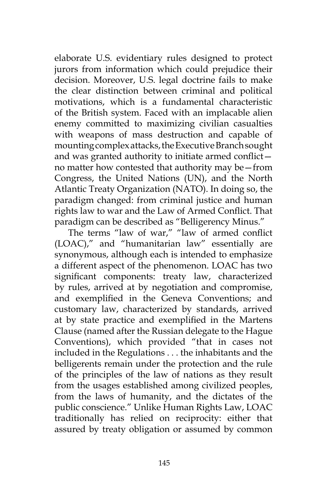elaborate U.S. evidentiary rules designed to protect jurors from information which could prejudice their decision. Moreover, U.S. legal doctrine fails to make the clear distinction between criminal and political motivations, which is a fundamental characteristic of the British system. Faced with an implacable alien enemy committed to maximizing civilian casualties with weapons of mass destruction and capable of mounting complex attacks, the Executive Branch sought and was granted authority to initiate armed conflict no matter how contested that authority may be—from Congress, the United Nations (UN), and the North Atlantic Treaty Organization (NATO). In doing so, the paradigm changed: from criminal justice and human rights law to war and the Law of Armed Conflict. That paradigm can be described as "Belligerency Minus."

The terms "law of war," "law of armed conflict (LOAC)," and "humanitarian law" essentially are synonymous, although each is intended to emphasize a different aspect of the phenomenon. LOAC has two significant components: treaty law, characterized by rules, arrived at by negotiation and compromise, and exemplified in the Geneva Conventions; and customary law, characterized by standards, arrived at by state practice and exemplified in the Martens Clause (named after the Russian delegate to the Hague Conventions), which provided "that in cases not included in the Regulations . . . the inhabitants and the belligerents remain under the protection and the rule of the principles of the law of nations as they result from the usages established among civilized peoples, from the laws of humanity, and the dictates of the public conscience." Unlike Human Rights Law, LOAC traditionally has relied on reciprocity: either that assured by treaty obligation or assumed by common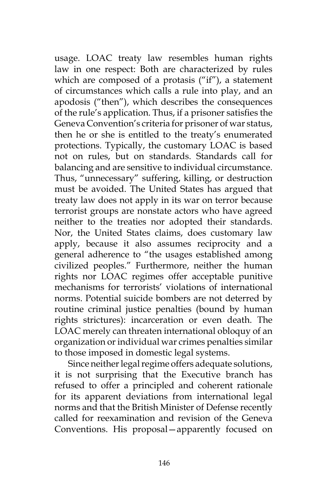usage. LOAC treaty law resembles human rights law in one respect: Both are characterized by rules which are composed of a protasis ("if"), a statement of circumstances which calls a rule into play, and an apodosis ("then"), which describes the consequences of the rule's application. Thus, if a prisoner satisfies the Geneva Convention's criteria for prisoner of war status, then he or she is entitled to the treaty's enumerated protections. Typically, the customary LOAC is based not on rules, but on standards. Standards call for balancing and are sensitive to individual circumstance. Thus, "unnecessary" suffering, killing, or destruction must be avoided. The United States has argued that treaty law does not apply in its war on terror because terrorist groups are nonstate actors who have agreed neither to the treaties nor adopted their standards. Nor, the United States claims, does customary law apply, because it also assumes reciprocity and a general adherence to "the usages established among civilized peoples." Furthermore, neither the human rights nor LOAC regimes offer acceptable punitive mechanisms for terrorists' violations of international norms. Potential suicide bombers are not deterred by routine criminal justice penalties (bound by human rights strictures): incarceration or even death. The LOAC merely can threaten international obloquy of an organization or individual war crimes penalties similar to those imposed in domestic legal systems.

Since neither legal regime offers adequate solutions, it is not surprising that the Executive branch has refused to offer a principled and coherent rationale for its apparent deviations from international legal norms and that the British Minister of Defense recently called for reexamination and revision of the Geneva Conventions. His proposal—apparently focused on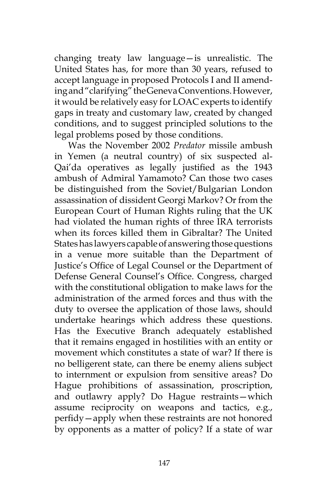changing treaty law language—is unrealistic. The United States has, for more than 30 years, refused to accept language in proposed Protocols I and II amending and "clarifying" the Geneva Conventions. However, it would be relatively easy for LOAC experts to identify gaps in treaty and customary law, created by changed conditions, and to suggest principled solutions to the legal problems posed by those conditions.

Was the November 2002 *Predator* missile ambush in Yemen (a neutral country) of six suspected al-Qai'da operatives as legally justified as the 1943 ambush of Admiral Yamamoto? Can those two cases be distinguished from the Soviet/Bulgarian London assassination of dissident Georgi Markov? Or from the European Court of Human Rights ruling that the UK had violated the human rights of three IRA terrorists when its forces killed them in Gibraltar? The United States has lawyers capable of answering those questions in a venue more suitable than the Department of Justice's Office of Legal Counsel or the Department of Defense General Counsel's Office. Congress, charged with the constitutional obligation to make laws for the administration of the armed forces and thus with the duty to oversee the application of those laws, should undertake hearings which address these questions. Has the Executive Branch adequately established that it remains engaged in hostilities with an entity or movement which constitutes a state of war? If there is no belligerent state, can there be enemy aliens subject to internment or expulsion from sensitive areas? Do Hague prohibitions of assassination, proscription, and outlawry apply? Do Hague restraints—which assume reciprocity on weapons and tactics, e.g., perfidy—apply when these restraints are not honored by opponents as a matter of policy? If a state of war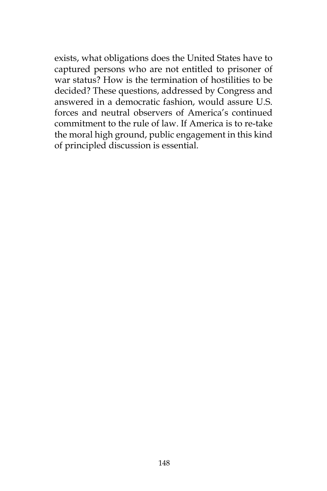exists, what obligations does the United States have to captured persons who are not entitled to prisoner of war status? How is the termination of hostilities to be decided? These questions, addressed by Congress and answered in a democratic fashion, would assure U.S. forces and neutral observers of America's continued commitment to the rule of law. If America is to re-take the moral high ground, public engagement in this kind of principled discussion is essential.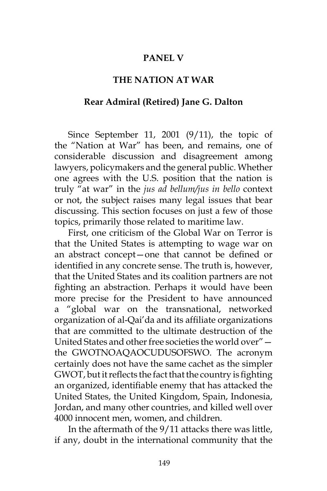## **PANEL V**

### **THE NATION AT WAR**

#### **Rear Admiral (Retired) Jane G. Dalton**

Since September 11, 2001 (9/11), the topic of the "Nation at War" has been, and remains, one of considerable discussion and disagreement among lawyers, policymakers and the general public. Whether one agrees with the U.S. position that the nation is truly "at war" in the *jus ad bellum/jus in bello* context or not, the subject raises many legal issues that bear discussing. This section focuses on just a few of those topics, primarily those related to maritime law.

First, one criticism of the Global War on Terror is that the United States is attempting to wage war on an abstract concept—one that cannot be defined or identified in any concrete sense. The truth is, however, that the United States and its coalition partners are not fighting an abstraction. Perhaps it would have been more precise for the President to have announced a "global war on the transnational, networked organization of al-Qai'da and its affiliate organizations that are committed to the ultimate destruction of the United States and other free societies the world over" the GWOTNOAQAOCUDUSOFSWO. The acronym certainly does not have the same cachet as the simpler GWOT, but it reflects the fact that the country is fighting an organized, identifiable enemy that has attacked the United States, the United Kingdom, Spain, Indonesia, Jordan, and many other countries, and killed well over 4000 innocent men, women, and children.

In the aftermath of the 9/11 attacks there was little, if any, doubt in the international community that the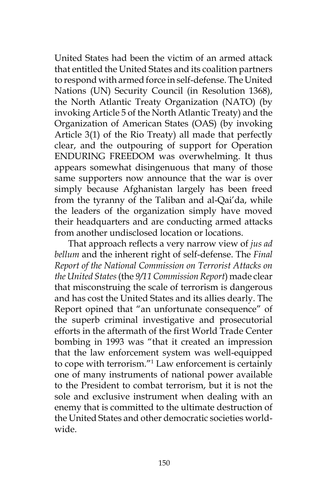United States had been the victim of an armed attack that entitled the United States and its coalition partners to respond with armed force in self-defense. The United Nations (UN) Security Council (in Resolution 1368), the North Atlantic Treaty Organization (NATO) (by invoking Article 5 of the North Atlantic Treaty) and the Organization of American States (OAS) (by invoking Article 3(1) of the Rio Treaty) all made that perfectly clear, and the outpouring of support for Operation ENDURING FREEDOM was overwhelming. It thus appears somewhat disingenuous that many of those same supporters now announce that the war is over simply because Afghanistan largely has been freed from the tyranny of the Taliban and al-Qai'da, while the leaders of the organization simply have moved their headquarters and are conducting armed attacks from another undisclosed location or locations.

That approach reflects a very narrow view of *jus ad bellum* and the inherent right of self-defense. The *Final Report of the National Commission on Terrorist Attacks on the United States* (the *9/11 Commission Report*) made clear that misconstruing the scale of terrorism is dangerous and has cost the United States and its allies dearly. The Report opined that "an unfortunate consequence" of the superb criminal investigative and prosecutorial efforts in the aftermath of the first World Trade Center bombing in 1993 was "that it created an impression that the law enforcement system was well-equipped to cope with terrorism."1 Law enforcement is certainly one of many instruments of national power available to the President to combat terrorism, but it is not the sole and exclusive instrument when dealing with an enemy that is committed to the ultimate destruction of the United States and other democratic societies worldwide.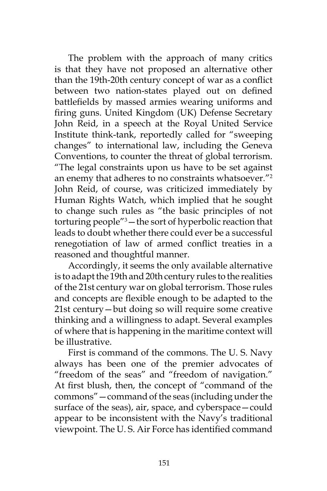The problem with the approach of many critics is that they have not proposed an alternative other than the 19th-20th century concept of war as a conflict between two nation-states played out on defined battlefields by massed armies wearing uniforms and firing guns. United Kingdom (UK) Defense Secretary John Reid, in a speech at the Royal United Service Institute think-tank, reportedly called for "sweeping changes" to international law, including the Geneva Conventions, to counter the threat of global terrorism. "The legal constraints upon us have to be set against an enemy that adheres to no constraints whatsoever."2 John Reid, of course, was criticized immediately by Human Rights Watch, which implied that he sought to change such rules as "the basic principles of not torturing people"3 —the sort of hyperbolic reaction that leads to doubt whether there could ever be a successful renegotiation of law of armed conflict treaties in a reasoned and thoughtful manner.

Accordingly, it seems the only available alternative is to adapt the 19th and 20th century rules to the realities of the 21st century war on global terrorism. Those rules and concepts are flexible enough to be adapted to the 21st century—but doing so will require some creative thinking and a willingness to adapt. Several examples of where that is happening in the maritime context will be illustrative.

First is command of the commons. The U. S. Navy always has been one of the premier advocates of "freedom of the seas" and "freedom of navigation." At first blush, then, the concept of "command of the commons"—command of the seas (including under the surface of the seas), air, space, and cyberspace—could appear to be inconsistent with the Navy's traditional viewpoint. The U. S. Air Force has identified command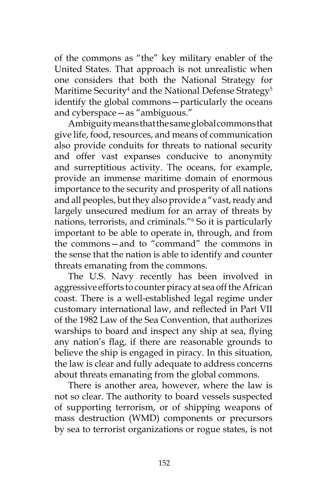of the commons as "the" key military enabler of the United States. That approach is not unrealistic when one considers that both the National Strategy for Maritime Security $^4$  and the National Defense Strategy $^5$ identify the global commons—particularly the oceans and cyberspace—as "ambiguous."

Ambiguity means that the same global commons that give life, food, resources, and means of communication also provide conduits for threats to national security and offer vast expanses conducive to anonymity and surreptitious activity. The oceans, for example, provide an immense maritime domain of enormous importance to the security and prosperity of all nations and all peoples, but they also provide a "vast, ready and largely unsecured medium for an array of threats by nations, terrorists, and criminals."6 So it is particularly important to be able to operate in, through, and from the commons—and to "command" the commons in the sense that the nation is able to identify and counter threats emanating from the commons.

The U.S. Navy recently has been involved in aggressive efforts to counter piracy at sea off the African coast. There is a well-established legal regime under customary international law, and reflected in Part VII of the 1982 Law of the Sea Convention, that authorizes warships to board and inspect any ship at sea, flying any nation's flag, if there are reasonable grounds to believe the ship is engaged in piracy. In this situation, the law is clear and fully adequate to address concerns about threats emanating from the global commons.

There is another area, however, where the law is not so clear. The authority to board vessels suspected of supporting terrorism, or of shipping weapons of mass destruction (WMD) components or precursors by sea to terrorist organizations or rogue states, is not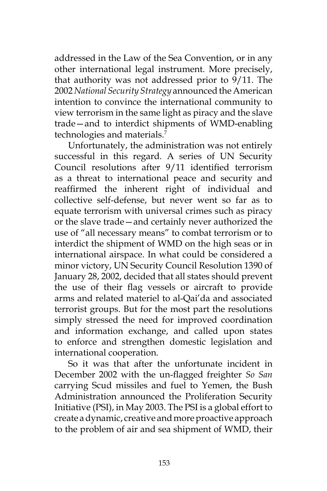addressed in the Law of the Sea Convention, or in any other international legal instrument. More precisely, that authority was not addressed prior to 9/11. The 2002 *National Security Strategy* announced the American intention to convince the international community to view terrorism in the same light as piracy and the slave trade—and to interdict shipments of WMD-enabling technologies and materials.7

Unfortunately, the administration was not entirely successful in this regard. A series of UN Security Council resolutions after 9/11 identified terrorism as a threat to international peace and security and reaffirmed the inherent right of individual and collective self-defense, but never went so far as to equate terrorism with universal crimes such as piracy or the slave trade—and certainly never authorized the use of "all necessary means" to combat terrorism or to interdict the shipment of WMD on the high seas or in international airspace. In what could be considered a minor victory, UN Security Council Resolution 1390 of January 28, 2002, decided that all states should prevent the use of their flag vessels or aircraft to provide arms and related materiel to al-Qai'da and associated terrorist groups. But for the most part the resolutions simply stressed the need for improved coordination and information exchange, and called upon states to enforce and strengthen domestic legislation and international cooperation.

So it was that after the unfortunate incident in December 2002 with the un-flagged freighter *So San* carrying Scud missiles and fuel to Yemen, the Bush Administration announced the Proliferation Security Initiative (PSI), in May 2003. The PSI is a global effort to create a dynamic, creative and more proactive approach to the problem of air and sea shipment of WMD, their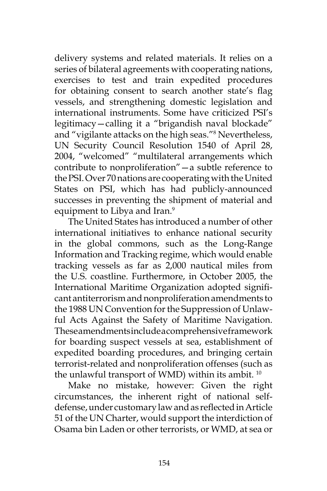delivery systems and related materials. It relies on a series of bilateral agreements with cooperating nations, exercises to test and train expedited procedures for obtaining consent to search another state's flag vessels, and strengthening domestic legislation and international instruments. Some have criticized PSI's legitimacy—calling it a "brigandish naval blockade" and "vigilante attacks on the high seas."8 Nevertheless, UN Security Council Resolution 1540 of April 28, 2004, "welcomed" "multilateral arrangements which contribute to nonproliferation"—a subtle reference to the PSI. Over 70 nations are cooperating with the United States on PSI, which has had publicly-announced successes in preventing the shipment of material and equipment to Libya and Iran.<sup>9</sup>

The United States has introduced a number of other international initiatives to enhance national security in the global commons, such as the Long-Range Information and Tracking regime, which would enable tracking vessels as far as 2,000 nautical miles from the U.S. coastline. Furthermore, in October 2005, the International Maritime Organization adopted significant antiterrorism and nonproliferation amendments to the 1988 UN Convention for the Suppression of Unlawful Acts Against the Safety of Maritime Navigation. These amendments include a comprehensive framework for boarding suspect vessels at sea, establishment of expedited boarding procedures, and bringing certain terrorist-related and nonproliferation offenses (such as the unlawful transport of WMD) within its ambit.<sup>10</sup>

Make no mistake, however: Given the right circumstances, the inherent right of national selfdefense, under customary law and as reflected in Article 51 of the UN Charter, would support the interdiction of Osama bin Laden or other terrorists, or WMD, at sea or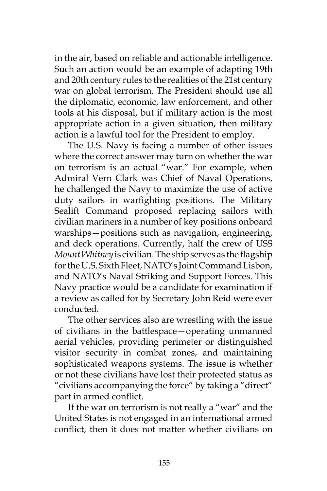in the air, based on reliable and actionable intelligence. Such an action would be an example of adapting 19th and 20th century rules to the realities of the 21st century war on global terrorism. The President should use all the diplomatic, economic, law enforcement, and other tools at his disposal, but if military action is the most appropriate action in a given situation, then military action is a lawful tool for the President to employ.

The U.S. Navy is facing a number of other issues where the correct answer may turn on whether the war on terrorism is an actual "war." For example, when Admiral Vern Clark was Chief of Naval Operations, he challenged the Navy to maximize the use of active duty sailors in warfighting positions. The Military Sealift Command proposed replacing sailors with civilian mariners in a number of key positions onboard warships—positions such as navigation, engineering, and deck operations. Currently, half the crew of USS *Mount Whitney* is civilian. The ship serves as the flagship for the U.S. Sixth Fleet, NATO's Joint Command Lisbon, and NATO's Naval Striking and Support Forces. This Navy practice would be a candidate for examination if a review as called for by Secretary John Reid were ever conducted.

The other services also are wrestling with the issue of civilians in the battlespace—operating unmanned aerial vehicles, providing perimeter or distinguished visitor security in combat zones, and maintaining sophisticated weapons systems. The issue is whether or not these civilians have lost their protected status as "civilians accompanying the force" by taking a "direct" part in armed conflict.

If the war on terrorism is not really a "war" and the United States is not engaged in an international armed conflict, then it does not matter whether civilians on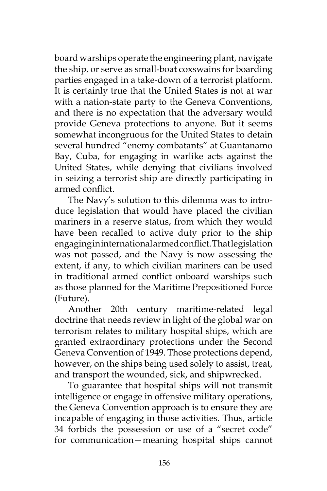board warships operate the engineering plant, navigate the ship, or serve as small-boat coxswains for boarding parties engaged in a take-down of a terrorist platform. It is certainly true that the United States is not at war with a nation-state party to the Geneva Conventions, and there is no expectation that the adversary would provide Geneva protections to anyone. But it seems somewhat incongruous for the United States to detain several hundred "enemy combatants" at Guantanamo Bay, Cuba, for engaging in warlike acts against the United States, while denying that civilians involved in seizing a terrorist ship are directly participating in armed conflict.

The Navy's solution to this dilemma was to introduce legislation that would have placed the civilian mariners in a reserve status, from which they would have been recalled to active duty prior to the ship engaging in international armed conflict. That legislation was not passed, and the Navy is now assessing the extent, if any, to which civilian mariners can be used in traditional armed conflict onboard warships such as those planned for the Maritime Prepositioned Force (Future).

Another 20th century maritime-related legal doctrine that needs review in light of the global war on terrorism relates to military hospital ships, which are granted extraordinary protections under the Second Geneva Convention of 1949. Those protections depend, however, on the ships being used solely to assist, treat, and transport the wounded, sick, and shipwrecked.

To guarantee that hospital ships will not transmit intelligence or engage in offensive military operations, the Geneva Convention approach is to ensure they are incapable of engaging in those activities. Thus, article 34 forbids the possession or use of a "secret code" for communication—meaning hospital ships cannot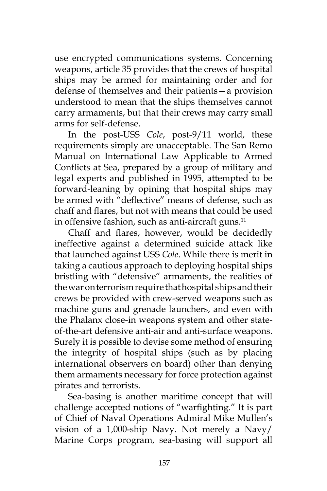use encrypted communications systems. Concerning weapons, article 35 provides that the crews of hospital ships may be armed for maintaining order and for defense of themselves and their patients—a provision understood to mean that the ships themselves cannot carry armaments, but that their crews may carry small arms for self-defense.

In the post-USS *Cole*, post-9/11 world, these requirements simply are unacceptable. The San Remo Manual on International Law Applicable to Armed Conflicts at Sea, prepared by a group of military and legal experts and published in 1995, attempted to be forward-leaning by opining that hospital ships may be armed with "deflective" means of defense, such as chaff and flares, but not with means that could be used in offensive fashion, such as anti-aircraft guns.<sup>11</sup>

Chaff and flares, however, would be decidedly ineffective against a determined suicide attack like that launched against USS *Cole*. While there is merit in taking a cautious approach to deploying hospital ships bristling with "defensive" armaments, the realities of the war on terrorism require that hospital ships and their crews be provided with crew-served weapons such as machine guns and grenade launchers, and even with the Phalanx close-in weapons system and other stateof-the-art defensive anti-air and anti-surface weapons. Surely it is possible to devise some method of ensuring the integrity of hospital ships (such as by placing international observers on board) other than denying them armaments necessary for force protection against pirates and terrorists.

Sea-basing is another maritime concept that will challenge accepted notions of "warfighting." It is part of Chief of Naval Operations Admiral Mike Mullen's vision of a 1,000-ship Navy. Not merely a Navy/ Marine Corps program, sea-basing will support all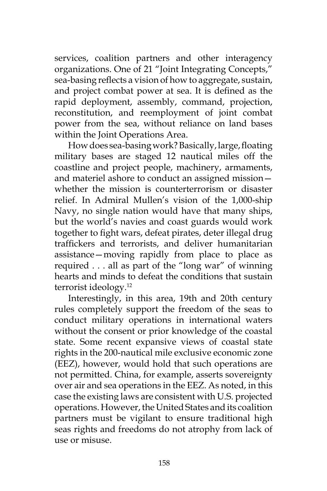services, coalition partners and other interagency organizations. One of 21 "Joint Integrating Concepts," sea-basing reflects a vision of how to aggregate, sustain, and project combat power at sea. It is defined as the rapid deployment, assembly, command, projection, reconstitution, and reemployment of joint combat power from the sea, without reliance on land bases within the Joint Operations Area.

How does sea-basing work? Basically, large, floating military bases are staged 12 nautical miles off the coastline and project people, machinery, armaments, and materiel ashore to conduct an assigned mission whether the mission is counterterrorism or disaster relief. In Admiral Mullen's vision of the 1,000-ship Navy, no single nation would have that many ships, but the world's navies and coast guards would work together to fight wars, defeat pirates, deter illegal drug traffickers and terrorists, and deliver humanitarian assistance—moving rapidly from place to place as required . . . all as part of the "long war" of winning hearts and minds to defeat the conditions that sustain terrorist ideology.12

Interestingly, in this area, 19th and 20th century rules completely support the freedom of the seas to conduct military operations in international waters without the consent or prior knowledge of the coastal state. Some recent expansive views of coastal state rights in the 200-nautical mile exclusive economic zone (EEZ), however, would hold that such operations are not permitted. China, for example, asserts sovereignty over air and sea operations in the EEZ. As noted, in this case the existing laws are consistent with U.S. projected operations. However, the United States and its coalition partners must be vigilant to ensure traditional high seas rights and freedoms do not atrophy from lack of use or misuse.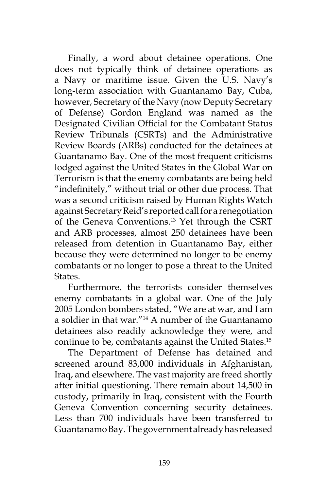Finally, a word about detainee operations. One does not typically think of detainee operations as a Navy or maritime issue. Given the U.S. Navy's long-term association with Guantanamo Bay, Cuba, however, Secretary of the Navy (now Deputy Secretary of Defense) Gordon England was named as the Designated Civilian Official for the Combatant Status Review Tribunals (CSRTs) and the Administrative Review Boards (ARBs) conducted for the detainees at Guantanamo Bay. One of the most frequent criticisms lodged against the United States in the Global War on Terrorism is that the enemy combatants are being held "indefinitely," without trial or other due process. That was a second criticism raised by Human Rights Watch against Secretary Reid's reported call for a renegotiation of the Geneva Conventions.13 Yet through the CSRT and ARB processes, almost 250 detainees have been released from detention in Guantanamo Bay, either because they were determined no longer to be enemy combatants or no longer to pose a threat to the United States.

Furthermore, the terrorists consider themselves enemy combatants in a global war. One of the July 2005 London bombers stated, "We are at war, and I am a soldier in that war."14 A number of the Guantanamo detainees also readily acknowledge they were, and continue to be, combatants against the United States.<sup>15</sup>

The Department of Defense has detained and screened around 83,000 individuals in Afghanistan, Iraq, and elsewhere. The vast majority are freed shortly after initial questioning. There remain about 14,500 in custody, primarily in Iraq, consistent with the Fourth Geneva Convention concerning security detainees. Less than 700 individuals have been transferred to Guantanamo Bay. The government already has released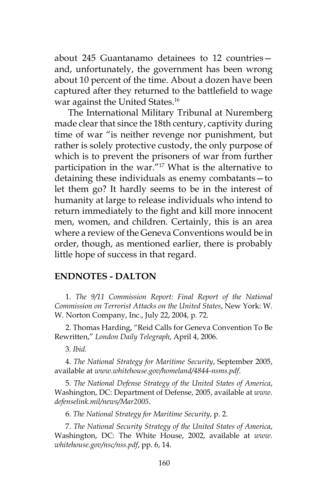about 245 Guantanamo detainees to 12 countries and, unfortunately, the government has been wrong about 10 percent of the time. About a dozen have been captured after they returned to the battlefield to wage war against the United States.<sup>16</sup>

The International Military Tribunal at Nuremberg made clear that since the 18th century, captivity during time of war "is neither revenge nor punishment, but rather is solely protective custody, the only purpose of which is to prevent the prisoners of war from further participation in the war."17 What is the alternative to detaining these individuals as enemy combatants—to let them go? It hardly seems to be in the interest of humanity at large to release individuals who intend to return immediately to the fight and kill more innocent men, women, and children. Certainly, this is an area where a review of the Geneva Conventions would be in order, though, as mentioned earlier, there is probably little hope of success in that regard.

#### **ENDNOTES - DALTON**

1. *The 9/11 Commission Report: Final Report of the National Commission on Terrorist Attacks on the United States*, New York: W. W. Norton Company, Inc., July 22, 2004, p. 72.

2. Thomas Harding, "Reid Calls for Geneva Convention To Be Rewritten," *London Daily Telegraph*, April 4, 2006.

3. *Ibid.*

4. *The National Strategy for Maritime Security*, September 2005, available at *www.whitehouse.gov/homeland/4844-nsms.pdf*.

5. *The National Defense Strategy of the United States of America*, Washington, DC: Department of Defense, 2005, available at *www. defenselink.mil/news/Mar2005*.

6. *The National Strategy for Maritime Security*, p. 2.

7. *The National Security Strategy of the United States of America*, Washington, DC: The White House, 2002, available at *www. whitehouse.gov/nsc/nss.pdf*, pp. 6, 14.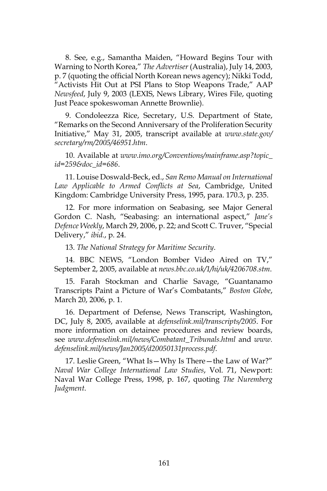8. See, e.g., Samantha Maiden, "Howard Begins Tour with Warning to North Korea," *The Advertiser* (Australia), July 14, 2003, p. 7 (quoting the official North Korean news agency); Nikki Todd, "Activists Hit Out at PSI Plans to Stop Weapons Trade," AAP *Newsfeed*, July 9, 2003 (LEXIS, News Library, Wires File, quoting Just Peace spokeswoman Annette Brownlie).

9. Condoleezza Rice, Secretary, U.S. Department of State, "Remarks on the Second Anniversary of the Proliferation Security Initiative," May 31, 2005, transcript available at *www.state.gov/ secretary/rm/2005/46951.htm*.

10. Available at *www.imo.org/Conventions/mainframe.asp?topic\_ id=259&doc\_id=686*.

11. Louise Doswald-Beck, ed., *San Remo Manual on International Law Applicable to Armed Conflicts at Sea*, Cambridge, United Kingdom: Cambridge University Press, 1995, para. 170.3, p. 235.

12. For more information on Seabasing, see Major General Gordon C. Nash, "Seabasing: an international aspect," *Jane's Defence Weekly*, March 29, 2006, p. 22; and Scott C. Truver, "Special Delivery," *ibid.*, p. 24.

13. *The National Strategy for Maritime Security*.

14. BBC NEWS, "London Bomber Video Aired on TV," September 2, 2005, available at *news.bbc.co.uk/1/hi/uk/4206708.stm*.

15. Farah Stockman and Charlie Savage, "Guantanamo Transcripts Paint a Picture of War's Combatants," *Boston Globe*, March 20, 2006, p. 1.

16. Department of Defense, News Transcript, Washington, DC, July 8, 2005, available at *defenselink.mil/transcripts/2005*. For more information on detainee procedures and review boards, see *www.defenselink.mil/news/Combatant\_Tribunals.html* and *www. defenselink.mil/news/Jan2005/d20050131process.pdf*.

17. Leslie Green, "What Is—Why Is There—the Law of War?" *Naval War College International Law Studies*, Vol. 71, Newport: Naval War College Press, 1998, p. 167, quoting *The Nuremberg Judgment*.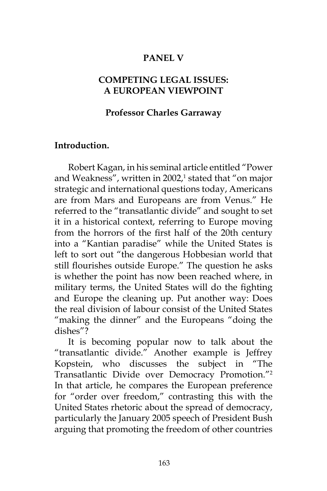## **PANEL V**

# **COMPETING LEGAL ISSUES: A EUROPEAN VIEWPOINT**

## **Professor Charles Garraway**

#### **Introduction.**

Robert Kagan, in his seminal article entitled "Power and Weakness", written in 2002,<sup>1</sup> stated that "on major strategic and international questions today, Americans are from Mars and Europeans are from Venus." He referred to the "transatlantic divide" and sought to set it in a historical context, referring to Europe moving from the horrors of the first half of the 20th century into a "Kantian paradise" while the United States is left to sort out "the dangerous Hobbesian world that still flourishes outside Europe." The question he asks is whether the point has now been reached where, in military terms, the United States will do the fighting and Europe the cleaning up. Put another way: Does the real division of labour consist of the United States "making the dinner" and the Europeans "doing the dishes"?

It is becoming popular now to talk about the "transatlantic divide." Another example is Jeffrey Kopstein, who discusses the subject in "The Transatlantic Divide over Democracy Promotion."2 In that article, he compares the European preference for "order over freedom," contrasting this with the United States rhetoric about the spread of democracy, particularly the January 2005 speech of President Bush arguing that promoting the freedom of other countries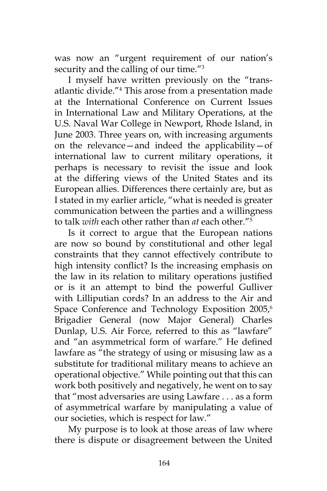was now an "urgent requirement of our nation's security and the calling of our time."<sup>3</sup>

I myself have written previously on the "transatlantic divide."4 This arose from a presentation made at the International Conference on Current Issues in International Law and Military Operations, at the U.S. Naval War College in Newport, Rhode Island, in June 2003. Three years on, with increasing arguments on the relevance—and indeed the applicability—of international law to current military operations, it perhaps is necessary to revisit the issue and look at the differing views of the United States and its European allies. Differences there certainly are, but as I stated in my earlier article, "what is needed is greater communication between the parties and a willingness to talk *with* each other rather than *at* each other."5

Is it correct to argue that the European nations are now so bound by constitutional and other legal constraints that they cannot effectively contribute to high intensity conflict? Is the increasing emphasis on the law in its relation to military operations justified or is it an attempt to bind the powerful Gulliver with Lilliputian cords? In an address to the Air and Space Conference and Technology Exposition 2005,<sup>6</sup> Brigadier General (now Major General) Charles Dunlap, U.S. Air Force, referred to this as "lawfare" and "an asymmetrical form of warfare." He defined lawfare as "the strategy of using or misusing law as a substitute for traditional military means to achieve an operational objective." While pointing out that this can work both positively and negatively, he went on to say that "most adversaries are using Lawfare . . . as a form of asymmetrical warfare by manipulating a value of our societies, which is respect for law."

My purpose is to look at those areas of law where there is dispute or disagreement between the United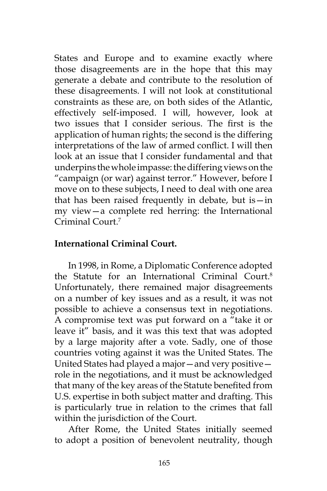States and Europe and to examine exactly where those disagreements are in the hope that this may generate a debate and contribute to the resolution of these disagreements. I will not look at constitutional constraints as these are, on both sides of the Atlantic, effectively self-imposed. I will, however, look at two issues that I consider serious. The first is the application of human rights; the second is the differing interpretations of the law of armed conflict. I will then look at an issue that I consider fundamental and that underpins the whole impasse: the differing views on the "campaign (or war) against terror." However, before I move on to these subjects, I need to deal with one area that has been raised frequently in debate, but is—in my view—a complete red herring: the International Criminal Court.7

## **International Criminal Court.**

In 1998, in Rome, a Diplomatic Conference adopted the Statute for an International Criminal Court.8 Unfortunately, there remained major disagreements on a number of key issues and as a result, it was not possible to achieve a consensus text in negotiations. A compromise text was put forward on a "take it or leave it" basis, and it was this text that was adopted by a large majority after a vote. Sadly, one of those countries voting against it was the United States. The United States had played a major—and very positive role in the negotiations, and it must be acknowledged that many of the key areas of the Statute benefited from U.S. expertise in both subject matter and drafting. This is particularly true in relation to the crimes that fall within the jurisdiction of the Court.

After Rome, the United States initially seemed to adopt a position of benevolent neutrality, though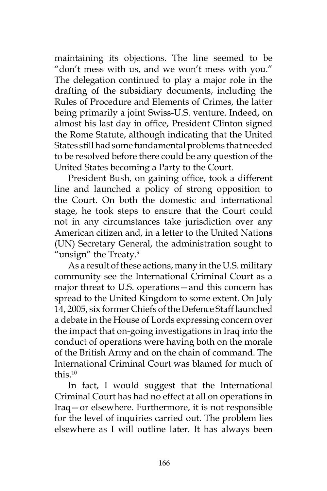maintaining its objections. The line seemed to be "don't mess with us, and we won't mess with you." The delegation continued to play a major role in the drafting of the subsidiary documents, including the Rules of Procedure and Elements of Crimes, the latter being primarily a joint Swiss-U.S. venture. Indeed, on almost his last day in office, President Clinton signed the Rome Statute, although indicating that the United States still had some fundamental problems that needed to be resolved before there could be any question of the United States becoming a Party to the Court.

President Bush, on gaining office, took a different line and launched a policy of strong opposition to the Court. On both the domestic and international stage, he took steps to ensure that the Court could not in any circumstances take jurisdiction over any American citizen and, in a letter to the United Nations (UN) Secretary General, the administration sought to "unsign" the Treaty. $9$ 

As a result of these actions, many in the U.S. military community see the International Criminal Court as a major threat to U.S. operations—and this concern has spread to the United Kingdom to some extent. On July 14, 2005, six former Chiefs of the Defence Staff launched a debate in the House of Lords expressing concern over the impact that on-going investigations in Iraq into the conduct of operations were having both on the morale of the British Army and on the chain of command. The International Criminal Court was blamed for much of this  $10$ 

In fact, I would suggest that the International Criminal Court has had no effect at all on operations in Iraq—or elsewhere. Furthermore, it is not responsible for the level of inquiries carried out. The problem lies elsewhere as I will outline later. It has always been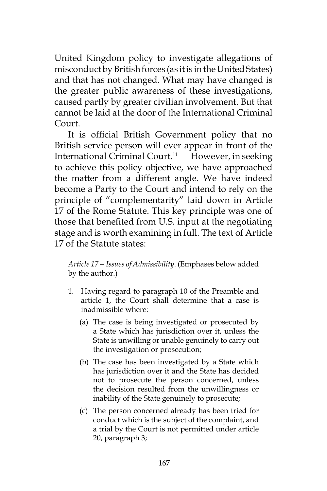United Kingdom policy to investigate allegations of misconduct by British forces (as it is in the United States) and that has not changed. What may have changed is the greater public awareness of these investigations, caused partly by greater civilian involvement. But that cannot be laid at the door of the International Criminal Court.

It is official British Government policy that no British service person will ever appear in front of the International Criminal Court.<sup>11</sup> However, in seeking to achieve this policy objective, we have approached the matter from a different angle. We have indeed become a Party to the Court and intend to rely on the principle of "complementarity" laid down in Article 17 of the Rome Statute. This key principle was one of those that benefited from U.S. input at the negotiating stage and is worth examining in full. The text of Article 17 of the Statute states:

*Article 17—Issues of Admissibility*. (Emphases below added by the author.)

- 1. Having regard to paragraph 10 of the Preamble and article 1, the Court shall determine that a case is inadmissible where:
	- (a) The case is being investigated or prosecuted by a State which has jurisdiction over it, unless the State is unwilling or unable genuinely to carry out the investigation or prosecution;
	- (b) The case has been investigated by a State which has jurisdiction over it and the State has decided not to prosecute the person concerned, unless the decision resulted from the unwillingness or inability of the State genuinely to prosecute;
	- (c) The person concerned already has been tried for conduct which is the subject of the complaint, and a trial by the Court is not permitted under article 20, paragraph 3;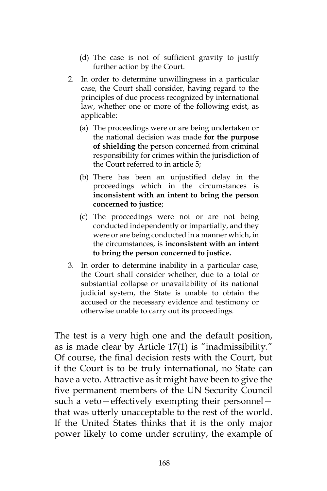- (d) The case is not of sufficient gravity to justify further action by the Court.
- 2. In order to determine unwillingness in a particular case, the Court shall consider, having regard to the principles of due process recognized by international law, whether one or more of the following exist, as applicable:
	- (a) The proceedings were or are being undertaken or the national decision was made **for the purpose of shielding** the person concerned from criminal responsibility for crimes within the jurisdiction of the Court referred to in article 5;
	- (b) There has been an unjustified delay in the proceedings which in the circumstances is **inconsistent with an intent to bring the person concerned to justice**;
	- (c) The proceedings were not or are not being conducted independently or impartially, and they were or are being conducted in a manner which, in the circumstances, is **inconsistent with an intent to bring the person concerned to justice.**
- 3. In order to determine inability in a particular case, the Court shall consider whether, due to a total or substantial collapse or unavailability of its national judicial system, the State is unable to obtain the accused or the necessary evidence and testimony or otherwise unable to carry out its proceedings.

The test is a very high one and the default position, as is made clear by Article 17(1) is "inadmissibility." Of course, the final decision rests with the Court, but if the Court is to be truly international, no State can have a veto. Attractive as it might have been to give the five permanent members of the UN Security Council such a veto—effectively exempting their personnel that was utterly unacceptable to the rest of the world. If the United States thinks that it is the only major power likely to come under scrutiny, the example of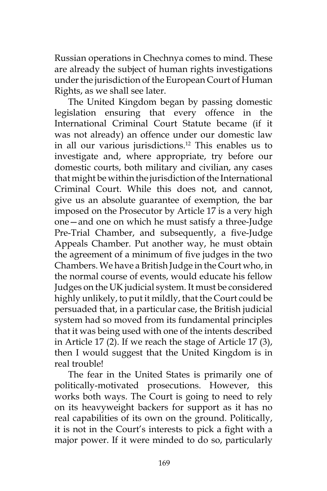Russian operations in Chechnya comes to mind. These are already the subject of human rights investigations under the jurisdiction of the European Court of Human Rights, as we shall see later.

The United Kingdom began by passing domestic legislation ensuring that every offence in the International Criminal Court Statute became (if it was not already) an offence under our domestic law in all our various jurisdictions.12 This enables us to investigate and, where appropriate, try before our domestic courts, both military and civilian, any cases that might be within the jurisdiction of the International Criminal Court. While this does not, and cannot, give us an absolute guarantee of exemption, the bar imposed on the Prosecutor by Article 17 is a very high one—and one on which he must satisfy a three-Judge Pre-Trial Chamber, and subsequently, a five-Judge Appeals Chamber. Put another way, he must obtain the agreement of a minimum of five judges in the two Chambers. We have a British Judge in the Court who, in the normal course of events, would educate his fellow Judges on the UK judicial system. It must be considered highly unlikely, to put it mildly, that the Court could be persuaded that, in a particular case, the British judicial system had so moved from its fundamental principles that it was being used with one of the intents described in Article 17 (2). If we reach the stage of Article 17 (3), then I would suggest that the United Kingdom is in real trouble!

The fear in the United States is primarily one of politically-motivated prosecutions. However, this works both ways. The Court is going to need to rely on its heavyweight backers for support as it has no real capabilities of its own on the ground. Politically, it is not in the Court's interests to pick a fight with a major power. If it were minded to do so, particularly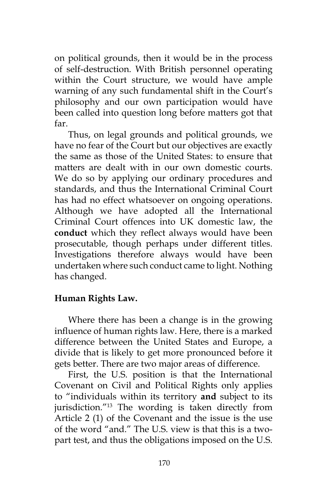on political grounds, then it would be in the process of self-destruction. With British personnel operating within the Court structure, we would have ample warning of any such fundamental shift in the Court's philosophy and our own participation would have been called into question long before matters got that far.

Thus, on legal grounds and political grounds, we have no fear of the Court but our objectives are exactly the same as those of the United States: to ensure that matters are dealt with in our own domestic courts. We do so by applying our ordinary procedures and standards, and thus the International Criminal Court has had no effect whatsoever on ongoing operations. Although we have adopted all the International Criminal Court offences into UK domestic law, the **conduct** which they reflect always would have been prosecutable, though perhaps under different titles. Investigations therefore always would have been undertaken where such conduct came to light. Nothing has changed.

#### **Human Rights Law.**

Where there has been a change is in the growing influence of human rights law. Here, there is a marked difference between the United States and Europe, a divide that is likely to get more pronounced before it gets better. There are two major areas of difference.

First, the U.S. position is that the International Covenant on Civil and Political Rights only applies to "individuals within its territory **and** subject to its jurisdiction."13 The wording is taken directly from Article 2 (1) of the Covenant and the issue is the use of the word "and." The U.S. view is that this is a twopart test, and thus the obligations imposed on the U.S.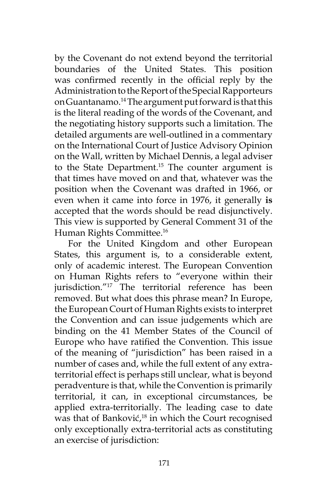by the Covenant do not extend beyond the territorial boundaries of the United States. This position was confirmed recently in the official reply by the Administration to the Report of the Special Rapporteurs on Guantanamo.14 The argument put forward is that this is the literal reading of the words of the Covenant, and the negotiating history supports such a limitation. The detailed arguments are well-outlined in a commentary on the International Court of Justice Advisory Opinion on the Wall, written by Michael Dennis, a legal adviser to the State Department.<sup>15</sup> The counter argument is that times have moved on and that, whatever was the position when the Covenant was drafted in 1966, or even when it came into force in 1976, it generally **is** accepted that the words should be read disjunctively. This view is supported by General Comment 31 of the Human Rights Committee.16

For the United Kingdom and other European States, this argument is, to a considerable extent, only of academic interest. The European Convention on Human Rights refers to "everyone within their jurisdiction."<sup>17</sup> The territorial reference has been removed. But what does this phrase mean? In Europe, the European Court of Human Rights exists to interpret the Convention and can issue judgements which are binding on the 41 Member States of the Council of Europe who have ratified the Convention. This issue of the meaning of "jurisdiction" has been raised in a number of cases and, while the full extent of any extraterritorial effect is perhaps still unclear, what is beyond peradventure is that, while the Convention is primarily territorial, it can, in exceptional circumstances, be applied extra-territorially. The leading case to date was that of Banković,<sup>18</sup> in which the Court recognised only exceptionally extra-territorial acts as constituting an exercise of jurisdiction: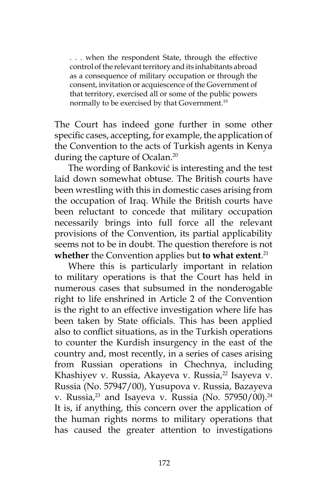. . . when the respondent State, through the effective control of the relevant territory and its inhabitants abroad as a consequence of military occupation or through the consent, invitation or acquiescence of the Government of that territory, exercised all or some of the public powers normally to be exercised by that Government.<sup>19</sup>

The Court has indeed gone further in some other specific cases, accepting, for example, the application of the Convention to the acts of Turkish agents in Kenya during the capture of Ocalan.<sup>20</sup>

The wording of Banković is interesting and the test laid down somewhat obtuse. The British courts have been wrestling with this in domestic cases arising from the occupation of Iraq. While the British courts have been reluctant to concede that military occupation necessarily brings into full force all the relevant provisions of the Convention, its partial applicability seems not to be in doubt. The question therefore is not **whether** the Convention applies but **to what extent**. 21

Where this is particularly important in relation to military operations is that the Court has held in numerous cases that subsumed in the nonderogable right to life enshrined in Article 2 of the Convention is the right to an effective investigation where life has been taken by State officials. This has been applied also to conflict situations, as in the Turkish operations to counter the Kurdish insurgency in the east of the country and, most recently, in a series of cases arising from Russian operations in Chechnya, including Khashiyev v. Russia, Akayeva v. Russia,<sup>22</sup> Isayeva v. Russia (No. 57947/00), Yusupova v. Russia, Bazayeva v. Russia, $23$  and Isayeva v. Russia (No. 57950/00). $24$ It is, if anything, this concern over the application of the human rights norms to military operations that has caused the greater attention to investigations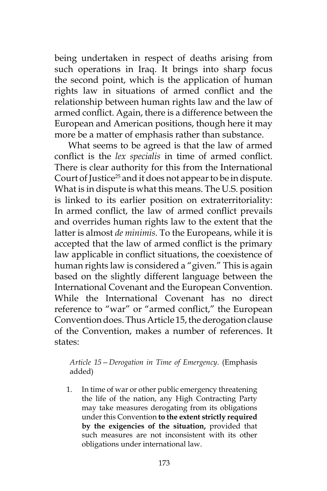being undertaken in respect of deaths arising from such operations in Iraq. It brings into sharp focus the second point, which is the application of human rights law in situations of armed conflict and the relationship between human rights law and the law of armed conflict. Again, there is a difference between the European and American positions, though here it may more be a matter of emphasis rather than substance.

What seems to be agreed is that the law of armed conflict is the *lex specialis* in time of armed conflict. There is clear authority for this from the International Court of Justice<sup>25</sup> and it does not appear to be in dispute. What is in dispute is what this means. The U.S. position is linked to its earlier position on extraterritoriality: In armed conflict, the law of armed conflict prevails and overrides human rights law to the extent that the latter is almost *de minimis.* To the Europeans, while it is accepted that the law of armed conflict is the primary law applicable in conflict situations, the coexistence of human rights law is considered a "given." This is again based on the slightly different language between the International Covenant and the European Convention. While the International Covenant has no direct reference to "war" or "armed conflict," the European Convention does. Thus Article 15, the derogation clause of the Convention, makes a number of references. It states:

*Article 15—Derogation in Time of Emergency*. (Emphasis added)

1. In time of war or other public emergency threatening the life of the nation, any High Contracting Party may take measures derogating from its obligations under this Convention **to the extent strictly required by the exigencies of the situation,** provided that such measures are not inconsistent with its other obligations under international law.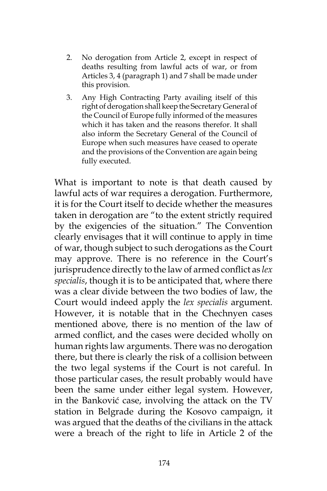- 2. No derogation from Article 2, except in respect of deaths resulting from lawful acts of war, or from Articles 3, 4 (paragraph 1) and 7 shall be made under this provision.
- 3. Any High Contracting Party availing itself of this right of derogation shall keep the Secretary General of the Council of Europe fully informed of the measures which it has taken and the reasons therefor. It shall also inform the Secretary General of the Council of Europe when such measures have ceased to operate and the provisions of the Convention are again being fully executed.

What is important to note is that death caused by lawful acts of war requires a derogation. Furthermore, it is for the Court itself to decide whether the measures taken in derogation are "to the extent strictly required by the exigencies of the situation." The Convention clearly envisages that it will continue to apply in time of war, though subject to such derogations as the Court may approve. There is no reference in the Court's jurisprudence directly to the law of armed conflict as *lex specialis*, though it is to be anticipated that, where there was a clear divide between the two bodies of law, the Court would indeed apply the *lex specialis* argument. However, it is notable that in the Chechnyen cases mentioned above, there is no mention of the law of armed conflict, and the cases were decided wholly on human rights law arguments. There was no derogation there, but there is clearly the risk of a collision between the two legal systems if the Court is not careful. In those particular cases, the result probably would have been the same under either legal system. However, in the Banković case, involving the attack on the TV station in Belgrade during the Kosovo campaign, it was argued that the deaths of the civilians in the attack were a breach of the right to life in Article 2 of the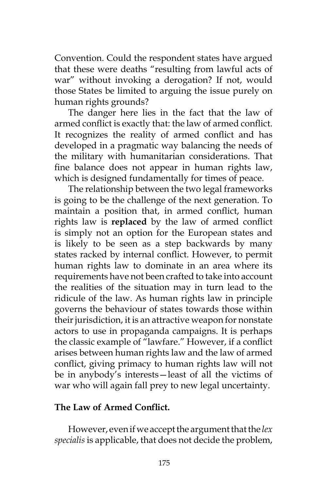Convention. Could the respondent states have argued that these were deaths "resulting from lawful acts of war" without invoking a derogation? If not, would those States be limited to arguing the issue purely on human rights grounds?

The danger here lies in the fact that the law of armed conflict is exactly that: the law of armed conflict. It recognizes the reality of armed conflict and has developed in a pragmatic way balancing the needs of the military with humanitarian considerations. That fine balance does not appear in human rights law, which is designed fundamentally for times of peace.

The relationship between the two legal frameworks is going to be the challenge of the next generation. To maintain a position that, in armed conflict, human rights law is **replaced** by the law of armed conflict is simply not an option for the European states and is likely to be seen as a step backwards by many states racked by internal conflict. However, to permit human rights law to dominate in an area where its requirements have not been crafted to take into account the realities of the situation may in turn lead to the ridicule of the law. As human rights law in principle governs the behaviour of states towards those within their jurisdiction, it is an attractive weapon for nonstate actors to use in propaganda campaigns. It is perhaps the classic example of "lawfare." However, if a conflict arises between human rights law and the law of armed conflict, giving primacy to human rights law will not be in anybody's interests—least of all the victims of war who will again fall prey to new legal uncertainty.

# **The Law of Armed Conflict.**

However, even if we accept the argument that the *lex specialis* is applicable, that does not decide the problem,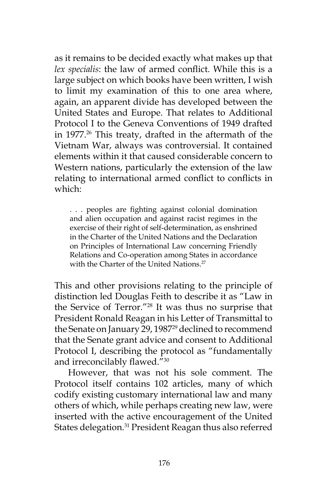as it remains to be decided exactly what makes up that *lex specialis*: the law of armed conflict. While this is a large subject on which books have been written, I wish to limit my examination of this to one area where, again, an apparent divide has developed between the United States and Europe. That relates to Additional Protocol I to the Geneva Conventions of 1949 drafted in 1977.<sup>26</sup> This treaty, drafted in the aftermath of the Vietnam War, always was controversial. It contained elements within it that caused considerable concern to Western nations, particularly the extension of the law relating to international armed conflict to conflicts in which:

. . . peoples are fighting against colonial domination and alien occupation and against racist regimes in the exercise of their right of self-determination, as enshrined in the Charter of the United Nations and the Declaration on Principles of International Law concerning Friendly Relations and Co-operation among States in accordance with the Charter of the United Nations.<sup>27</sup>

This and other provisions relating to the principle of distinction led Douglas Feith to describe it as "Law in the Service of Terror."28 It was thus no surprise that President Ronald Reagan in his Letter of Transmittal to the Senate on January 29, 1987<sup>29</sup> declined to recommend that the Senate grant advice and consent to Additional Protocol I, describing the protocol as "fundamentally and irreconcilably flawed."<sup>30</sup>

However, that was not his sole comment. The Protocol itself contains 102 articles, many of which codify existing customary international law and many others of which, while perhaps creating new law, were inserted with the active encouragement of the United States delegation.<sup>31</sup> President Reagan thus also referred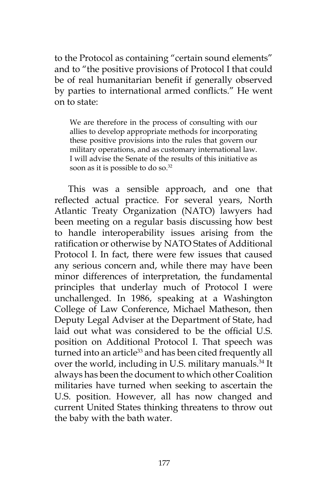to the Protocol as containing "certain sound elements" and to "the positive provisions of Protocol I that could be of real humanitarian benefit if generally observed by parties to international armed conflicts." He went on to state:

We are therefore in the process of consulting with our allies to develop appropriate methods for incorporating these positive provisions into the rules that govern our military operations, and as customary international law. I will advise the Senate of the results of this initiative as soon as it is possible to do so.<sup>32</sup>

This was a sensible approach, and one that reflected actual practice. For several years, North Atlantic Treaty Organization (NATO) lawyers had been meeting on a regular basis discussing how best to handle interoperability issues arising from the ratification or otherwise by NATO States of Additional Protocol I. In fact, there were few issues that caused any serious concern and, while there may have been minor differences of interpretation, the fundamental principles that underlay much of Protocol I were unchallenged. In 1986, speaking at a Washington College of Law Conference, Michael Matheson, then Deputy Legal Adviser at the Department of State, had laid out what was considered to be the official U.S. position on Additional Protocol I. That speech was turned into an article<sup>33</sup> and has been cited frequently all over the world, including in U.S. military manuals.<sup>34</sup> It always has been the document to which other Coalition militaries have turned when seeking to ascertain the U.S. position. However, all has now changed and current United States thinking threatens to throw out the baby with the bath water.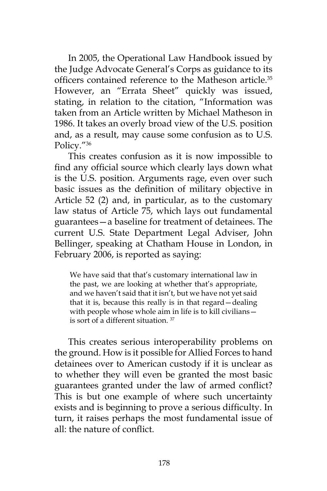In 2005, the Operational Law Handbook issued by the Judge Advocate General's Corps as guidance to its officers contained reference to the Matheson article.<sup>35</sup> However, an "Errata Sheet" quickly was issued, stating, in relation to the citation, "Information was taken from an Article written by Michael Matheson in 1986. It takes an overly broad view of the U.S. position and, as a result, may cause some confusion as to U.S. Policy."<sup>36</sup>

This creates confusion as it is now impossible to find any official source which clearly lays down what is the U.S. position. Arguments rage, even over such basic issues as the definition of military objective in Article 52 (2) and, in particular, as to the customary law status of Article 75, which lays out fundamental guarantees—a baseline for treatment of detainees. The current U.S. State Department Legal Adviser, John Bellinger, speaking at Chatham House in London, in February 2006, is reported as saying:

We have said that that's customary international law in the past, we are looking at whether that's appropriate, and we haven't said that it isn't, but we have not yet said that it is, because this really is in that regard—dealing with people whose whole aim in life is to kill civilians is sort of a different situation. <sup>37</sup>

This creates serious interoperability problems on the ground. How is it possible for Allied Forces to hand detainees over to American custody if it is unclear as to whether they will even be granted the most basic guarantees granted under the law of armed conflict? This is but one example of where such uncertainty exists and is beginning to prove a serious difficulty. In turn, it raises perhaps the most fundamental issue of all: the nature of conflict.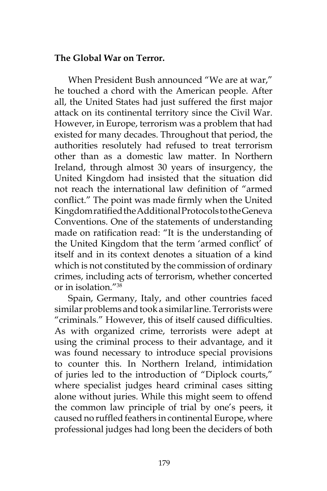#### **The Global War on Terror.**

When President Bush announced "We are at war," he touched a chord with the American people. After all, the United States had just suffered the first major attack on its continental territory since the Civil War. However, in Europe, terrorism was a problem that had existed for many decades. Throughout that period, the authorities resolutely had refused to treat terrorism other than as a domestic law matter. In Northern Ireland, through almost 30 years of insurgency, the United Kingdom had insisted that the situation did not reach the international law definition of "armed conflict." The point was made firmly when the United Kingdom ratified the Additional Protocols to the Geneva Conventions. One of the statements of understanding made on ratification read: "It is the understanding of the United Kingdom that the term 'armed conflict' of itself and in its context denotes a situation of a kind which is not constituted by the commission of ordinary crimes, including acts of terrorism, whether concerted or in isolation."38

Spain, Germany, Italy, and other countries faced similar problems and took a similar line. Terrorists were "criminals." However, this of itself caused difficulties. As with organized crime, terrorists were adept at using the criminal process to their advantage, and it was found necessary to introduce special provisions to counter this. In Northern Ireland, intimidation of juries led to the introduction of "Diplock courts," where specialist judges heard criminal cases sitting alone without juries. While this might seem to offend the common law principle of trial by one's peers, it caused no ruffled feathers in continental Europe, where professional judges had long been the deciders of both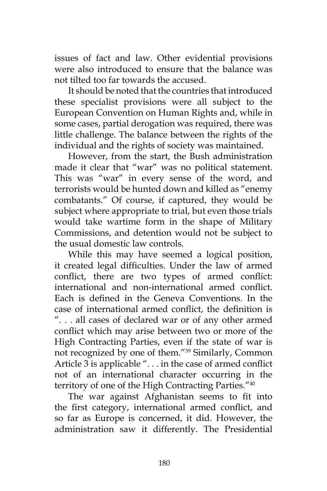issues of fact and law. Other evidential provisions were also introduced to ensure that the balance was not tilted too far towards the accused.

It should be noted that the countries that introduced these specialist provisions were all subject to the European Convention on Human Rights and, while in some cases, partial derogation was required, there was little challenge. The balance between the rights of the individual and the rights of society was maintained.

However, from the start, the Bush administration made it clear that "war" was no political statement. This was "war" in every sense of the word, and terrorists would be hunted down and killed as "enemy combatants." Of course, if captured, they would be subject where appropriate to trial, but even those trials would take wartime form in the shape of Military Commissions, and detention would not be subject to the usual domestic law controls.

While this may have seemed a logical position, it created legal difficulties. Under the law of armed conflict, there are two types of armed conflict: international and non-international armed conflict. Each is defined in the Geneva Conventions. In the case of international armed conflict, the definition is ". . . all cases of declared war or of any other armed conflict which may arise between two or more of the High Contracting Parties, even if the state of war is not recognized by one of them."39 Similarly, Common Article 3 is applicable ". . . in the case of armed conflict not of an international character occurring in the territory of one of the High Contracting Parties."40

The war against Afghanistan seems to fit into the first category, international armed conflict, and so far as Europe is concerned, it did. However, the administration saw it differently. The Presidential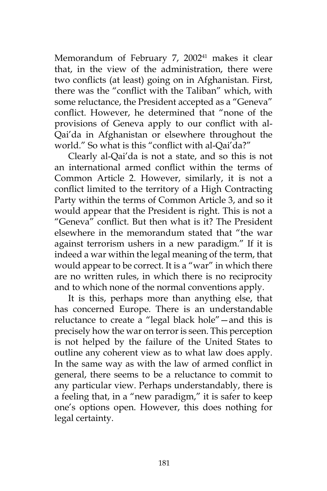Memorandum of February 7, 2002<sup>41</sup> makes it clear that, in the view of the administration, there were two conflicts (at least) going on in Afghanistan. First, there was the "conflict with the Taliban" which, with some reluctance, the President accepted as a "Geneva" conflict. However, he determined that "none of the provisions of Geneva apply to our conflict with al-Qai'da in Afghanistan or elsewhere throughout the world." So what is this "conflict with al-Qai'da?"

Clearly al-Qai'da is not a state, and so this is not an international armed conflict within the terms of Common Article 2. However, similarly, it is not a conflict limited to the territory of a High Contracting Party within the terms of Common Article 3, and so it would appear that the President is right. This is not a "Geneva" conflict. But then what is it? The President elsewhere in the memorandum stated that "the war against terrorism ushers in a new paradigm." If it is indeed a war within the legal meaning of the term, that would appear to be correct. It is a "war" in which there are no written rules, in which there is no reciprocity and to which none of the normal conventions apply.

It is this, perhaps more than anything else, that has concerned Europe. There is an understandable reluctance to create a "legal black hole"—and this is precisely how the war on terror is seen. This perception is not helped by the failure of the United States to outline any coherent view as to what law does apply. In the same way as with the law of armed conflict in general, there seems to be a reluctance to commit to any particular view. Perhaps understandably, there is a feeling that, in a "new paradigm," it is safer to keep one's options open. However, this does nothing for legal certainty.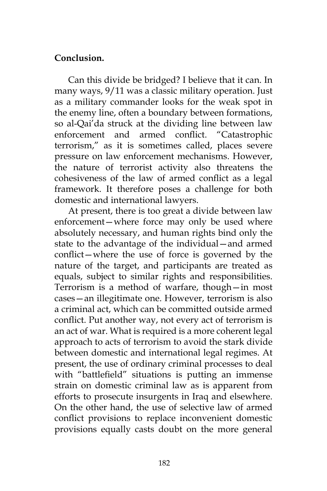# **Conclusion.**

Can this divide be bridged? I believe that it can. In many ways, 9/11 was a classic military operation. Just as a military commander looks for the weak spot in the enemy line, often a boundary between formations, so al-Qai'da struck at the dividing line between law enforcement and armed conflict. "Catastrophic terrorism," as it is sometimes called, places severe pressure on law enforcement mechanisms. However, the nature of terrorist activity also threatens the cohesiveness of the law of armed conflict as a legal framework. It therefore poses a challenge for both domestic and international lawyers.

At present, there is too great a divide between law enforcement—where force may only be used where absolutely necessary, and human rights bind only the state to the advantage of the individual—and armed conflict—where the use of force is governed by the nature of the target, and participants are treated as equals, subject to similar rights and responsibilities. Terrorism is a method of warfare, though—in most cases—an illegitimate one. However, terrorism is also a criminal act, which can be committed outside armed conflict. Put another way, not every act of terrorism is an act of war. What is required is a more coherent legal approach to acts of terrorism to avoid the stark divide between domestic and international legal regimes. At present, the use of ordinary criminal processes to deal with "battlefield" situations is putting an immense strain on domestic criminal law as is apparent from efforts to prosecute insurgents in Iraq and elsewhere. On the other hand, the use of selective law of armed conflict provisions to replace inconvenient domestic provisions equally casts doubt on the more general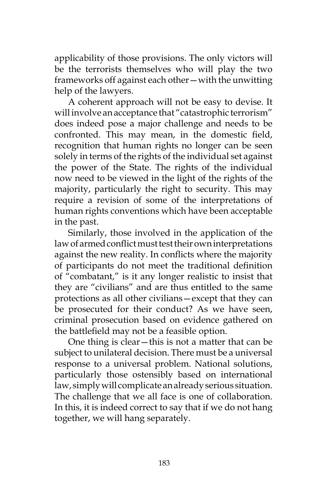applicability of those provisions. The only victors will be the terrorists themselves who will play the two frameworks off against each other—with the unwitting help of the lawyers.

A coherent approach will not be easy to devise. It will involve an acceptance that "catastrophic terrorism" does indeed pose a major challenge and needs to be confronted. This may mean, in the domestic field, recognition that human rights no longer can be seen solely in terms of the rights of the individual set against the power of the State. The rights of the individual now need to be viewed in the light of the rights of the majority, particularly the right to security. This may require a revision of some of the interpretations of human rights conventions which have been acceptable in the past.

Similarly, those involved in the application of the law of armed conflict must test their own interpretations against the new reality. In conflicts where the majority of participants do not meet the traditional definition of "combatant," is it any longer realistic to insist that they are "civilians" and are thus entitled to the same protections as all other civilians—except that they can be prosecuted for their conduct? As we have seen, criminal prosecution based on evidence gathered on the battlefield may not be a feasible option.

One thing is clear—this is not a matter that can be subject to unilateral decision. There must be a universal response to a universal problem. National solutions, particularly those ostensibly based on international law, simply will complicate an already serious situation. The challenge that we all face is one of collaboration. In this, it is indeed correct to say that if we do not hang together, we will hang separately.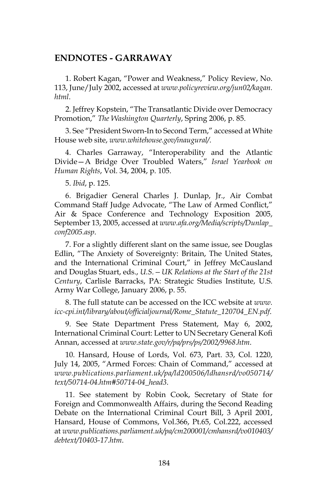#### **ENDNOTES - GARRAWAY**

1. Robert Kagan, "Power and Weakness," Policy Review, No. 113, June/July 2002, accessed at *www.policyreview.org/jun02/kagan. html*.

2. Jeffrey Kopstein, "The Transatlantic Divide over Democracy Promotion," *The Washington Quarterly*, Spring 2006, p. 85.

3. See "President Sworn-In to Second Term," accessed at White House web site, *www.whitehouse.gov/inaugural/*.

4. Charles Garraway, "Interoperability and the Atlantic Divide—A Bridge Over Troubled Waters," *Israel Yearbook on Human Rights*, Vol. 34, 2004, p. 105.

5. *Ibid*, p. 125.

6. Brigadier General Charles J. Dunlap, Jr., Air Combat Command Staff Judge Advocate, "The Law of Armed Conflict," Air & Space Conference and Technology Exposition 2005, September 13, 2005, accessed at *www.afa.org/Media/scripts/Dunlap\_ conf2005.asp*.

7. For a slightly different slant on the same issue, see Douglas Edlin, "The Anxiety of Sovereignty: Britain, The United States, and the International Criminal Court," in Jeffrey McCausland and Douglas Stuart, eds., *U.S.—UK Relations at the Start of the 21st Century*, Carlisle Barracks, PA: Strategic Studies Institute, U.S. Army War College, January 2006, p. 55.

8. The full statute can be accessed on the ICC website at *www. icc-cpi.int/library/about/officialjournal/Rome\_Statute\_120704\_EN.pdf*.

9. See State Department Press Statement, May 6, 2002, International Criminal Court: Letter to UN Secretary General Kofi Annan, accessed at *www.state.gov/r/pa/prs/ps/2002/9968.htm*.

10. Hansard, House of Lords, Vol. 673, Part. 33, Col. 1220, July 14, 2005, "Armed Forces: Chain of Command," accessed at *www.publications.parliament.uk/pa/ld200506/ldhansrd/vo050714/ text/50714-04.htm#50714-04\_head3*.

11. See statement by Robin Cook, Secretary of State for Foreign and Commonwealth Affairs, during the Second Reading Debate on the International Criminal Court Bill, 3 April 2001, Hansard, House of Commons, Vol.366, Pt.65, Col.222, accessed at *www.publications.parliament.uk/pa/cm200001/cmhansrd/vo010403/ debtext/10403-17.htm*.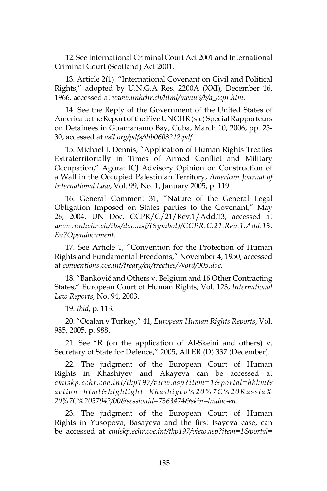12. See International Criminal Court Act 2001 and International Criminal Court (Scotland) Act 2001.

13. Article 2(1), "International Covenant on Civil and Political Rights," adopted by U.N.G.A Res. 2200A (XXI), December 16, 1966, accessed at *www.unhchr.ch/html/menu3/b/a\_ccpr.htm*.

14. See the Reply of the Government of the United States of America to the Report of the Five UNCHR (sic) Special Rapporteurs on Detainees in Guantanamo Bay, Cuba, March 10, 2006, pp. 25- 30, accessed at *asil.org/pdfs/ilib0603212.pdf*.

15. Michael J. Dennis, "Application of Human Rights Treaties Extraterritorially in Times of Armed Conflict and Military Occupation," Agora: ICJ Advisory Opinion on Construction of a Wall in the Occupied Palestinian Territory, *American Journal of International Law*, Vol. 99, No. 1, January 2005, p. 119.

16. General Comment 31, "Nature of the General Legal Obligation Imposed on States parties to the Covenant," May 26, 2004, UN Doc. CCPR/C/21/Rev.1/Add.13, accessed at *www.unhchr.ch/tbs/doc.nsf/(Symbol)/CCPR.C.21.Rev.1.Add.13. En?Opendocument*.

17. See Article 1, "Convention for the Protection of Human Rights and Fundamental Freedoms," November 4, 1950, accessed at *conventions.coe.int/treaty/en/treaties/Word/005.doc*.

18. "Banković and Others v. Belgium and 16 Other Contracting States," European Court of Human Rights, Vol. 123, *International Law Reports*, No. 94, 2003.

19. *Ibid*, p. 113.

20. "Ocalan v Turkey," 41, *European Human Rights Reports*, Vol. 985, 2005, p. 988.

21. See "R (on the application of Al-Skeini and others) v. Secretary of State for Defence," 2005, All ER (D) 337 (December).

22. The judgment of the European Court of Human Rights in Khashiyev and Akayeva can be accessed at *cmiskp.echr.coe.int/tkp197/view.asp?item=1&portal=hbkm& action=html&highlight=Khashiyev%20%7C%20Russia% 20%7C%2057942/00&sessionid=7363474&skin=hudoc-en*.

23. The judgment of the European Court of Human Rights in Yusopova, Basayeva and the first Isayeva case, can be accessed at *cmiskp.echr.coe.int/tkp197/view.asp?item=1&portal=*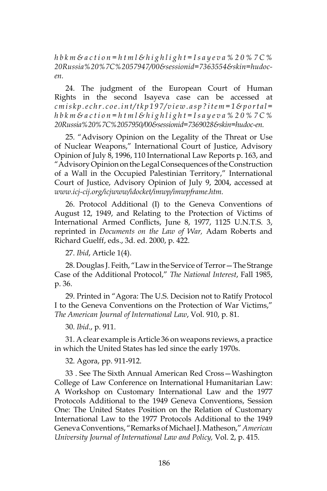*h b k m & a c t i o n = h t m l & h i g h l i g h t = I s a y e v a % 2 0 % 7 C % 20Russia%20%7C%2057947/00&sessionid=7363554&skin=hudocen.*

24. The judgment of the European Court of Human Rights in the second Isayeva case can be accessed at *c m i s k p . e c h r . c o e . i n t / t k p 1 9 7 / v i e w . a s p ? i t e m = 1 & p o r t a l = h b k m & a c t i o n = h t m l & h i g h l i g h t = I s a y e v a % 2 0 % 7 C % 20Russia%20%7C%2057950/00&sessionid=7369028&skin=hudoc-en.*

25. "Advisory Opinion on the Legality of the Threat or Use of Nuclear Weapons," International Court of Justice, Advisory Opinion of July 8, 1996, 110 International Law Reports p. 163, and "Advisory Opinion on the Legal Consequences of the Construction of a Wall in the Occupied Palestinian Territory," International Court of Justice, Advisory Opinion of July 9, 2004, accessed at *www.icj-cij.org/icjwww/idocket/imwp/imwpframe.htm.*

26. Protocol Additional (I) to the Geneva Conventions of August 12, 1949, and Relating to the Protection of Victims of International Armed Conflicts, June 8, 1977, 1125 U.N.T.S. 3, reprinted in *Documents on the Law of War,* Adam Roberts and Richard Guelff, eds., 3d. ed. 2000, p. 422.

27. *Ibid*, Article 1(4).

28. Douglas J. Feith, "Law in the Service of Terror—The Strange Case of the Additional Protocol," *The National Interest*, Fall 1985, p. 36.

29. Printed in "Agora: The U.S. Decision not to Ratify Protocol I to the Geneva Conventions on the Protection of War Victims," *The American Journal of International Law*, Vol. 910, p. 81.

30. *Ibid*., p. 911.

31. A clear example is Article 36 on weapons reviews, a practice in which the United States has led since the early 1970s.

#### 32. Agora, pp. 911-912.

33 . See The Sixth Annual American Red Cross—Washington College of Law Conference on International Humanitarian Law: A Workshop on Customary International Law and the 1977 Protocols Additional to the 1949 Geneva Conventions, Session One: The United States Position on the Relation of Customary International Law to the 1977 Protocols Additional to the 1949 Geneva Conventions, "Remarks of Michael J. Matheson," *American University Journal of International Law and Policy,* Vol. 2, p. 415.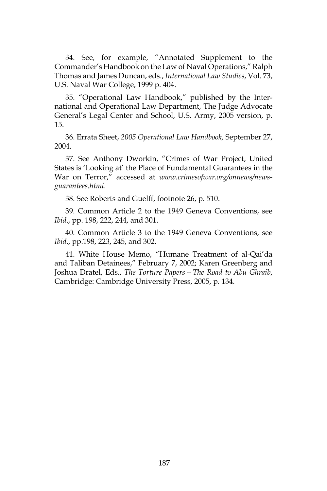34. See, for example, "Annotated Supplement to the Commander's Handbook on the Law of Naval Operations," Ralph Thomas and James Duncan, eds., *International Law Studies*, Vol. 73, U.S. Naval War College, 1999 p. 404.

35. "Operational Law Handbook," published by the International and Operational Law Department, The Judge Advocate General's Legal Center and School, U.S. Army, 2005 version, p. 15.

36. Errata Sheet, *2005 Operational Law Handbook,* September 27, 2004.

37. See Anthony Dworkin, "Crimes of War Project, United States is 'Looking at' the Place of Fundamental Guarantees in the War on Terror," accessed at *www.crimesofwar.org/onnews/newsguarantees.html*.

38. See Roberts and Guelff, footnote 26, p. 510.

39. Common Article 2 to the 1949 Geneva Conventions, see *Ibid*., pp. 198, 222, 244, and 301.

40. Common Article 3 to the 1949 Geneva Conventions, see *Ibid*., pp.198, 223, 245, and 302.

41. White House Memo, "Humane Treatment of al-Qai'da and Taliban Detainees," February 7, 2002; Karen Greenberg and Joshua Dratel, Eds., *The Torture Papers—The Road to Abu Ghraib*, Cambridge: Cambridge University Press, 2005, p. 134.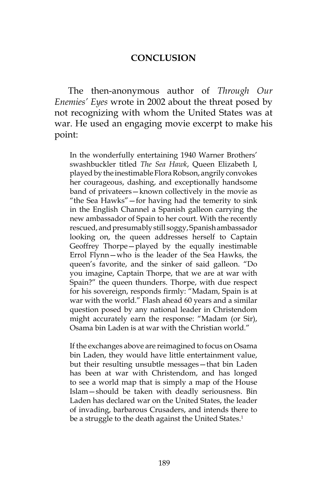#### **CONCLUSION**

The then-anonymous author of *Through Our Enemies' Eyes* wrote in 2002 about the threat posed by not recognizing with whom the United States was at war. He used an engaging movie excerpt to make his point:

In the wonderfully entertaining 1940 Warner Brothers' swashbuckler titled *The Sea Hawk*, Queen Elizabeth I, played by the inestimable Flora Robson, angrily convokes her courageous, dashing, and exceptionally handsome band of privateers—known collectively in the movie as "the Sea Hawks"—for having had the temerity to sink in the English Channel a Spanish galleon carrying the new ambassador of Spain to her court. With the recently rescued, and presumably still soggy, Spanish ambassador looking on, the queen addresses herself to Captain Geoffrey Thorpe—played by the equally inestimable Errol Flynn—who is the leader of the Sea Hawks, the queen's favorite, and the sinker of said galleon. "Do you imagine, Captain Thorpe, that we are at war with Spain?" the queen thunders. Thorpe, with due respect for his sovereign, responds firmly: "Madam, Spain is at war with the world." Flash ahead 60 years and a similar question posed by any national leader in Christendom might accurately earn the response: "Madam (or Sir), Osama bin Laden is at war with the Christian world."

If the exchanges above are reimagined to focus on Osama bin Laden, they would have little entertainment value, but their resulting unsubtle messages—that bin Laden has been at war with Christendom, and has longed to see a world map that is simply a map of the House Islam—should be taken with deadly seriousness. Bin Laden has declared war on the United States, the leader of invading, barbarous Crusaders, and intends there to be a struggle to the death against the United States.<sup>1</sup>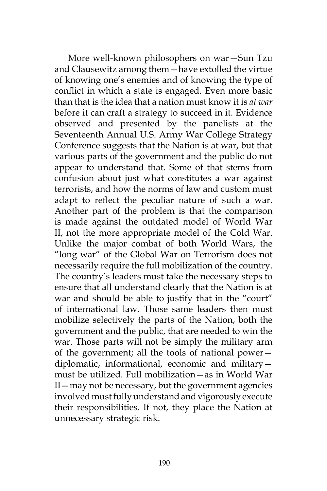More well-known philosophers on war—Sun Tzu and Clausewitz among them—have extolled the virtue of knowing one's enemies and of knowing the type of conflict in which a state is engaged. Even more basic than that is the idea that a nation must know it is *at war* before it can craft a strategy to succeed in it. Evidence observed and presented by the panelists at the Seventeenth Annual U.S. Army War College Strategy Conference suggests that the Nation is at war, but that various parts of the government and the public do not appear to understand that. Some of that stems from confusion about just what constitutes a war against terrorists, and how the norms of law and custom must adapt to reflect the peculiar nature of such a war. Another part of the problem is that the comparison is made against the outdated model of World War II, not the more appropriate model of the Cold War. Unlike the major combat of both World Wars, the "long war" of the Global War on Terrorism does not necessarily require the full mobilization of the country. The country's leaders must take the necessary steps to ensure that all understand clearly that the Nation is at war and should be able to justify that in the "court" of international law. Those same leaders then must mobilize selectively the parts of the Nation, both the government and the public, that are needed to win the war. Those parts will not be simply the military arm of the government; all the tools of national power diplomatic, informational, economic and military must be utilized. Full mobilization—as in World War II—may not be necessary, but the government agencies involved must fully understand and vigorously execute their responsibilities. If not, they place the Nation at unnecessary strategic risk.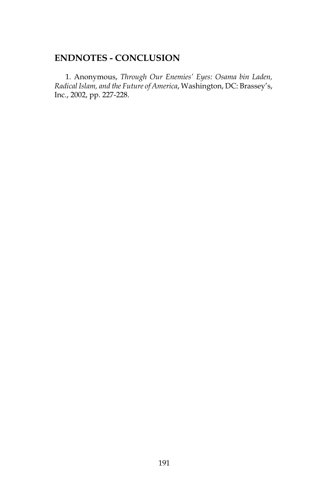## **ENDNOTES - CONCLUSION**

1. Anonymous, *Through Our Enemies' Eyes: Osama bin Laden, Radical Islam, and the Future of America*, Washington, DC: Brassey's, Inc., 2002, pp. 227-228.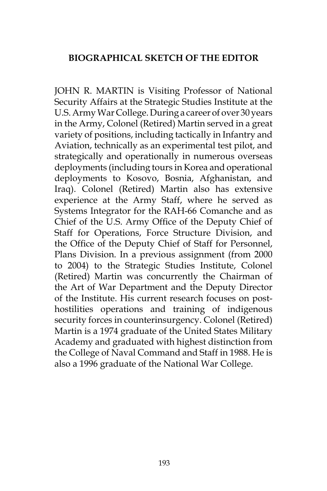# **BIOGRAPHICAL SKETCH OF THE EDITOR**

JOHN R. MARTIN is Visiting Professor of National Security Affairs at the Strategic Studies Institute at the U.S. Army War College. During a career of over 30 years in the Army, Colonel (Retired) Martin served in a great variety of positions, including tactically in Infantry and Aviation, technically as an experimental test pilot, and strategically and operationally in numerous overseas deployments (including tours in Korea and operational deployments to Kosovo, Bosnia, Afghanistan, and Iraq). Colonel (Retired) Martin also has extensive experience at the Army Staff, where he served as Systems Integrator for the RAH-66 Comanche and as Chief of the U.S. Army Office of the Deputy Chief of Staff for Operations, Force Structure Division, and the Office of the Deputy Chief of Staff for Personnel, Plans Division. In a previous assignment (from 2000 to 2004) to the Strategic Studies Institute, Colonel (Retired) Martin was concurrently the Chairman of the Art of War Department and the Deputy Director of the Institute. His current research focuses on posthostilities operations and training of indigenous security forces in counterinsurgency. Colonel (Retired) Martin is a 1974 graduate of the United States Military Academy and graduated with highest distinction from the College of Naval Command and Staff in 1988. He is also a 1996 graduate of the National War College.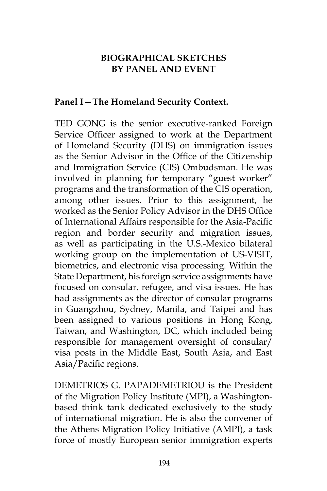# **BIOGRAPHICAL SKETCHES BY PANEL AND EVENT**

## **Panel I—The Homeland Security Context.**

TED GONG is the senior executive-ranked Foreign Service Officer assigned to work at the Department of Homeland Security (DHS) on immigration issues as the Senior Advisor in the Office of the Citizenship and Immigration Service (CIS) Ombudsman. He was involved in planning for temporary "guest worker" programs and the transformation of the CIS operation, among other issues. Prior to this assignment, he worked as the Senior Policy Advisor in the DHS Office of International Affairs responsible for the Asia-Pacific region and border security and migration issues, as well as participating in the U.S.-Mexico bilateral working group on the implementation of US-VISIT, biometrics, and electronic visa processing. Within the State Department, his foreign service assignments have focused on consular, refugee, and visa issues. He has had assignments as the director of consular programs in Guangzhou, Sydney, Manila, and Taipei and has been assigned to various positions in Hong Kong, Taiwan, and Washington, DC, which included being responsible for management oversight of consular/ visa posts in the Middle East, South Asia, and East Asia/Pacific regions.

DEMETRIOS G. PAPADEMETRIOU is the President of the Migration Policy Institute (MPI), a Washingtonbased think tank dedicated exclusively to the study of international migration. He is also the convener of the Athens Migration Policy Initiative (AMPI), a task force of mostly European senior immigration experts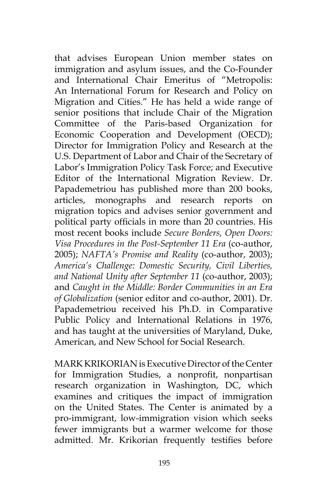that advises European Union member states on immigration and asylum issues, and the Co-Founder and International Chair Emeritus of "Metropolis: An International Forum for Research and Policy on Migration and Cities." He has held a wide range of senior positions that include Chair of the Migration Committee of the Paris-based Organization for Economic Cooperation and Development (OECD); Director for Immigration Policy and Research at the U.S. Department of Labor and Chair of the Secretary of Labor's Immigration Policy Task Force; and Executive Editor of the International Migration Review. Dr. Papademetriou has published more than 200 books, articles, monographs and research reports on migration topics and advises senior government and political party officials in more than 20 countries. His most recent books include *Secure Borders, Open Doors: Visa Procedures in the Post-September 11 Era* (co-author, 2005); *NAFTA's Promise and Reality* (co-author, 2003); *America's Challenge: Domestic Security, Civil Liberties, and National Unity after September 11* (co-author, 2003); and *Caught in the Middle: Border Communities in an Era of Globalization* (senior editor and co-author, 2001). Dr. Papademetriou received his Ph.D. in Comparative Public Policy and International Relations in 1976, and has taught at the universities of Maryland, Duke, American, and New School for Social Research.

MARK KRIKORIAN is Executive Director of the Center for Immigration Studies, a nonprofit, nonpartisan research organization in Washington, DC, which examines and critiques the impact of immigration on the United States. The Center is animated by a pro-immigrant, low-immigration vision which seeks fewer immigrants but a warmer welcome for those admitted. Mr. Krikorian frequently testifies before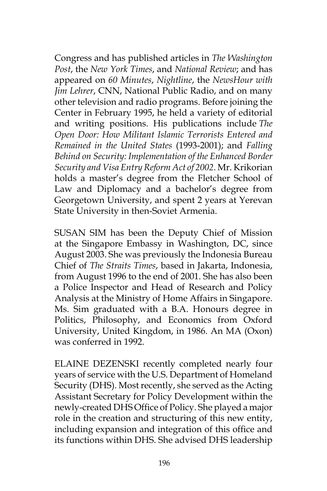Congress and has published articles in *The Washington Post*, the *New York Times*, and *National Review*; and has appeared on *60 Minutes*, *Nightline*, the *NewsHour with Jim Lehrer*, CNN, National Public Radio, and on many other television and radio programs. Before joining the Center in February 1995, he held a variety of editorial and writing positions. His publications include *The Open Door: How Militant Islamic Terrorists Entered and Remained in the United States* (1993-2001); and *Falling Behind on Security: Implementation of the Enhanced Border Security and Visa Entry Reform Act of 2002*. Mr. Krikorian holds a master's degree from the Fletcher School of Law and Diplomacy and a bachelor's degree from Georgetown University, and spent 2 years at Yerevan State University in then-Soviet Armenia.

SUSAN SIM has been the Deputy Chief of Mission at the Singapore Embassy in Washington, DC, since August 2003. She was previously the Indonesia Bureau Chief of *The Straits Times*, based in Jakarta, Indonesia, from August 1996 to the end of 2001. She has also been a Police Inspector and Head of Research and Policy Analysis at the Ministry of Home Affairs in Singapore. Ms. Sim graduated with a B.A. Honours degree in Politics, Philosophy, and Economics from Oxford University, United Kingdom, in 1986. An MA (Oxon) was conferred in 1992.

ELAINE DEZENSKI recently completed nearly four years of service with the U.S. Department of Homeland Security (DHS). Most recently, she served as the Acting Assistant Secretary for Policy Development within the newly-created DHS Office of Policy. She played a major role in the creation and structuring of this new entity, including expansion and integration of this office and its functions within DHS. She advised DHS leadership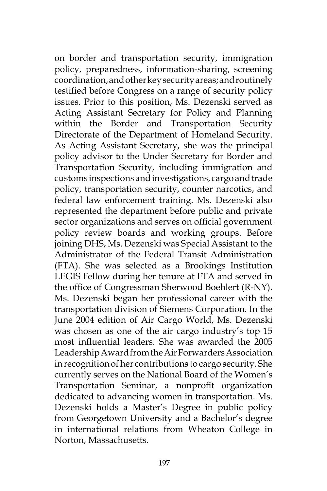on border and transportation security, immigration policy, preparedness, information-sharing, screening coordination, and other key security areas; and routinely testified before Congress on a range of security policy issues. Prior to this position, Ms. Dezenski served as Acting Assistant Secretary for Policy and Planning within the Border and Transportation Security Directorate of the Department of Homeland Security. As Acting Assistant Secretary, she was the principal policy advisor to the Under Secretary for Border and Transportation Security, including immigration and customs inspections and investigations, cargo and trade policy, transportation security, counter narcotics, and federal law enforcement training. Ms. Dezenski also represented the department before public and private sector organizations and serves on official government policy review boards and working groups. Before joining DHS, Ms. Dezenski was Special Assistant to the Administrator of the Federal Transit Administration (FTA). She was selected as a Brookings Institution LEGIS Fellow during her tenure at FTA and served in the office of Congressman Sherwood Boehlert (R-NY). Ms. Dezenski began her professional career with the transportation division of Siemens Corporation. In the June 2004 edition of Air Cargo World, Ms. Dezenski was chosen as one of the air cargo industry's top 15 most influential leaders. She was awarded the 2005 Leadership Award from the Air Forwarders Association in recognition of her contributions to cargo security. She currently serves on the National Board of the Women's Transportation Seminar, a nonprofit organization dedicated to advancing women in transportation. Ms. Dezenski holds a Master's Degree in public policy from Georgetown University and a Bachelor's degree in international relations from Wheaton College in Norton, Massachusetts.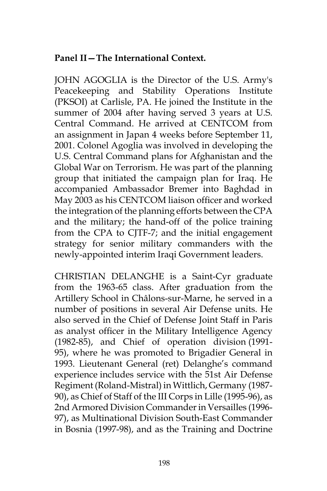# **Panel II—The International Context.**

JOHN AGOGLIA is the Director of the U.S. Army's Peacekeeping and Stability Operations Institute (PKSOI) at Carlisle, PA. He joined the Institute in the summer of 2004 after having served 3 years at U.S. Central Command. He arrived at CENTCOM from an assignment in Japan 4 weeks before September 11, 2001. Colonel Agoglia was involved in developing the U.S. Central Command plans for Afghanistan and the Global War on Terrorism. He was part of the planning group that initiated the campaign plan for Iraq. He accompanied Ambassador Bremer into Baghdad in May 2003 as his CENTCOM liaison officer and worked the integration of the planning efforts between the CPA and the military; the hand-off of the police training from the CPA to CJTF-7; and the initial engagement strategy for senior military commanders with the newly-appointed interim Iraqi Government leaders.

CHRISTIAN DELANGHE is a Saint-Cyr graduate from the 1963-65 class. After graduation from the Artillery School in Châlons-sur-Marne, he served in a number of positions in several Air Defense units. He also served in the Chief of Defense Joint Staff in Paris as analyst officer in the Military Intelligence Agency (1982-85), and Chief of operation division (1991- 95), where he was promoted to Brigadier General in 1993. Lieutenant General (ret) Delanghe's command experience includes service with the 51st Air Defense Regiment (Roland-Mistral) in Wittlich, Germany (1987- 90), as Chief of Staff of the III Corps in Lille (1995-96), as 2nd Armored Division Commander in Versailles (1996- 97), as Multinational Division South-East Commander in Bosnia (1997-98), and as the Training and Doctrine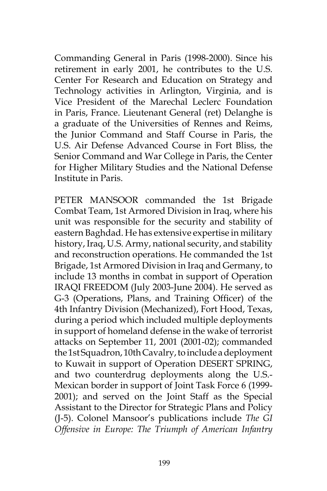Commanding General in Paris (1998-2000). Since his retirement in early 2001, he contributes to the U.S. Center For Research and Education on Strategy and Technology activities in Arlington, Virginia, and is Vice President of the Marechal Leclerc Foundation in Paris, France. Lieutenant General (ret) Delanghe is a graduate of the Universities of Rennes and Reims, the Junior Command and Staff Course in Paris, the U.S. Air Defense Advanced Course in Fort Bliss, the Senior Command and War College in Paris, the Center for Higher Military Studies and the National Defense Institute in Paris.

PETER MANSOOR commanded the 1st Brigade Combat Team, 1st Armored Division in Iraq, where his unit was responsible for the security and stability of eastern Baghdad. He has extensive expertise in military history, Iraq, U.S. Army, national security, and stability and reconstruction operations. He commanded the 1st Brigade, 1st Armored Division in Iraq and Germany, to include 13 months in combat in support of Operation IRAQI FREEDOM (July 2003-June 2004). He served as G-3 (Operations, Plans, and Training Officer) of the 4th Infantry Division (Mechanized), Fort Hood, Texas, during a period which included multiple deployments in support of homeland defense in the wake of terrorist attacks on September 11, 2001 (2001-02); commanded the 1st Squadron, 10th Cavalry, to include a deployment to Kuwait in support of Operation DESERT SPRING, and two counterdrug deployments along the U.S.- Mexican border in support of Joint Task Force 6 (1999- 2001); and served on the Joint Staff as the Special Assistant to the Director for Strategic Plans and Policy (J-5). Colonel Mansoor's publications include *The GI Offensive in Europe: The Triumph of American Infantry*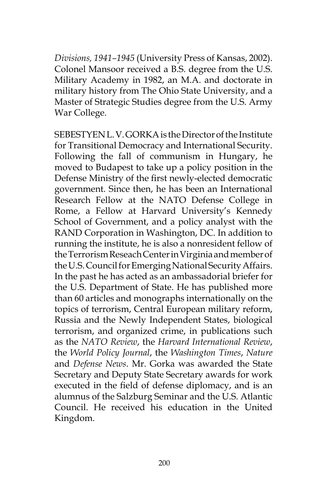*Divisions, 1941–1945* (University Press of Kansas, 2002). Colonel Mansoor received a B.S. degree from the U.S. Military Academy in 1982, an M.A. and doctorate in military history from The Ohio State University, and a Master of Strategic Studies degree from the U.S. Army War College.

SEBESTYEN L. V. GORKA is the Director of the Institute for Transitional Democracy and International Security. Following the fall of communism in Hungary, he moved to Budapest to take up a policy position in the Defense Ministry of the first newly-elected democratic government. Since then, he has been an International Research Fellow at the NATO Defense College in Rome, a Fellow at Harvard University's Kennedy School of Government, and a policy analyst with the RAND Corporation in Washington, DC. In addition to running the institute, he is also a nonresident fellow of the Terrorism Reseach Center in Virginia and member of the U.S. Council for Emerging National Security Affairs. In the past he has acted as an ambassadorial briefer for the U.S. Department of State. He has published more than 60 articles and monographs internationally on the topics of terrorism, Central European military reform, Russia and the Newly Independent States, biological terrorism, and organized crime, in publications such as the *NATO Review*, the *Harvard International Review*, the *World Policy Journal*, the *Washington Times*, *Nature* and *Defense News*. Mr. Gorka was awarded the State Secretary and Deputy State Secretary awards for work executed in the field of defense diplomacy, and is an alumnus of the Salzburg Seminar and the U.S. Atlantic Council. He received his education in the United Kingdom.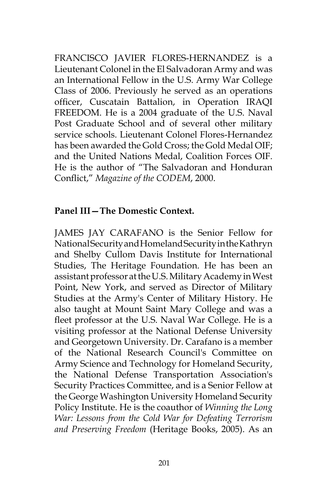FRANCISCO JAVIER FLORES-HERNANDEZ is a Lieutenant Colonel in the El Salvadoran Army and was an International Fellow in the U.S. Army War College Class of 2006. Previously he served as an operations officer, Cuscatain Battalion, in Operation IRAQI FREEDOM. He is a 2004 graduate of the U.S. Naval Post Graduate School and of several other military service schools. Lieutenant Colonel Flores-Hernandez has been awarded the Gold Cross; the Gold Medal OIF; and the United Nations Medal, Coalition Forces OIF. He is the author of "The Salvadoran and Honduran Conflict," *Magazine of the CODEM*, 2000.

## **Panel III—The Domestic Context.**

JAMES JAY CARAFANO is the Senior Fellow for National Security and Homeland Security in the Kathryn and Shelby Cullom Davis Institute for International Studies, The Heritage Foundation. He has been an assistant professor at the U.S. Military Academy in West Point, New York, and served as Director of Military Studies at the Army's Center of Military History. He also taught at Mount Saint Mary College and was a fleet professor at the U.S. Naval War College. He is a visiting professor at the National Defense University and Georgetown University. Dr. Carafano is a member of the National Research Council's Committee on Army Science and Technology for Homeland Security, the National Defense Transportation Association's Security Practices Committee, and is a Senior Fellow at the George Washington University Homeland Security Policy Institute. He is the coauthor of *Winning the Long War: Lessons from the Cold War for Defeating Terrorism and Preserving Freedom* (Heritage Books, 2005). As an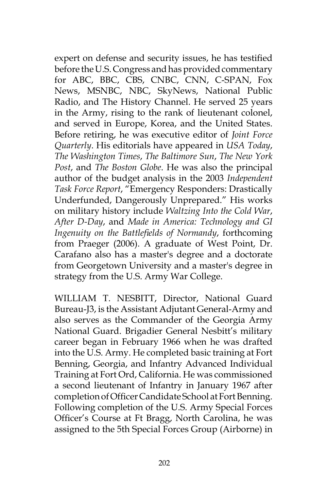expert on defense and security issues, he has testified before the U.S. Congress and has provided commentary for ABC, BBC, CBS, CNBC, CNN, C-SPAN, Fox News, MSNBC, NBC, SkyNews, National Public Radio, and The History Channel. He served 25 years in the Army, rising to the rank of lieutenant colonel, and served in Europe, Korea, and the United States. Before retiring, he was executive editor of *Joint Force Quarterly*. His editorials have appeared in *USA Today*, *The Washington Times*, *The Baltimore Sun*, *The New York Post*, and *The Boston Globe*. He was also the principal author of the budget analysis in the 2003 *Independent Task Force Report*, "Emergency Responders: Drastically Underfunded, Dangerously Unprepared." His works on military history include *Waltzing Into the Cold War*, *After D-Day*, and *Made in America: Technology and GI Ingenuity on the Battlefields of Normandy*, forthcoming from Praeger (2006). A graduate of West Point, Dr. Carafano also has a master's degree and a doctorate from Georgetown University and a master's degree in strategy from the U.S. Army War College.

WILLIAM T. NESBITT, Director, National Guard Bureau-J3, is the Assistant Adjutant General-Army and also serves as the Commander of the Georgia Army National Guard. Brigadier General Nesbitt's military career began in February 1966 when he was drafted into the U.S. Army. He completed basic training at Fort Benning, Georgia, and Infantry Advanced Individual Training at Fort Ord, California. He was commissioned a second lieutenant of Infantry in January 1967 after completion of Officer Candidate School at Fort Benning. Following completion of the U.S. Army Special Forces Officer's Course at Ft Bragg, North Carolina, he was assigned to the 5th Special Forces Group (Airborne) in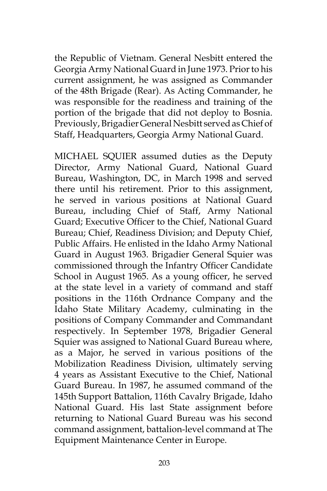the Republic of Vietnam. General Nesbitt entered the Georgia Army National Guard in June 1973. Prior to his current assignment, he was assigned as Commander of the 48th Brigade (Rear). As Acting Commander, he was responsible for the readiness and training of the portion of the brigade that did not deploy to Bosnia. Previously, Brigadier General Nesbitt served as Chief of Staff, Headquarters, Georgia Army National Guard.

MICHAEL SQUIER assumed duties as the Deputy Director, Army National Guard, National Guard Bureau, Washington, DC, in March 1998 and served there until his retirement. Prior to this assignment, he served in various positions at National Guard Bureau, including Chief of Staff, Army National Guard; Executive Officer to the Chief, National Guard Bureau; Chief, Readiness Division; and Deputy Chief, Public Affairs. He enlisted in the Idaho Army National Guard in August 1963. Brigadier General Squier was commissioned through the Infantry Officer Candidate School in August 1965. As a young officer, he served at the state level in a variety of command and staff positions in the 116th Ordnance Company and the Idaho State Military Academy, culminating in the positions of Company Commander and Commandant respectively. In September 1978, Brigadier General Squier was assigned to National Guard Bureau where, as a Major, he served in various positions of the Mobilization Readiness Division, ultimately serving 4 years as Assistant Executive to the Chief, National Guard Bureau. In 1987, he assumed command of the 145th Support Battalion, 116th Cavalry Brigade, Idaho National Guard. His last State assignment before returning to National Guard Bureau was his second command assignment, battalion-level command at The Equipment Maintenance Center in Europe.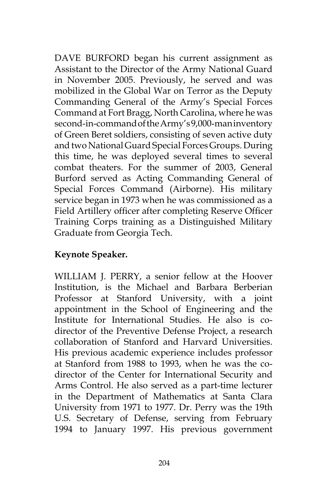DAVE BURFORD began his current assignment as Assistant to the Director of the Army National Guard in November 2005. Previously, he served and was mobilized in the Global War on Terror as the Deputy Commanding General of the Army's Special Forces Command at Fort Bragg, North Carolina, where he was second-in-command of the Army's 9,000-man inventory of Green Beret soldiers, consisting of seven active duty and two National Guard Special Forces Groups. During this time, he was deployed several times to several combat theaters. For the summer of 2003, General Burford served as Acting Commanding General of Special Forces Command (Airborne). His military service began in 1973 when he was commissioned as a Field Artillery officer after completing Reserve Officer Training Corps training as a Distinguished Military Graduate from Georgia Tech.

# **Keynote Speaker.**

WILLIAM J. PERRY, a senior fellow at the Hoover Institution, is the Michael and Barbara Berberian Professor at Stanford University, with a joint appointment in the School of Engineering and the Institute for International Studies. He also is codirector of the Preventive Defense Project, a research collaboration of Stanford and Harvard Universities. His previous academic experience includes professor at Stanford from 1988 to 1993, when he was the codirector of the Center for International Security and Arms Control. He also served as a part-time lecturer in the Department of Mathematics at Santa Clara University from 1971 to 1977. Dr. Perry was the 19th U.S. Secretary of Defense, serving from February 1994 to January 1997. His previous government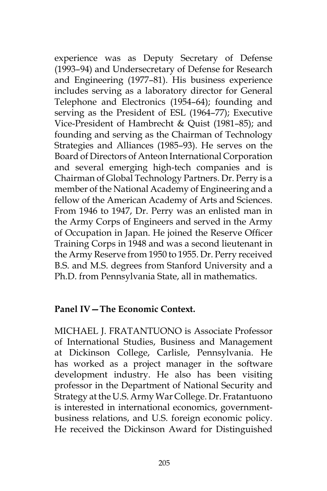experience was as Deputy Secretary of Defense (1993–94) and Undersecretary of Defense for Research and Engineering (1977–81). His business experience includes serving as a laboratory director for General Telephone and Electronics (1954–64); founding and serving as the President of ESL (1964–77); Executive Vice-President of Hambrecht & Quist (1981–85); and founding and serving as the Chairman of Technology Strategies and Alliances (1985–93). He serves on the Board of Directors of Anteon International Corporation and several emerging high-tech companies and is Chairman of Global Technology Partners. Dr. Perry is a member of the National Academy of Engineering and a fellow of the American Academy of Arts and Sciences. From 1946 to 1947, Dr. Perry was an enlisted man in the Army Corps of Engineers and served in the Army of Occupation in Japan. He joined the Reserve Officer Training Corps in 1948 and was a second lieutenant in the Army Reserve from 1950 to 1955. Dr. Perry received B.S. and M.S. degrees from Stanford University and a Ph.D. from Pennsylvania State, all in mathematics.

#### **Panel IV—The Economic Context.**

MICHAEL J. FRATANTUONO is Associate Professor of International Studies, Business and Management at Dickinson College, Carlisle, Pennsylvania. He has worked as a project manager in the software development industry. He also has been visiting professor in the Department of National Security and Strategy at the U.S. Army War College. Dr. Fratantuono is interested in international economics, governmentbusiness relations, and U.S. foreign economic policy. He received the Dickinson Award for Distinguished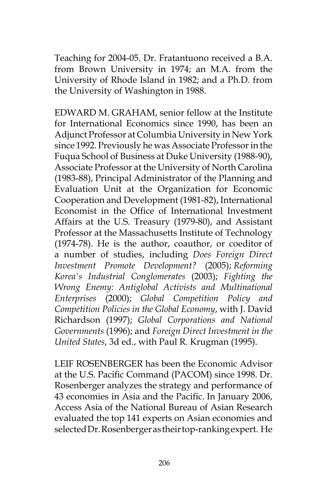Teaching for 2004-05. Dr. Fratantuono received a B.A. from Brown University in 1974; an M.A. from the University of Rhode Island in 1982; and a Ph.D. from the University of Washington in 1988.

EDWARD M. GRAHAM, senior fellow at the Institute for International Economics since 1990, has been an Adjunct Professor at Columbia University in New York since 1992. Previously he was Associate Professor in the Fuqua School of Business at Duke University (1988-90), Associate Professor at the University of North Carolina (1983-88), Principal Administrator of the Planning and Evaluation Unit at the Organization for Economic Cooperation and Development (1981-82), International Economist in the Office of International Investment Affairs at the U.S. Treasury (1979-80), and Assistant Professor at the Massachusetts Institute of Technology (1974-78). He is the author, coauthor, or coeditor of a number of studies, including *Does Foreign Direct Investment Promote Development?* (2005); *Reforming Korea's Industrial Conglomerates* (2003); *Fighting the Wrong Enemy: Antiglobal Activists and Multinational Enterprises* (2000); *Global Competition Policy and Competition Policies in the Global Economy*, with J. David Richardson (1997); *Global Corporations and National Governments* (1996); and *Foreign Direct Investment in the United States*, 3d ed., with Paul R. Krugman (1995).

LEIF ROSENBERGER has been the Economic Advisor at the U.S. Pacific Command (PACOM) since 1998. Dr. Rosenberger analyzes the strategy and performance of 43 economies in Asia and the Pacific. In January 2006, Access Asia of the National Bureau of Asian Research evaluated the top 141 experts on Asian economies and selected Dr. Rosenberger as their top-ranking expert. He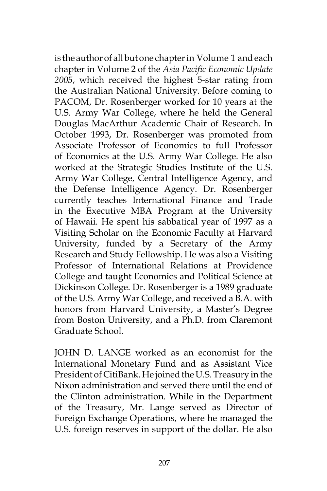is the author of all but one chapter in Volume 1 and each chapter in Volume 2 of the *Asia Pacific Economic Update 2005*, which received the highest 5-star rating from the Australian National University. Before coming to PACOM, Dr. Rosenberger worked for 10 years at the U.S. Army War College, where he held the General Douglas MacArthur Academic Chair of Research. In October 1993, Dr. Rosenberger was promoted from Associate Professor of Economics to full Professor of Economics at the U.S. Army War College. He also worked at the Strategic Studies Institute of the U.S. Army War College, Central Intelligence Agency, and the Defense Intelligence Agency. Dr. Rosenberger currently teaches International Finance and Trade in the Executive MBA Program at the University of Hawaii. He spent his sabbatical year of 1997 as a Visiting Scholar on the Economic Faculty at Harvard University, funded by a Secretary of the Army Research and Study Fellowship. He was also a Visiting Professor of International Relations at Providence College and taught Economics and Political Science at Dickinson College. Dr. Rosenberger is a 1989 graduate of the U.S. Army War College, and received a B.A. with honors from Harvard University, a Master's Degree from Boston University, and a Ph.D. from Claremont Graduate School.

JOHN D. LANGE worked as an economist for the International Monetary Fund and as Assistant Vice President of CitiBank. He joined the U.S. Treasury in the Nixon administration and served there until the end of the Clinton administration. While in the Department of the Treasury, Mr. Lange served as Director of Foreign Exchange Operations, where he managed the U.S. foreign reserves in support of the dollar. He also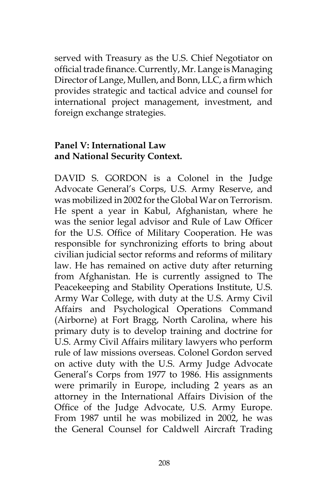served with Treasury as the U.S. Chief Negotiator on official trade finance. Currently, Mr. Lange is Managing Director of Lange, Mullen, and Bonn, LLC, a firm which provides strategic and tactical advice and counsel for international project management, investment, and foreign exchange strategies.

## **Panel V: International Law and National Security Context.**

DAVID S. GORDON is a Colonel in the Judge Advocate General's Corps, U.S. Army Reserve, and was mobilized in 2002 for the Global War on Terrorism. He spent a year in Kabul, Afghanistan, where he was the senior legal advisor and Rule of Law Officer for the U.S. Office of Military Cooperation. He was responsible for synchronizing efforts to bring about civilian judicial sector reforms and reforms of military law. He has remained on active duty after returning from Afghanistan. He is currently assigned to The Peacekeeping and Stability Operations Institute, U.S. Army War College, with duty at the U.S. Army Civil Affairs and Psychological Operations Command (Airborne) at Fort Bragg, North Carolina, where his primary duty is to develop training and doctrine for U.S. Army Civil Affairs military lawyers who perform rule of law missions overseas. Colonel Gordon served on active duty with the U.S. Army Judge Advocate General's Corps from 1977 to 1986. His assignments were primarily in Europe, including 2 years as an attorney in the International Affairs Division of the Office of the Judge Advocate, U.S. Army Europe. From 1987 until he was mobilized in 2002, he was the General Counsel for Caldwell Aircraft Trading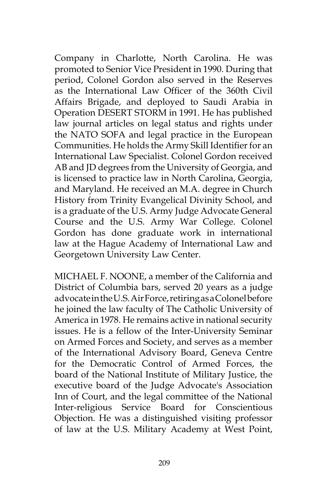Company in Charlotte, North Carolina. He was promoted to Senior Vice President in 1990. During that period, Colonel Gordon also served in the Reserves as the International Law Officer of the 360th Civil Affairs Brigade, and deployed to Saudi Arabia in Operation DESERT STORM in 1991. He has published law journal articles on legal status and rights under the NATO SOFA and legal practice in the European Communities. He holds the Army Skill Identifier for an International Law Specialist. Colonel Gordon received AB and JD degrees from the University of Georgia, and is licensed to practice law in North Carolina, Georgia, and Maryland. He received an M.A. degree in Church History from Trinity Evangelical Divinity School, and is a graduate of the U.S. Army Judge Advocate General Course and the U.S. Army War College. Colonel Gordon has done graduate work in international law at the Hague Academy of International Law and Georgetown University Law Center.

MICHAEL F. NOONE, a member of the California and District of Columbia bars, served 20 years as a judge advocate in the U.S. Air Force, retiring as a Colonel before he joined the law faculty of The Catholic University of America in 1978. He remains active in national security issues. He is a fellow of the Inter-University Seminar on Armed Forces and Society, and serves as a member of the International Advisory Board, Geneva Centre for the Democratic Control of Armed Forces, the board of the National Institute of Military Justice, the executive board of the Judge Advocate's Association Inn of Court, and the legal committee of the National Inter-religious Service Board for Conscientious Objection. He was a distinguished visiting professor of law at the U.S. Military Academy at West Point,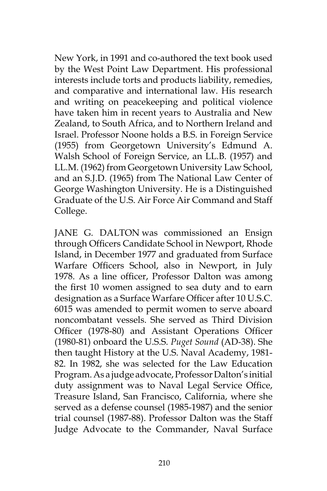New York, in 1991 and co-authored the text book used by the West Point Law Department. His professional interests include torts and products liability, remedies, and comparative and international law. His research and writing on peacekeeping and political violence have taken him in recent years to Australia and New Zealand, to South Africa, and to Northern Ireland and Israel. Professor Noone holds a B.S. in Foreign Service (1955) from Georgetown University's Edmund A. Walsh School of Foreign Service, an LL.B. (1957) and LL.M. (1962) from Georgetown University Law School, and an S.J.D. (1965) from The National Law Center of George Washington University. He is a Distinguished Graduate of the U.S. Air Force Air Command and Staff College.

JANE G. DALTON was commissioned an Ensign through Officers Candidate School in Newport, Rhode Island, in December 1977 and graduated from Surface Warfare Officers School, also in Newport, in July 1978. As a line officer, Professor Dalton was among the first 10 women assigned to sea duty and to earn designation as a Surface Warfare Officer after 10 U.S.C. 6015 was amended to permit women to serve aboard noncombatant vessels. She served as Third Division Officer (1978-80) and Assistant Operations Officer (1980-81) onboard the U.S.S. *Puget Sound* (AD-38). She then taught History at the U.S. Naval Academy, 1981- 82. In 1982, she was selected for the Law Education Program. As a judge advocate, Professor Dalton's initial duty assignment was to Naval Legal Service Office, Treasure Island, San Francisco, California, where she served as a defense counsel (1985-1987) and the senior trial counsel (1987-88). Professor Dalton was the Staff Judge Advocate to the Commander, Naval Surface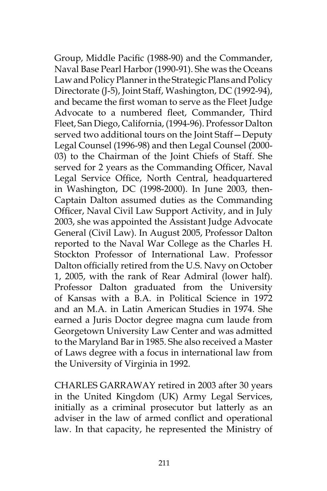Group, Middle Pacific (1988-90) and the Commander, Naval Base Pearl Harbor (1990-91). She was the Oceans Law and Policy Planner in the Strategic Plans and Policy Directorate (J-5), Joint Staff, Washington, DC (1992-94), and became the first woman to serve as the Fleet Judge Advocate to a numbered fleet, Commander, Third Fleet, San Diego, California, (1994-96). Professor Dalton served two additional tours on the Joint Staff—Deputy Legal Counsel (1996-98) and then Legal Counsel (2000- 03) to the Chairman of the Joint Chiefs of Staff. She served for 2 years as the Commanding Officer, Naval Legal Service Office, North Central, headquartered in Washington, DC (1998-2000). In June 2003, then-Captain Dalton assumed duties as the Commanding Officer, Naval Civil Law Support Activity, and in July 2003, she was appointed the Assistant Judge Advocate General (Civil Law). In August 2005, Professor Dalton reported to the Naval War College as the Charles H. Stockton Professor of International Law. Professor Dalton officially retired from the U.S. Navy on October 1, 2005, with the rank of Rear Admiral (lower half). Professor Dalton graduated from the University of Kansas with a B.A. in Political Science in 1972 and an M.A. in Latin American Studies in 1974. She earned a Juris Doctor degree magna cum laude from Georgetown University Law Center and was admitted to the Maryland Bar in 1985. She also received a Master of Laws degree with a focus in international law from the University of Virginia in 1992.

CHARLES GARRAWAY retired in 2003 after 30 years in the United Kingdom (UK) Army Legal Services, initially as a criminal prosecutor but latterly as an adviser in the law of armed conflict and operational law. In that capacity, he represented the Ministry of